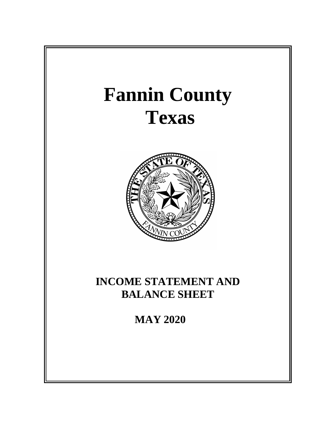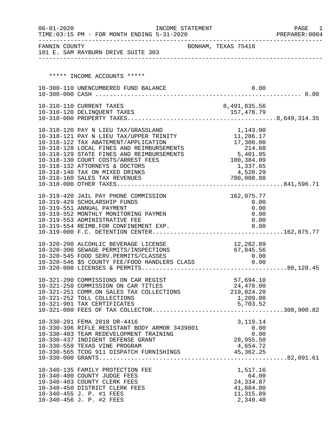| $06 - 01 - 2020$ | TIME: 03:15 PM - FOR MONTH ENDING 5-31-2020                                                                                               | INCOME STATEMENT    |                                                                                       | PAGE<br>1<br>PREPARER: 0004 |
|------------------|-------------------------------------------------------------------------------------------------------------------------------------------|---------------------|---------------------------------------------------------------------------------------|-----------------------------|
|                  | FANNIN COUNTY<br>101 E. SAM RAYBURN DRIVE SUITE 303                                                                                       | BONHAM, TEXAS 75418 |                                                                                       |                             |
|                  |                                                                                                                                           |                     |                                                                                       |                             |
|                  | ***** INCOME ACCOUNTS *****                                                                                                               |                     |                                                                                       |                             |
|                  | 10-300-110 UNENCUMBERED FUND BALANCE                                                                                                      |                     | 0.00                                                                                  |                             |
|                  |                                                                                                                                           |                     |                                                                                       |                             |
|                  | 10-310-110 CURRENT TAXES                                                                                                                  |                     | 8,491,835.56                                                                          |                             |
|                  |                                                                                                                                           |                     |                                                                                       |                             |
|                  | 10-318-120 PAY N LIEU TAX/GRASSLAND                                                                                                       |                     | 1,143.00                                                                              |                             |
|                  | 10-318-121 PAY N LIEU TAX/UPPER TRINITY                                                                                                   |                     | 11, 286.17                                                                            |                             |
|                  | 10-318-122 TAX ABATEMENT/APPLICATION                                                                                                      |                     | 17,300.00<br>$\begin{array}{r} 1,300.00 \\ 214.68 \\ 5,401.95 \\ 100.387 \end{array}$ |                             |
|                  | 10-318-128 LOCAL FINES AND REIMBURSEMENTS<br>10-318-129 STATE FINES AND REIMBURSEMENTS                                                    |                     |                                                                                       |                             |
|                  | 10-318-130 COURT COSTS/ARREST FEES                                                                                                        |                     |                                                                                       |                             |
|                  | 10-318-132 ATTORNEYS & DOCTORS                                                                                                            |                     | 1,337.65                                                                              |                             |
|                  | 10-318-140 TAX ON MIXED DRINKS                                                                                                            |                     | 4,520.29                                                                              |                             |
|                  |                                                                                                                                           |                     |                                                                                       |                             |
|                  | 10-319-420 JAIL PAY PHONE COMMISSION                                                                                                      |                     | 162,075.77                                                                            |                             |
|                  | 10-319-429 SCHOLARSHIP FUNDS                                                                                                              |                     | 0.00                                                                                  |                             |
|                  | 10-319-551 ANNUAL PAYMENT                                                                                                                 |                     | 0.00                                                                                  |                             |
|                  | 10-319-552 MONTHLY MONITORING PAYMEN<br>10-319-553 ADMINISTRATIVE FEE                                                                     |                     | 0.00<br>0.00                                                                          |                             |
|                  | 10-319-554 REIMB.FOR CONFINEMENT EXP.                                                                                                     |                     | 0.00                                                                                  |                             |
|                  |                                                                                                                                           |                     |                                                                                       |                             |
|                  | 10-320-200 ALCOHLIC BEVERAGE LICENSE                                                                                                      |                     | 12,282.89                                                                             |                             |
|                  | 10-320-300 SEWAGE PERMITS/INSPECTIONS                                                                                                     |                     | 67,845.56                                                                             |                             |
|                  | 10-320-300 SEWAGE FERNITS/INSERVITIONS<br>10-320-545 FOOD SERV.PERMITS/CLASSES 0.00<br>10-320-546 \$5 COUNTY FEE/FOOD HANDLERS CLASS 0.00 |                     |                                                                                       |                             |
|                  |                                                                                                                                           |                     |                                                                                       |                             |
|                  | 10-321-200 COMMISSIONS ON CAR REGIST                                                                                                      |                     | 57,694.10                                                                             |                             |
|                  | 10-321-250 COMMISSION ON CAR TITLES                                                                                                       |                     | 24,470.00                                                                             |                             |
|                  | 10-321-251 COMM.ON SALES TAX COLLECTIONS                                                                                                  |                     | 219,824.20                                                                            |                             |
|                  | 10-321-252 TOLL COLLECTIONS<br>10-321-901 TAX CERTIFICATES                                                                                |                     | 1,209.00                                                                              |                             |
|                  |                                                                                                                                           |                     | 5,703.52                                                                              |                             |
|                  |                                                                                                                                           |                     |                                                                                       |                             |
|                  | 10-330-201 FEMA 2018 DR-4416<br>10-330-396 RIFLE RESISTANT BODY ARMOR 3439801                                                             |                     | 3, 119. 14<br>0.00                                                                    |                             |
|                  | 10-330-403 TEAM REDEVELOPMENT TRAINING                                                                                                    |                     | 0.00                                                                                  |                             |
|                  | 10-330-437 INDIGENT DEFENSE GRANT                                                                                                         |                     | 28,955.50                                                                             |                             |
|                  |                                                                                                                                           |                     |                                                                                       |                             |
|                  |                                                                                                                                           |                     |                                                                                       |                             |
|                  | 10-340-135 FAMILY PROTECTION FEE                                                                                                          |                     | 1,517.16                                                                              |                             |
|                  | 10-340-400 COUNTY JUDGE FEES                                                                                                              |                     | 64.00                                                                                 |                             |
|                  | 10-340-403 COUNTY CLERK FEES                                                                                                              |                     | 24, 334.87                                                                            |                             |
|                  | 10-340-450 DISTRICT CLERK FEES<br>10-340-455 J. P. #1 FEES                                                                                |                     | 41,884.80<br>11, 315.89                                                               |                             |
|                  | 10-340-456 J. P. #2 FEES                                                                                                                  |                     | 2,349.40                                                                              |                             |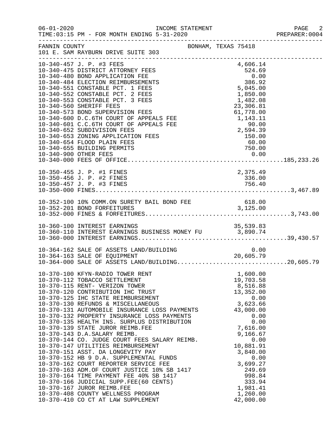| $06 - 01 - 2020$ | INCOME STATEMENT<br>TIME: 03:15 PM - FOR MONTH ENDING 5-31-2020                                                                                                                                                                                                                                                                                                                                                                                                                                                                                                                                                                                                                                                                                                                                                                                                                                                                                |                                                                                                                                                                                                                                                 | PAGE 2<br>PREPARER: 0004 |
|------------------|------------------------------------------------------------------------------------------------------------------------------------------------------------------------------------------------------------------------------------------------------------------------------------------------------------------------------------------------------------------------------------------------------------------------------------------------------------------------------------------------------------------------------------------------------------------------------------------------------------------------------------------------------------------------------------------------------------------------------------------------------------------------------------------------------------------------------------------------------------------------------------------------------------------------------------------------|-------------------------------------------------------------------------------------------------------------------------------------------------------------------------------------------------------------------------------------------------|--------------------------|
| FANNIN COUNTY    | BONHAM, TEXAS 75418<br>101 E. SAM RAYBURN DRIVE SUITE 303                                                                                                                                                                                                                                                                                                                                                                                                                                                                                                                                                                                                                                                                                                                                                                                                                                                                                      |                                                                                                                                                                                                                                                 |                          |
|                  | 10-340-457 J. P. #3 FEES<br>10-340-475 DISTRICT ATTORNEY FEES<br>10-340-480 BOND APPLICATION FEE<br>10-340-484 ELECTION REIMBURSEMENTS<br>10-340-551 CONSTABLE PCT. 1 FEES<br>10-340-552 CONSTABLE PCT. 2 FEES<br>10-340-553 CONSTABLE PCT. 3 FEES<br>10-340-560 SHERIFF FEES<br>10-340-573 BOND SUPERVISION FEES<br>10-340-600 D.C.6TH COURT OF APPEALS FEE<br>10-340-601 C.C.6TH COURT OF APPEALS FEE<br>10-340-652 SUBDIVISION FEES<br>10-340-653 ZONING APPLICATION FEES<br>10-340-654 FLOOD PLAIN FEES<br>10-340-655 BUILDING PERMITS                                                                                                                                                                                                                                                                                                                                                                                                     | 4,606.14<br>$4,606.14$<br>$524.69$<br>0.00<br>$386.92$<br>5,045.00<br>1,850.00<br>1,482.08<br>23,306.81<br>61,778.00<br>1,143.11<br>90.00<br>2,594.39<br>150.00<br>60.00<br>000<br>750.00                                                       |                          |
|                  | 10-350-455 J. P. #1 FINES                                                                                                                                                                                                                                                                                                                                                                                                                                                                                                                                                                                                                                                                                                                                                                                                                                                                                                                      | 2,375.49                                                                                                                                                                                                                                        |                          |
|                  |                                                                                                                                                                                                                                                                                                                                                                                                                                                                                                                                                                                                                                                                                                                                                                                                                                                                                                                                                |                                                                                                                                                                                                                                                 |                          |
|                  |                                                                                                                                                                                                                                                                                                                                                                                                                                                                                                                                                                                                                                                                                                                                                                                                                                                                                                                                                |                                                                                                                                                                                                                                                 |                          |
|                  | 10-364-162 SALE OF ASSETS LAND/BUILDING<br>10-364-163 SALE OF EQUIPMENT 20,605.79<br>10-364-000 SALE OF ASSETS LAND/BUILDING20,605.79                                                                                                                                                                                                                                                                                                                                                                                                                                                                                                                                                                                                                                                                                                                                                                                                          |                                                                                                                                                                                                                                                 |                          |
|                  | 10-370-100 KFYN-RADIO TOWER RENT<br>10-370-112 TOBACCO SETTLEMENT<br>10-370-115 RENT- VERIZON TOWER<br>10-370-120 CONTRIBUTION IHC TRUST<br>10-370-125 IHC STATE REIMBURSEMENT<br>10-370-130 REFUNDS & MISCELLANEOUS<br>10-370-131 AUTOMOBILE INSURANCE LOSS PAYMENTS<br>10-370-132 PROPERTY INSURANCE LOSS PAYMENTS<br>10-370-135 HEALTH INS. SURPLUS DISTRIBUTION<br>10-370-139 STATE JUROR REIMB.FEE<br>10-370-143 D.A.SALARY REIMB.<br>10-370-144 CO. JUDGE COURT FEES SALARY REIMB.<br>10-370-147 UTILITIES REIMBURSEMENT<br>10-370-151 ASST. DA LONGEVITY PAY<br>10-370-152 HB 9 D.A. SUPPLEMENTAL FUNDS<br>10-370-162 COURT REPORTER SERVICE FEE<br>10-370-162 COURT REPORTER SERVICE FEE<br>10-370-163 ADM.OF COURT JUSTICE 10% SB 1417<br>10-370-164 TIME PAYMENT FEE 40% SB 1417<br>10-370-166 JUDICIAL SUPP.FEE(60 CENTS)<br>10-370-167 JUROR REIMB.FEE<br>10-370-408 COUNTY WELLNESS PROGRAM<br>10-370-410 CO CT AT LAW SUPPLEMENT | 1,600.00<br>19,703.58<br>8,516.88<br>13,352.00<br>0.00<br>3,623.66<br>43,000.00<br>0.00<br>0.00<br>7,616.00<br>9,166.67<br>0.00<br>10,881.91<br>3,840.00<br>0.00<br>3,699.27<br>249.69<br>998.84<br>333.94<br>1,981.41<br>1,260.00<br>42,000.00 |                          |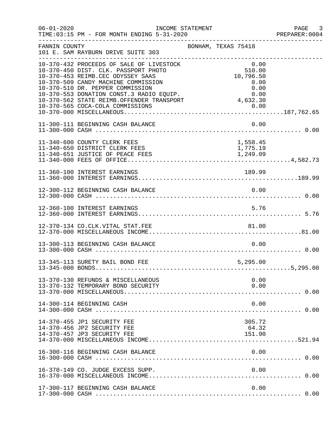| $06 - 01 - 2020$ | INCOME STATEMENT<br>TIME: 03:15 PM - FOR MONTH ENDING 5-31-2020                                                                                                                                                                                                                                                               |                     |                                                                         | PAGE 3<br>PREPARER:0004 |
|------------------|-------------------------------------------------------------------------------------------------------------------------------------------------------------------------------------------------------------------------------------------------------------------------------------------------------------------------------|---------------------|-------------------------------------------------------------------------|-------------------------|
| FANNIN COUNTY    | 101 E. SAM RAYBURN DRIVE SUITE 303                                                                                                                                                                                                                                                                                            | BONHAM, TEXAS 75418 |                                                                         |                         |
|                  | 10-370-432 PROCEEDS OF SALE OF LIVESTOCK<br>10-370-450 DIST. CLK. PASSPORT PHOTO<br>10-370-453 REIMB.CEC ODYSSEY SAAS<br>10-370-509 CANDY MACHINE COMMISSION<br>10-370-510 DR. PEPPER COMMISSION<br>10-370-553 DONATION CONST.3 RADIO EQUIP.<br>10-370-562 STATE REIMB.OFFENDER TRANSPORT<br>10-370-565 COCA-COLA COMMISSIONS |                     | 0.00<br>510.00<br>10,796.50<br>0.00<br>0.00<br>0.00<br>4,632.30<br>0.00 |                         |
|                  | 11-300-111 BEGINNING CASH BALANCE                                                                                                                                                                                                                                                                                             |                     | 0.00                                                                    |                         |
|                  | 11-340-600 COUNTY CLERK FEES<br>11-340-650 DISTRICT CLERK FEES                                                                                                                                                                                                                                                                |                     | 1,558.45<br>1,775.19                                                    |                         |
|                  | 11-360-100 INTEREST EARNINGS                                                                                                                                                                                                                                                                                                  |                     | 189.99                                                                  |                         |
|                  | 12-300-112 BEGINNING CASH BALANCE                                                                                                                                                                                                                                                                                             |                     | 0.00                                                                    |                         |
|                  | 12-360-100 INTEREST EARNINGS                                                                                                                                                                                                                                                                                                  |                     | 5.76                                                                    |                         |
|                  | 12-370-134 CO.CLK.VITAL STAT.FEE                                                                                                                                                                                                                                                                                              |                     | 81.00                                                                   |                         |
|                  | 13-300-113 BEGINNING CASH BALANCE                                                                                                                                                                                                                                                                                             |                     | 0.00                                                                    |                         |
|                  | 13-345-113 SURETY BAIL BOND FEE                                                                                                                                                                                                                                                                                               |                     | 5,295.00                                                                |                         |
|                  | 13-370-130 REFUNDS & MISCELLANEOUS<br>13-370-132 TEMPORARY BOND SECURITY                                                                                                                                                                                                                                                      |                     | 0.00<br>0.00                                                            |                         |
|                  | 14-300-114 BEGINNING CASH                                                                                                                                                                                                                                                                                                     |                     | 0.00                                                                    |                         |
|                  | 14-370-455 JP1 SECURITY FEE<br>14-370-456 JP2 SECURITY FEE<br>14-370-457 JP3 SECURITY FEE                                                                                                                                                                                                                                     |                     | 305.72<br>64.32<br>151.90                                               |                         |
|                  | 16-300-116 BEGINNING CASH BALANCE                                                                                                                                                                                                                                                                                             |                     | 0.00                                                                    |                         |
|                  | 16-370-149 CO. JUDGE EXCESS SUPP.                                                                                                                                                                                                                                                                                             |                     | 0.00                                                                    |                         |
|                  | 17-300-117 BEGINNING CASH BALANCE                                                                                                                                                                                                                                                                                             |                     | 0.00                                                                    |                         |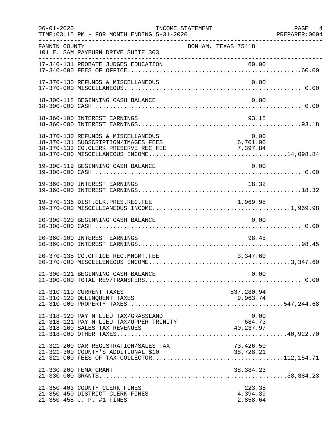| $06 - 01 - 2020$ | INCOME STATEMENT<br>TIME: 03:15 PM - FOR MONTH ENDING 5-31-2020                                                   | ------------------------------------       | PAGE 4<br>PREPARER: 0004 |
|------------------|-------------------------------------------------------------------------------------------------------------------|--------------------------------------------|--------------------------|
| FANNIN COUNTY    | 101 E. SAM RAYBURN DRIVE SUITE 303                                                                                | BONHAM, TEXAS 75418                        |                          |
|                  | 17-340-131 PROBATE JUDGES EDUCATION                                                                               | 60.00                                      |                          |
|                  | 17-370-130 REFUNDS & MISCELLANEOUS                                                                                | 0.00                                       |                          |
|                  | 18-300-118 BEGINNING CASH BALANCE                                                                                 | 0.00                                       |                          |
|                  | 18-360-100 INTEREST EARNINGS                                                                                      | 93.18                                      |                          |
|                  | 18-370-130 REFUNDS & MISCELLANEOUS<br>18-370-131 SUBSCRIPTION/IMAGES FEES<br>18-370-133 CO.CLERK PRESERVE REC FEE | 0.00<br>$6,701.00$<br>7,397.84<br>7,397.84 |                          |
|                  | 19-300-119 BEGINNING CASH BALANCE                                                                                 | 0.00                                       |                          |
|                  | 19-360-100 INTEREST EARNINGS                                                                                      | 18.32                                      |                          |
|                  |                                                                                                                   |                                            |                          |
|                  | 20-300-120 BEGINNING CASH BALANCE                                                                                 | 0.00                                       |                          |
|                  | 20-360-100 INTEREST EARNINGS                                                                                      | 98.45                                      |                          |
|                  | 20-370-135 CO.OFFICE REC.MNGMT.FEE                                                                                | 3,347.60                                   |                          |
|                  | 21-300-121 BEGINNING CASH BALANCE                                                                                 | 0.00                                       |                          |
|                  | 21-310-110 CURRENT TAXES                                                                                          | 537,280.94                                 |                          |
|                  | 21-318-120 PAY N LIEU TAX/GRASSLAND<br>21-318-121 PAY N LIEU TAX/UPPER TRINITY                                    | 0.00<br>684.73                             |                          |
|                  | 21-321-200 CAR REGISTRATION/SALES TAX<br>21-321-300 COUNTY'S ADDITIONAL \$10                                      | 73,426.50<br>38,728.21                     |                          |
|                  | 21-330-200 FEMA GRANT                                                                                             | 38,384.23                                  |                          |
|                  | 21-350-403 COUNTY CLERK FINES<br>21-350-450 DISTRICT CLERK FINES<br>21-350-455 J. P. #1 FINES                     | 223.35<br>4,394.39<br>2,858.64             |                          |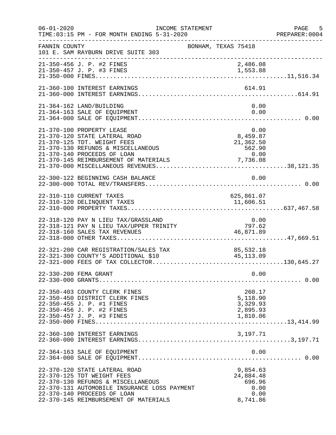| $06 - 01 - 2020$ | TIME: 03:15 PM - FOR MONTH ENDING 5-31-2020                                                                                                                                                                               | INCOME STATEMENT |                                                         |              | PAGE 5<br>PREPARER:0004 |
|------------------|---------------------------------------------------------------------------------------------------------------------------------------------------------------------------------------------------------------------------|------------------|---------------------------------------------------------|--------------|-------------------------|
| FANNIN COUNTY    | 101 E. SAM RAYBURN DRIVE SUITE 303                                                                                                                                                                                        |                  | BONHAM, TEXAS 75418                                     |              |                         |
|                  | 21-350-456 J. P. #2 FINES<br>21-350-457 J. P. #3 FINES                                                                                                                                                                    |                  | 2,486.08<br>1,553.88                                    |              |                         |
|                  | 21-360-100 INTEREST EARNINGS                                                                                                                                                                                              |                  | 614.91                                                  |              |                         |
|                  | 21-364-162 LAND/BUILDING<br>21-364-163 SALE OF EQUIPMENT                                                                                                                                                                  |                  |                                                         | 0.00<br>0.00 |                         |
|                  | 21-370-100 PROPERTY LEASE<br>21-370-120 STATE LATERAL ROAD<br>21-370-125 TDT. WEIGHT FEES<br>21-370-130 REFUNDS & MISCELLANEOUS<br>21-370-140 PROCEEDS OF LOAN                                                            |                  | 0.00<br>u.uu<br>8,459.87<br>21,362.50<br>562.90<br>0.00 |              |                         |
|                  | 22-300-122 BEGINNING CASH BALANCE                                                                                                                                                                                         |                  |                                                         | 0.00         |                         |
|                  | 22-310-110 CURRENT TAXES<br>22-310-120 DELINQUENT TAXES                                                                                                                                                                   |                  | 625,861.07<br>11,606.51                                 |              |                         |
|                  | 22-318-120 PAY N LIEU TAX/GRASSLAND<br>22-318-121 PAY N LIEU TAX/UPPER TRINITY<br>22-318-160 SALES TAX REVENUES                                                                                                           |                  | 0.00<br>797.62<br>46,871.89                             |              |                         |
|                  | 22-321-200 CAR REGISTRATION/SALES TAX<br>22-321-300 COUNTY'S ADDITIONAL \$10                                                                                                                                              |                  | 85,532.18<br>45, 113.09                                 |              |                         |
|                  | 22-330-200 FEMA GRANT                                                                                                                                                                                                     |                  |                                                         | 0.00         |                         |
|                  | 22-350-403 COUNTY CLERK FINES<br>22-350-450 DISTRICT CLERK FINES<br>22-350-455 J. P. #1 FINES<br>22-350-456 J. P. #2 FINES<br>22-350-457 J. P. #3 FINES                                                                   |                  | 260.17<br>5,118.90<br>3,329.93<br>2,895.93<br>1,810.06  |              |                         |
|                  | 22-360-100 INTEREST EARNINGS                                                                                                                                                                                              |                  | 3,197.71                                                |              |                         |
|                  | 22-364-163 SALE OF EQUIPMENT                                                                                                                                                                                              |                  |                                                         | 0.00         |                         |
|                  | 22-370-120 STATE LATERAL ROAD<br>22-370-125 TDT WEIGHT FEES<br>22-370-130 REFUNDS & MISCELLANEOUS<br>22-370-131 AUTOMOBILE INSURANCE LOSS PAYMENT<br>22-370-140 PROCEEDS OF LOAN<br>22-370-145 REIMBURSEMENT OF MATERIALS |                  | 9,854.63<br>24,884.48<br>696.96<br>8,741.86             | 0.00<br>0.00 |                         |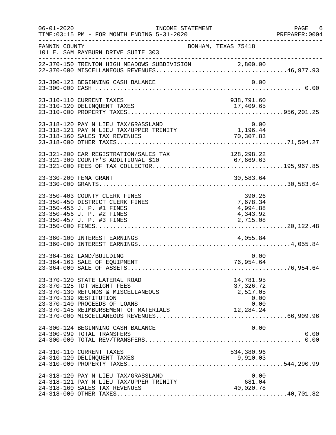| $06 - 01 - 2020$ | INCOME STATEMENT<br>TIME: 03:15 PM - FOR MONTH ENDING 5-31-2020                                                                                                                                      |                                                          | PAGE 6<br>PREPARER:0004 |
|------------------|------------------------------------------------------------------------------------------------------------------------------------------------------------------------------------------------------|----------------------------------------------------------|-------------------------|
| FANNIN COUNTY    | BONHAM, TEXAS 75418<br>101 E. SAM RAYBURN DRIVE SUITE 303                                                                                                                                            |                                                          |                         |
|                  |                                                                                                                                                                                                      |                                                          |                         |
|                  | 23-300-123 BEGINNING CASH BALANCE                                                                                                                                                                    |                                                          | 0.00                    |
|                  | 23-310-110 CURRENT TAXES                                                                                                                                                                             | 938,791.60                                               |                         |
|                  | 23-318-120 PAY N LIEU TAX/GRASSLAND<br>23-318-121 PAY N LIEU TAX/UPPER TRINITY<br>23-318-160 SALES TAX REVENUES                                                                                      | 0.00<br>1,196.44<br>70,307.83                            |                         |
|                  | 23-321-200 CAR REGISTRATION/SALES TAX<br>23-321-300 COUNTY'S ADDITIONAL \$10                                                                                                                         | 128,298.22<br>67,669.63                                  |                         |
|                  | 23-330-200 FEMA GRANT                                                                                                                                                                                | 30,583.64                                                |                         |
|                  | 23-350-403 COUNTY CLERK FINES<br>23-350-450 DISTRICT CLERK FINES<br>23-350-455 J. P. #1 FINES<br>23-350-456 J. P. #2 FINES<br>23-350-457 J. P. #3 FINES                                              | 390.26<br>7,678.34<br>4,994.88<br>4,343.92<br>2,715.08   |                         |
|                  | 23-360-100 INTEREST EARNINGS                                                                                                                                                                         | 4,055.84                                                 |                         |
|                  | 23-364-162 LAND/BUILDING<br>23-364-163 SALE OF EQUIPMENT                                                                                                                                             | 76,954.64                                                | 0.00                    |
|                  | 23-370-120 STATE LATERAL ROAD<br>23-370-125 TDT WEIGHT FEES<br>23-370-130 REFUNDS & MISCELLANEOUS<br>23-370-139 RESTITUTION<br>23-370-140 PROCEEDS OF LOANS<br>23-370-145 REIMBURSEMENT OF MATERIALS | 14,781.95<br>37, 326.72<br>2,517.05<br>0.00<br>12,284.24 | 0.00                    |
|                  | 24-300-124 BEGINNING CASH BALANCE<br>24-300-999 TOTAL TRANSFERS                                                                                                                                      |                                                          | 0.00<br>0.00            |
|                  | 24-310-110 CURRENT TAXES<br>24-310-120 DELINQUENT TAXES                                                                                                                                              | 534,380.96<br>9,910.03                                   |                         |
|                  | 24-318-120 PAY N LIEU TAX/GRASSLAND<br>24-318-121 PAY N LIEU TAX/UPPER TRINITY<br>24-318-160 SALES TAX REVENUES                                                                                      | 681.04<br>40,020.78                                      | 0.00                    |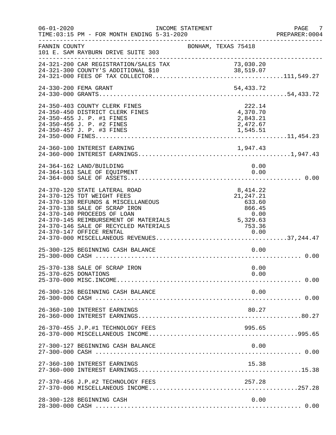| $06 - 01 - 2020$     | INCOME STATEMENT<br>TIME: 03:15 PM - FOR MONTH ENDING 5-31-2020                                                                                                                                                                                     |                                                                                  | PAGE 7<br>PREPARER:0004 |
|----------------------|-----------------------------------------------------------------------------------------------------------------------------------------------------------------------------------------------------------------------------------------------------|----------------------------------------------------------------------------------|-------------------------|
| FANNIN COUNTY        | 101 E. SAM RAYBURN DRIVE SUITE 303                                                                                                                                                                                                                  | BONHAM, TEXAS 75418                                                              |                         |
|                      | 24-321-200 CAR REGISTRATION/SALES TAX                                                                                                                                                                                                               |                                                                                  |                         |
|                      | 24-330-200 FEMA GRANT                                                                                                                                                                                                                               | 54,433.72                                                                        |                         |
|                      | 24-350-403 COUNTY CLERK FINES<br>24-350-450 DISTRICT CLERK FINES<br>24-350-455 J. P. #1 FINES<br>24-350-456 J. P. #2 FINES<br>24-350-457 J. P. #3 FINES                                                                                             | 222.14<br>4,370.70<br>2,843.21<br>2,472.67<br>1,545.51                           |                         |
|                      |                                                                                                                                                                                                                                                     |                                                                                  |                         |
|                      | 24-364-162 LAND/BUILDING<br>24-364-163 SALE OF EQUIPMENT                                                                                                                                                                                            | 0.00                                                                             | 0.00                    |
|                      | 24-370-120 STATE LATERAL ROAD<br>24-370-125 TDT WEIGHT FEES<br>24-370-130 REFUNDS & MISCELLANEOUS<br>24-370-138 SALE OF SCRAP IRON<br>24-370-140 PROCEEDS OF LOAN<br>24-370-145 REIMBURSEMENT OF MATERIALS<br>24-370-146 SALE OF RECYCLED MATERIALS | 8, 414.22<br>21, 247. 21<br>633.60<br>866.45<br>0 . 00<br>5 , 329 . 63<br>753.36 |                         |
|                      | 25-300-125 BEGINNING CASH BALANCE                                                                                                                                                                                                                   |                                                                                  | 0.00                    |
| 25-370-625 DONATIONS | 25-370-138 SALE OF SCRAP IRON                                                                                                                                                                                                                       | 0.00                                                                             | 0.00                    |
|                      | 26-300-126 BEGINNING CASH BALANCE                                                                                                                                                                                                                   |                                                                                  | 0.00                    |
|                      | 26-360-100 INTEREST EARNINGS                                                                                                                                                                                                                        | 80.27                                                                            |                         |
|                      | 26-370-455 J.P.#1 TECHNOLOGY FEES                                                                                                                                                                                                                   | 995.65                                                                           |                         |
|                      | 27-300-127 BEGINNING CASH BALANCE                                                                                                                                                                                                                   |                                                                                  | 0.00                    |
|                      | 27-360-100 INTEREST EARNINGS                                                                                                                                                                                                                        | 15.38                                                                            |                         |
|                      | 27-370-456 J.P.#2 TECHNOLOGY FEES                                                                                                                                                                                                                   | 257.28                                                                           |                         |
|                      | 28-300-128 BEGINNING CASH                                                                                                                                                                                                                           |                                                                                  | 0.00                    |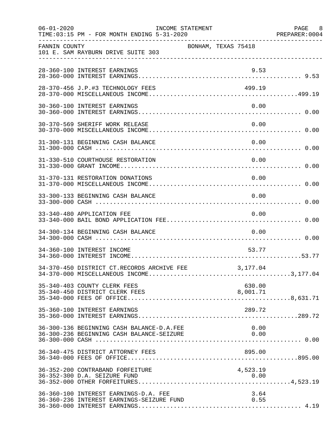| $06 - 01 - 2020$ | TIME: 03:15 PM - FOR MONTH ENDING 5-31-2020                                                                                         | INCOME STATEMENT    |                    | PAGE 8<br>PREPARER: 0004 |
|------------------|-------------------------------------------------------------------------------------------------------------------------------------|---------------------|--------------------|--------------------------|
| FANNIN COUNTY    | 101 E. SAM RAYBURN DRIVE SUITE 303                                                                                                  | BONHAM, TEXAS 75418 |                    |                          |
|                  | 28-360-100 INTEREST EARNINGS                                                                                                        |                     | 9.53               |                          |
|                  | 28-370-456 J.P.#3 TECHNOLOGY FEES                                                                                                   |                     | 499.19             |                          |
|                  | 30-360-100 INTEREST EARNINGS                                                                                                        |                     | 0.00               |                          |
|                  | 30-370-569 SHERIFF WORK RELEASE                                                                                                     |                     | 0.00               |                          |
|                  | 31-300-131 BEGINNING CASH BALANCE                                                                                                   |                     | 0.00               |                          |
|                  | 31-330-510 COURTHOUSE RESTORATION                                                                                                   |                     | 0.00               |                          |
|                  | 31-370-131 RESTORATION DONATIONS                                                                                                    |                     | 0.00               |                          |
|                  | 33-300-133 BEGINNING CASH BALANCE                                                                                                   |                     | 0.00               |                          |
|                  | 33-340-480 APPLICATION FEE                                                                                                          |                     | 0.00               |                          |
|                  | 34-300-134 BEGINNING CASH BALANCE                                                                                                   |                     | 0.00               |                          |
|                  | 34-360-100 INTEREST INCOME                                                                                                          |                     | 53.77              |                          |
|                  | 34-370-450 DISTRICT CT.RECORDS ARCHIVE FEE                                                                                          |                     | 3,177.04           |                          |
|                  | 35-340-403 COUNTY CLERK FEES<br>35-340-450 DISTRICT CLERK FEES                                                                      |                     | 630.00<br>8,001.71 |                          |
|                  | 35-360-100 INTEREST EARNINGS                                                                                                        |                     | 289.72             |                          |
|                  | 36-300-136 BEGINNING CASH BALANCE-D.A.FEE<br>36-300-136 BEGINNING CASH BALANCE-D.A.FEE<br>36-300-236 BEGINNING CASH BALANCE-SEIZURE |                     | 0.00<br>0.00       |                          |
|                  | 36-340-475 DISTRICT ATTORNEY FEES                                                                                                   |                     | 895.00             |                          |
|                  | 36-352-200 CONTRABAND FORFEITURE<br>36-352-300 D.A. SEIZURE FUND                                                                    |                     | 4,523.19<br>0.00   |                          |
|                  | 36-360-100 INTEREST EARNINGS-D.A. FEE<br>36-360-236 INTEREST EARNINGS-SEIZURE FUND                                                  |                     | 3.64<br>0.55       |                          |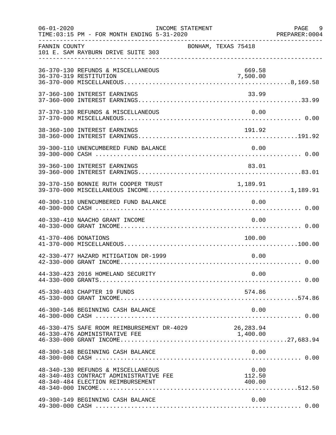| $06 - 01 - 2020$     | INCOME STATEMENT<br>TIME: 03:15 PM - FOR MONTH ENDING 5-31-2020                                                   |                     | PAGE 9<br>PREPARER: 0004 |
|----------------------|-------------------------------------------------------------------------------------------------------------------|---------------------|--------------------------|
| FANNIN COUNTY        | 101 E. SAM RAYBURN DRIVE SUITE 303                                                                                | BONHAM, TEXAS 75418 |                          |
|                      | 36-370-130 REFUNDS & MISCELLANEOUS<br>36-370-319 RESTITUTION                                                      | 669.58<br>7,500.00  |                          |
|                      | 37-360-100 INTEREST EARNINGS                                                                                      | 33.99               |                          |
|                      | 37-370-130 REFUNDS & MISCELLANEOUS                                                                                | 0.00                |                          |
|                      | 38-360-100 INTEREST EARNINGS                                                                                      | 191.92              |                          |
|                      | 39-300-110 UNENCUMBERED FUND BALANCE                                                                              | 0.00                |                          |
|                      | 39-360-100 INTEREST EARNINGS                                                                                      | 83.01               |                          |
|                      | 39-370-150 BONNIE RUTH COOPER TRUST 1,189.91                                                                      |                     |                          |
|                      | 40-300-110 UNENCUMBERED FUND BALANCE                                                                              | 0.00                |                          |
|                      | 40-330-410 NAACHO GRANT INCOME                                                                                    | 0.00                |                          |
| 41-370-406 DONATIONS |                                                                                                                   | 100.00              |                          |
|                      | 42-330-477 HAZARD MITIGATION DR-1999                                                                              | 0.00                |                          |
|                      | 44-330-423 2016 HOMELAND SECURITY                                                                                 | 0.00                |                          |
|                      | 45-330-403 CHAPTER 19 FUNDS                                                                                       | 574.86              |                          |
|                      | 46-300-146 BEGINNING CASH BALANCE                                                                                 | 0.00                |                          |
|                      | 46-330-475 SAFE ROOM REIMBURSEMENT DR-4029 26,283.94                                                              |                     |                          |
|                      | 48-300-148 BEGINNING CASH BALANCE                                                                                 | 0.00                |                          |
|                      | 48-340-130 REFUNDS & MISCELLANEOUS<br>48-340-403 CONTRACT ADMINISTRATIVE FEE<br>48-340-484 ELECTION REIMBURSEMENT | 0.00<br>112.50      |                          |
|                      | 49-300-149 BEGINNING CASH BALANCE                                                                                 | 0.00                |                          |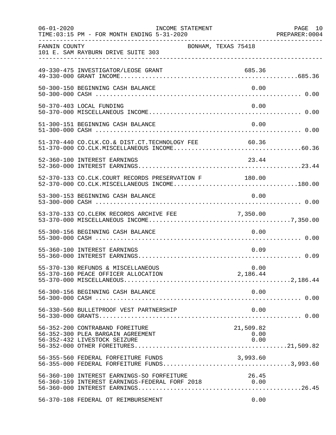| $06 - 01 - 2020$ | INCOME STATEMENT<br>TIME: 03:15 PM - FOR MONTH ENDING 5-31-2020                                                           |                           | PAGE 10<br>PREPARER: 0004 |
|------------------|---------------------------------------------------------------------------------------------------------------------------|---------------------------|---------------------------|
| FANNIN COUNTY    | 101 E. SAM RAYBURN DRIVE SUITE 303                                                                                        | BONHAM, TEXAS 75418       |                           |
|                  | 49-330-475 INVESTIGATOR/LEOSE GRANT                                                                                       | 685.36                    |                           |
|                  | 50-300-150 BEGINNING CASH BALANCE                                                                                         | 0.00                      |                           |
|                  | 50-370-403 LOCAL FUNDING                                                                                                  | 0.00                      |                           |
|                  | 51-300-151 BEGINNING CASH BALANCE                                                                                         | 0.00                      |                           |
|                  | 51-370-440 CO.CLK.CO.& DIST.CT.TECHNOLOGY FEE                                                                             | 60.36                     |                           |
|                  | 52-360-100 INTEREST EARNINGS                                                                                              | 23.44                     |                           |
|                  | 52-370-133 CO.CLK.COURT RECORDS PRESERVATION F 180.00<br>52-370-000 CO.CLK.MISCELLANEOUS INCOME180.00                     |                           |                           |
|                  | 53-300-153 BEGINNING CASH BALANCE                                                                                         | 0.00                      |                           |
|                  | 53-370-133 CO.CLERK RECORDS ARCHIVE FEE                                                                                   | 7,350.00                  |                           |
|                  | 55-300-156 BEGINNING CASH BALANCE                                                                                         | 0.00                      |                           |
|                  | 55-360-100 INTEREST EARNINGS                                                                                              | 0.09                      |                           |
|                  | 55-370-130 REFUNDS & MISCELLANEOUS                                                                                        | 0.00                      |                           |
|                  | 56-300-156 BEGINNING CASH BALANCE                                                                                         | 0.00                      |                           |
|                  | 56-330-560 BULLETPROOF VEST PARTNERSHIP                                                                                   | 0.00                      |                           |
|                  | 56-352-200 CONTRABAND FOREITURE<br>56-352-300 PLEA BARGAIN AGREEMENT<br>56-352-432 LIVESTOCK SEIZURE                      | 21,509.82<br>0.00<br>0.00 |                           |
|                  | 56-355-560 FEDERAL FORFEITURE FUNDS<br>56-355-560 FEDERAL FORFEITURE FUNDS<br>56-355-000 FEDERAL FORFEITURE FUNDS3,993.60 | 3,993.60                  |                           |
|                  | 56-360-100 INTEREST EARNINGS-SO FORFEITURE<br>56-360-159 INTEREST EARNINGS-FEDERAL FORF 2018 0.00                         | 26.45                     |                           |
|                  | 56-370-108 FEDERAL OT REIMBURSEMENT                                                                                       | 0.00                      |                           |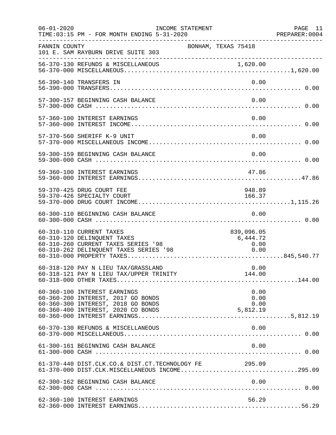| $06 - 01 - 2020$ | INCOME STATEMENT<br>TIME: 03:15 PM - FOR MONTH ENDING 5-31-2020                                                                                |                                        | PAGE 11<br>PREPARER:0004 |
|------------------|------------------------------------------------------------------------------------------------------------------------------------------------|----------------------------------------|--------------------------|
| FANNIN COUNTY    | 101 E. SAM RAYBURN DRIVE SUITE 303                                                                                                             | BONHAM, TEXAS 75418                    |                          |
|                  |                                                                                                                                                |                                        |                          |
|                  | 56-390-140 TRANSFERS IN                                                                                                                        | 0.00                                   |                          |
|                  | 57-300-157 BEGINNING CASH BALANCE                                                                                                              | 0.00                                   |                          |
|                  | 57-360-100 INTEREST EARNINGS                                                                                                                   | 0.00                                   |                          |
|                  | 57-370-560 SHERIFF K-9 UNIT                                                                                                                    | 0.00                                   |                          |
|                  | 59-300-159 BEGINNING CASH BALANCE                                                                                                              | 0.00                                   |                          |
|                  | 59-360-100 INTEREST EARNINGS                                                                                                                   | 47.86                                  |                          |
|                  | 59-370-425 DRUG COURT FEE<br>59-370-426 SPECIALTY COURT                                                                                        | 948.89<br>166.37                       |                          |
|                  | 60-300-110 BEGINNING CASH BALANCE                                                                                                              | 0.00                                   |                          |
|                  | 60-310-110 CURRENT TAXES<br>60-310-120 DELINQUENT TAXES<br>60-310-260 CURRENT TAXES SERIES '98<br>60-310-262 DELINQUENT TAXES SERIES '98       | 839,096.05<br>6,444.72<br>0.00<br>0.00 |                          |
|                  | 60-318-120 PAY N LIEU TAX/GRASSLAND                                                                                                            | 0.00                                   |                          |
|                  | 60-360-100 INTEREST EARNINGS<br>60-360-200 INTEREST, 2017 GO BONDS<br>60-360-300 INTEREST, 2018 GO BONDS<br>60-360-400 INTEREST, 2020 CO BONDS | 0.00<br>0.00<br>0.00<br>5,812.19       |                          |
|                  | 60-370-130 REFUNDS & MISCELLANEOUS                                                                                                             | 0.00                                   |                          |
|                  | 61-300-161 BEGINNING CASH BALANCE                                                                                                              | 0.00                                   |                          |
|                  | 61-370-440 DIST.CLK.CO.& DIST.CT.TECHNOLOGY FE 295.09<br>61-370-000 DIST.CLK.MISCELLANEOUS INCOME295.09                                        |                                        |                          |
|                  | 62-300-162 BEGINNING CASH BALANCE                                                                                                              | 0.00                                   |                          |
|                  | 62-360-100 INTEREST EARNINGS                                                                                                                   | 56.29                                  |                          |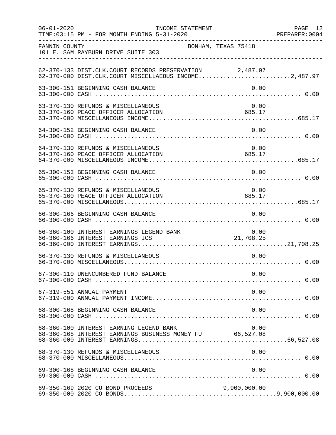| $06 - 01 - 2020$ | INCOME STATEMENT<br>TIME: 03:15 PM - FOR MONTH ENDING 5-31-2020                                                  |                                 | PAGE 12 |
|------------------|------------------------------------------------------------------------------------------------------------------|---------------------------------|---------|
| FANNIN COUNTY    | 101 E. SAM RAYBURN DRIVE SUITE 303                                                                               | BONHAM, TEXAS 75418             |         |
|                  | 62-370-133 DIST.CLK.COURT RECORDS PRESERVATION 2,487.97<br>62-370-000 DIST.CLK.COURT MISCELLAEOUS INCOME2,487.97 |                                 |         |
|                  | 63-300-151 BEGINNING CASH BALANCE                                                                                |                                 | 0.00    |
|                  | 63-370-130 REFUNDS & MISCELLANEOUS<br>63-370-160 PEACE OFFICER ALLOCATION                                        | 685.17                          | 0.00    |
|                  | 64-300-152 BEGINNING CASH BALANCE                                                                                |                                 | 0.00    |
|                  | 64-370-130 REFUNDS & MISCELLANEOUS<br>64-370-160 PEACE OFFICER ALLOCATION                                        | 685.17                          | 0.00    |
|                  | 65-300-153 BEGINNING CASH BALANCE                                                                                |                                 | 0.00    |
|                  | 65-370-130 REFUNDS & MISCELLANEOUS<br>65-370-160 PEACE OFFICER ALLOCATION                                        | 0.00<br>685.17                  |         |
|                  | 66-300-166 BEGINNING CASH BALANCE                                                                                | 0.00                            |         |
|                  | 66-360-100 INTEREST EARNINGS LEGEND BANK<br>66-360-166 INTEREST EARNINGS ICS                                     | 10.00 ND BANK 0.00<br>21,708.25 | 0.00    |
|                  | 66-370-130 REFUNDS & MISCELLANEOUS                                                                               |                                 | 0.00    |
|                  |                                                                                                                  |                                 |         |
|                  | 67-319-551 ANNUAL PAYMENT                                                                                        |                                 | 0.00    |
|                  | 68-300-168 BEGINNING CASH BALANCE                                                                                |                                 | 0.00    |
|                  | 68-360-100 INTEREST EARNING LEGEND BANK<br>68-360-168 INTEREST EARNINGS BUSINESS MONEY FU 66,527.08              |                                 | 0.00    |
|                  | 68-370-130 REFUNDS & MISCELLANEOUS                                                                               |                                 | 0.00    |
|                  |                                                                                                                  |                                 |         |
|                  | 69-350-169 2020 CO BOND PROCEEDS                                                                                 | 9,900,000.00                    |         |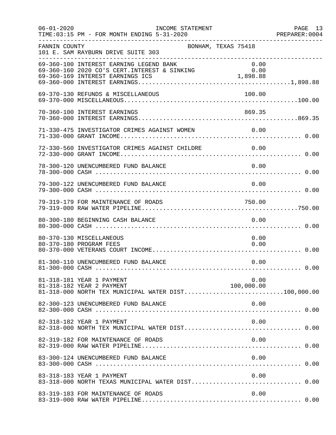| $06 - 01 - 2020$ | INCOME STATEMENT<br>TIME: 03:15 PM - FOR MONTH ENDING 5-31-2020                                               |                     | PAGE 13<br>PREPARER: 0004 |
|------------------|---------------------------------------------------------------------------------------------------------------|---------------------|---------------------------|
| FANNIN COUNTY    | 101 E. SAM RAYBURN DRIVE SUITE 303                                                                            | BONHAM, TEXAS 75418 |                           |
|                  | 69-360-100 INTEREST EARNING LEGEND BANK                                                                       | 0.00                |                           |
|                  | 69-370-130 REFUNDS & MISCELLANEOUS                                                                            | 100.00              |                           |
|                  | 70-360-100 INTEREST EARNINGS                                                                                  | 869.35              |                           |
|                  | 71-330-475 INVESTIGATOR CRIMES AGAINST WOMEN 0.00                                                             |                     |                           |
|                  | 72-330-560 INVESTIGATOR CRIMES AGAINST CHILDRE 0.00                                                           |                     |                           |
|                  | 78-300-120 UNENCUMBERED FUND BALANCE                                                                          | 0.00                |                           |
|                  | 79-300-122 UNENCUMBERED FUND BALANCE                                                                          | 0.00                |                           |
|                  | 79-319-179 FOR MAINTENANCE OF ROADS                                                                           | 750.00              |                           |
|                  | 80-300-180 BEGINNING CASH BALANCE                                                                             | 0.00                |                           |
|                  | 80-370-130 MISCELLANEOUS<br>80-370-180 PROGRAM FEES                                                           | 0.00<br>0.00        |                           |
|                  | 81-300-110 UNENCUMBERED FUND BALANCE                                                                          | 0.00                |                           |
|                  | 81-318-181 YEAR 1 PAYMENT<br>81-318-182 YEAR 2 PAYMENT<br>81-318-000 NORTH TEX MUNICIPAL WATER DIST100,000.00 | 0.00<br>100,000.00  |                           |
|                  | 82-300-123 UNENCUMBERED FUND BALANCE                                                                          | 0.00                |                           |
|                  | 82-318-182 YEAR 1 PAYMENT                                                                                     | 0.00                |                           |
|                  | 82-319-182 FOR MAINTENANCE OF ROADS                                                                           | 0.00                |                           |
|                  | 83-300-124 UNENCUMBERED FUND BALANCE                                                                          | 0.00                |                           |
|                  | 83-318-183 YEAR 1 PAYMENT<br>83-318-000 NORTH TEXAS MUNICIPAL WATER DIST 0.00                                 | 0.00                |                           |
|                  | 83-319-183 FOR MAINTENANCE OF ROADS                                                                           | 0.00                |                           |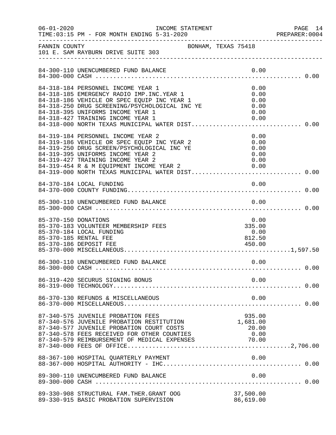| $06 - 01 - 2020$     | INCOME STATEMENT                                                                                                                                                                                                                                             |      |                                              | PAGE 14<br>PREPARER: 0004 |
|----------------------|--------------------------------------------------------------------------------------------------------------------------------------------------------------------------------------------------------------------------------------------------------------|------|----------------------------------------------|---------------------------|
|                      | ---------------<br>BONHAM, TEXAS 75418<br>-----------------------                                                                                                                                                                                            |      |                                              |                           |
|                      | 84-300-110 UNENCUMBERED FUND BALANCE                                                                                                                                                                                                                         |      | 0.00                                         |                           |
|                      | 84-318-184 PERSONNEL INCOME YEAR 1<br>84-318-185 EMERGENCY RADIO IMP. INC. YEAR 1<br>84-318-186 VEHICLE OR SPEC EQUIP INC YEAR 1<br>84-318-250 DRUG SCREENING/PSYCHOLOGICAL INC YE<br>84-318-395 UNIFORMS INCOME YEAR 1<br>84-318-427 TRAINING INCOME YEAR 1 |      | 0.00<br>0.00<br>0.00<br>0.00<br>0.00<br>0.00 |                           |
|                      | 84-319-184 PERSONNEL INCOME YEAR 2<br>84-319-186 VEHICLE OR SPEC EQUIP INC YEAR 2<br>84-319-250 DRUG SCREEN/PSYCHOLOGICAL INC YE<br>84-319-395 UNIFORMS INCOME YEAR 2<br>84-319-427 TRAINING INCOME YEAR 2<br>84-319-454 R & M EQUIPMENT INCOME YEAR 2 0.00  |      | 0.00<br>0.00<br>0.00<br>0.00<br>0.00         |                           |
|                      | 84-370-184 LOCAL FUNDING                                                                                                                                                                                                                                     |      | 0.00                                         |                           |
|                      | 85-300-110 UNENCUMBERED FUND BALANCE                                                                                                                                                                                                                         |      | 0.00                                         |                           |
| 85-370-150 DONATIONS | 85-370-183 VOLUNTEER MEMBERSHIP FEES<br>85-370-184 LOCAL FUNDING<br>85-370-185 RENTAL FEE<br>85-370-186 DEPOSIT FEE                                                                                                                                          |      | 0.00<br>335.00<br>0.00<br>812.50<br>450.00   |                           |
|                      | 86-300-110 UNENCUMBERED FUND BALANCE                                                                                                                                                                                                                         | 0.00 |                                              |                           |
|                      | 86-319-420 SECURUS SIGNING BONUS                                                                                                                                                                                                                             |      | 0.00                                         |                           |
|                      | 86-370-130 REFUNDS & MISCELLANEOUS                                                                                                                                                                                                                           |      | 0.00                                         |                           |
|                      | 87-340-575 JUVENILE PROBATION FEES<br>87-340-576 JUVENILE PROBATION RESTITUTION<br>87-340-577 JUVENILE PROBATION COURT COSTS<br>87-340-578 FEES RECEIVED FOR OTHER COUNTIES                                                                                  |      | 935.00<br>1,681.00<br>20.00<br>0.00          |                           |
|                      |                                                                                                                                                                                                                                                              |      |                                              |                           |
|                      | 89-300-110 UNENCUMBERED FUND BALANCE                                                                                                                                                                                                                         |      | 0.00                                         |                           |
|                      | 89-330-908 STRUCTURAL FAM. THER. GRANT OOG<br>89-330-915 BASIC PROBATION SUPERVISION                                                                                                                                                                         |      | 37,500.00<br>86,619.00                       |                           |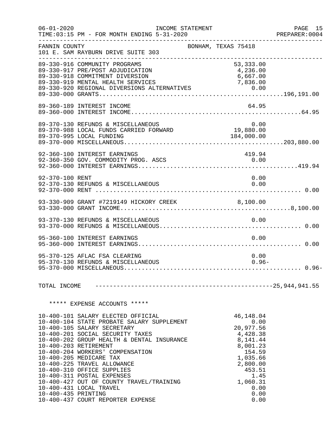| $06 - 01 - 2020$    | TIME: 03:15 PM - FOR MONTH ENDING 5-31-2020                                                                                                                                                                                                                                                                                                                                                                                                                 | INCOME STATEMENT |                                                                                                                    | PAGE 15<br>PREPARER: 0004 |
|---------------------|-------------------------------------------------------------------------------------------------------------------------------------------------------------------------------------------------------------------------------------------------------------------------------------------------------------------------------------------------------------------------------------------------------------------------------------------------------------|------------------|--------------------------------------------------------------------------------------------------------------------|---------------------------|
| FANNIN COUNTY       | 101 E. SAM RAYBURN DRIVE SUITE 303                                                                                                                                                                                                                                                                                                                                                                                                                          |                  | BONHAM, TEXAS 75418                                                                                                |                           |
|                     | 89-330-916 COMMUNITY PROGRAMS<br>89-330-917 PRE/POST ADJUDICATION<br>89-330-918 COMMITMENT DIVERSION<br>89-330-919 MENTAL HEALTH SERVICES                                                                                                                                                                                                                                                                                                                   |                  | 53,333.00<br>4,236.00<br>6,667.00                                                                                  |                           |
|                     | 89-360-189 INTEREST INCOME                                                                                                                                                                                                                                                                                                                                                                                                                                  |                  | 64.95                                                                                                              |                           |
|                     | 89-370-130 REFUNDS & MISCELLANEOUS 0.00<br>89-370-988 LOCAL FUNDS CARRIED FORWARD 19,880.00<br>89-370-995 LOCAL FUNDING 184,000.00                                                                                                                                                                                                                                                                                                                          |                  |                                                                                                                    |                           |
|                     | 92-360-100 INTEREST EARNINGS<br>92-360-350 GOV. COMMODITY PROG. ASCS                                                                                                                                                                                                                                                                                                                                                                                        |                  | 419.94<br>0.00                                                                                                     |                           |
| 92-370-100 RENT     | 92-370-130 REFUNDS & MISCELLANEOUS                                                                                                                                                                                                                                                                                                                                                                                                                          |                  | 0.00                                                                                                               | 0.00                      |
|                     |                                                                                                                                                                                                                                                                                                                                                                                                                                                             |                  |                                                                                                                    |                           |
|                     | 93-370-130 REFUNDS & MISCELLANEOUS                                                                                                                                                                                                                                                                                                                                                                                                                          |                  | 0.00                                                                                                               |                           |
|                     | 95-360-100 INTEREST EARNINGS                                                                                                                                                                                                                                                                                                                                                                                                                                |                  |                                                                                                                    | 0.00                      |
|                     | 95-370-125 AFLAC FSA CLEARING<br>95-370-130 REFUNDS & MISCELLANEOUS                                                                                                                                                                                                                                                                                                                                                                                         |                  |                                                                                                                    | 0.00<br>$0.96-$           |
| TOTAL INCOME        |                                                                                                                                                                                                                                                                                                                                                                                                                                                             |                  |                                                                                                                    |                           |
|                     | ***** EXPENSE ACCOUNTS *****                                                                                                                                                                                                                                                                                                                                                                                                                                |                  |                                                                                                                    |                           |
|                     | 10-400-101 SALARY ELECTED OFFICIAL<br>10-400-104 STATE PROBATE SALARY SUPPLEMENT<br>10-400-105 SALARY SECRETARY<br>10-400-201 SOCIAL SECURITY TAXES<br>10-400-202 GROUP HEALTH & DENTAL INSURANCE<br>10-400-203 RETIREMENT<br>10-400-204 WORKERS' COMPENSATION<br>10-400-205 MEDICARE TAX<br>10-400-225 TRAVEL ALLOWANCE<br>10-400-310 OFFICE SUPPLIES<br>10-400-311 POSTAL EXPENSES<br>10-400-427 OUT OF COUNTY TRAVEL/TRAINING<br>10-400-431 LOCAL TRAVEL |                  | 46,148.04<br>20,977.56<br>4,428.38<br>8,141.44<br>8,001.23<br>154.59<br>1,035.66<br>2,800.00<br>453.51<br>1,060.31 | 0.00<br>1.45<br>0.00      |
| 10-400-435 PRINTING | 10-400-437 COURT REPORTER EXPENSE                                                                                                                                                                                                                                                                                                                                                                                                                           |                  |                                                                                                                    | 0.00<br>0.00              |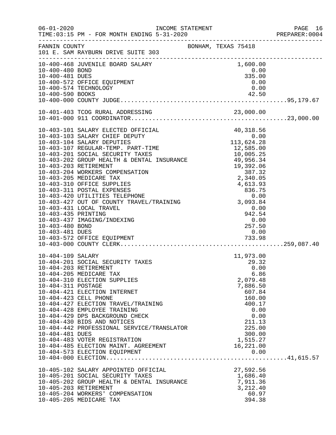| $06 - 01 - 2020$    | INCOME STATEMENT<br>TIME: 03:15 PM - FOR MONTH ENDING 5-31-2020     |                            | PAGE 16<br>PREPARER:0004 |
|---------------------|---------------------------------------------------------------------|----------------------------|--------------------------|
| FANNIN COUNTY       | 101 E. SAM RAYBURN DRIVE SUITE 303                                  | BONHAM, TEXAS 75418        |                          |
| 10-400-480 BOND     | 10-400-468 JUVENILE BOARD SALARY                                    | 1,600.00<br>0.00<br>335.00 |                          |
| 10-400-481 DUES     | 10-400-572 OFFICE EQUIPMENT                                         | 0.00                       |                          |
|                     | 10-400-574 TECHNOLOGY                                               | 0.00                       |                          |
|                     |                                                                     |                            |                          |
|                     |                                                                     |                            |                          |
|                     |                                                                     |                            |                          |
|                     |                                                                     |                            |                          |
|                     |                                                                     |                            |                          |
|                     |                                                                     |                            |                          |
|                     |                                                                     |                            |                          |
|                     |                                                                     |                            |                          |
|                     |                                                                     |                            |                          |
|                     |                                                                     |                            |                          |
|                     |                                                                     |                            |                          |
|                     |                                                                     |                            |                          |
|                     | 10-403-431 LOCAL TRAVEL                                             | 0.00                       |                          |
| 10-403-435 PRINTING |                                                                     | $942.54$<br>0.00<br>257.50 |                          |
| 10-403-480 BOND     | 10-403-437 IMAGING/INDEXING                                         | 257.50                     |                          |
| 10-403-481 DUES     |                                                                     | 0.00                       |                          |
|                     |                                                                     |                            |                          |
|                     |                                                                     |                            |                          |
| 10-404-109 SALARY   |                                                                     | 11,973.00                  |                          |
|                     | 10-404-201 SOCIAL SECURITY TAXES                                    | 29.32                      |                          |
|                     | 10-404-203 RETIREMENT<br>10-404-205 MEDICARE TAX                    | 0.00<br>6.86               |                          |
|                     | 10-404-310 ELECTION SUPPLIES                                        | 2,079.48                   |                          |
| 10-404-311 POSTAGE  |                                                                     | 7,886.50                   |                          |
|                     | 10-404-421 ELECTION INTERNET                                        | 607.84                     |                          |
|                     | 10-404-423 CELL PHONE<br>10-404-427 ELECTION TRAVEL/TRAINING        | 160.00<br>400.17           |                          |
|                     | 10-404-428 EMPLOYEE TRAINING                                        | 0.00                       |                          |
|                     | 10-404-429 DPS BACKGROUND CHECK                                     | 0.00                       |                          |
|                     | 10-404-430 BIDS AND NOTICES                                         | 211.13                     |                          |
|                     | 10-404-442 PROFESSIONAL SERVICE/TRANSLATOR                          | 225.00                     |                          |
| 10-404-481 DUES     | 10-404-483 VOTER REGISTRATION                                       | 300.00<br>1,515.27         |                          |
|                     | 10-404-485 ELECTION MAINT. AGREEMENT                                | 16,221.00                  |                          |
|                     | 10-404-573 ELECTION EQUIPMENT                                       | 0.00                       |                          |
|                     |                                                                     |                            |                          |
|                     | 10-405-102 SALARY APPOINTED OFFICIAL                                | 27,592.56                  |                          |
|                     | 10-405-201 SOCIAL SECURITY TAXES                                    | 1,686.40                   |                          |
|                     | 10-405-202 GROUP HEALTH & DENTAL INSURANCE<br>10-405-203 RETIREMENT | 7,911.36<br>3,212.40       |                          |
|                     | 10-405-204 WORKERS' COMPENSATION                                    | 60.97                      |                          |
|                     | 10-405-205 MEDICARE TAX                                             | 394.38                     |                          |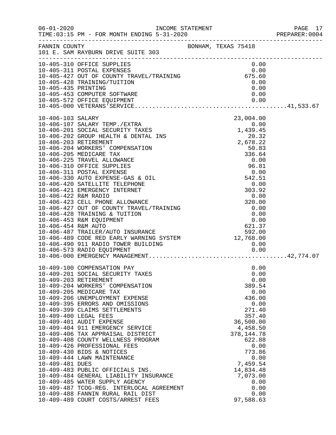|                     |                                                                                                                                                                                                                                                                                                                                                                                                                                                                                                                                                                                                                                                                                                                                                                        |                                                                                                                                                                                                                                     | PAGE 17<br>PREPARER: 0004 |
|---------------------|------------------------------------------------------------------------------------------------------------------------------------------------------------------------------------------------------------------------------------------------------------------------------------------------------------------------------------------------------------------------------------------------------------------------------------------------------------------------------------------------------------------------------------------------------------------------------------------------------------------------------------------------------------------------------------------------------------------------------------------------------------------------|-------------------------------------------------------------------------------------------------------------------------------------------------------------------------------------------------------------------------------------|---------------------------|
|                     | FANNIN COUNTY<br>101 E. SAM RAYBURN DRIVE SUITE 303                                                                                                                                                                                                                                                                                                                                                                                                                                                                                                                                                                                                                                                                                                                    |                                                                                                                                                                                                                                     |                           |
| 10-405-435 PRINTING | 10-405-310 OFFICE SUPPLIES<br>10-405-310 OFFICE SUFFILES<br>10-405-311 POSTAL EXPENSES<br>10-405-427 OUT OF COUNTY TRAVEL/TRAINING (675.60<br>10-405-428 TRAINING/TUITION (0.00<br>10-405-453 COMPUTER SOFTWARE<br>10-405-572 OFFICE EQUIPMENT<br>10-405 200 ********                                                                                                                                                                                                                                                                                                                                                                                                                                                                                                  | 0.00<br>0.00<br>0.00<br>0.00                                                                                                                                                                                                        |                           |
| 10-406-103 SALARY   | 10-400 454 KWM ACTO<br>10-406-487 TRAILER/AUTO INSURANCE<br>12,768.00 10-406-489 CODE RED EARLY WARNING SYSTEM 12,768.00<br>10-406-490 911 RADIO TOWER BUILDING                                                                                                                                                                                                                                                                                                                                                                                                                                                                                                                                                                                                        | 23,004.00<br>0.00                                                                                                                                                                                                                   |                           |
| 10-409-481 DUES     | 10-409-100 COMPENSATION PAY<br>10-409-201 SOCIAL SECURITY TAXES<br>10-409-203 RETIREMENT<br>10-409-204 WORKERS' COMPENSATION<br>10-409-205 MEDICARE TAX<br>10-409-206 UNEMPLOYMENT EXPENSE<br>10-409-395 ERRORS AND OMISSIONS<br>10-409-399 CLAIMS SETTLEMENTS<br>10-409-400 LEGAL FEES<br>10-409-401 AUDIT EXPENSE<br>10-409-404 911 EMERGENCY SERVICE<br>10-409-406 TAX APPRAISAL DISTRICT<br>10-409-408 COUNTY WELLNESS PROGRAM<br>10-409-426 PROFESSIONAL FEES<br>10-409-430 BIDS & NOTICES<br>10-409-444 LAWN MAINTENANCE<br>10-409-483 PUBLIC OFFICIALS INS.<br>10-409-484 GENERAL LIABILITY INSURANCE<br>10-409-485 WATER SUPPLY AGENCY<br>10-409-487 TCOG-REG. INTERLOCAL AGREEMENT<br>10-409-488 FANNIN RURAL RAIL DIST<br>10-409-489 COURT COSTS/ARREST FEES | 0.00<br>0.00<br>0.00<br>389.54<br>0.00<br>436.00<br>0.00<br>271.40<br>357.40<br>36,500.00<br>4,458.50<br>378, 144. 78<br>622.88<br>0.00<br>773.86<br>0.00<br>7,459.54<br>14,834.48<br>7,073.00<br>0.00<br>0.00<br>0.00<br>97,588.63 |                           |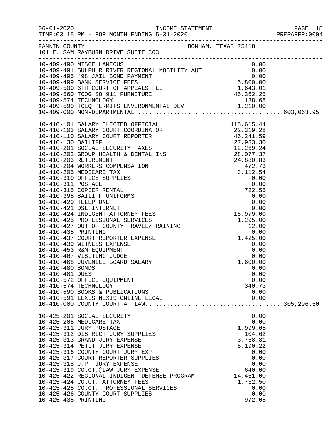|                     | FANNIN COUNTY BONHAM, TEXAS 75418<br>101 E. SAM RAYBURN DRIVE SUITE 303                                                                                                                                                                                                                                                                                                                                                                                                                                    |                                                                                                                                                 |  |
|---------------------|------------------------------------------------------------------------------------------------------------------------------------------------------------------------------------------------------------------------------------------------------------------------------------------------------------------------------------------------------------------------------------------------------------------------------------------------------------------------------------------------------------|-------------------------------------------------------------------------------------------------------------------------------------------------|--|
|                     | 10-409-490 MISCELLANEOUS<br>10-409-491 SULPHUR RIVER REGIONAL MOBILITY AUT<br>10-409-495 '98 JAIL BOND PAYMENT<br>10-409-500 6TH COURT OF APPEALS FEE<br>10-409-560 TCOG SO 911 FURNITURE<br>10-409-574 TECHNOLOGY<br>10-409-590 TCEQ PERM                                                                                                                                                                                                                                                                 |                                                                                                                                                 |  |
| 10-410-481 DUES     | 10-410-572 OFFICE EQUIPMENT<br>10-410-574 TECHNOLOGY<br>10-410-590 BOOKS & PUBLICATIONS<br>10-410-591 LEXIS NEXIS ONLINE LEGAL                                                                                                                                                                                                                                                                                                                                                                             | 0.00<br>0.00<br>340.73<br>0.00<br>0.00                                                                                                          |  |
| 10-425-435 PRINTING | 10-425-201 SOCIAL SECURITY<br>10-425-205 MEDICARE TAX<br>10-425-311 JURY POSTAGE<br>10-425-312 DISTRICT JURY SUPPLIES<br>10-425-313 GRAND JURY EXPENSE<br>10-425-314 PETIT JURY EXPENSE<br>10-425-316 COUNTY COURT JURY EXP.<br>10-425-317 COURT REPORTER SUPPLIES<br>10-425-318 J.P. JURY EXPENSE<br>10-425-319 CO.CT.@LAW JURY EXPENSE<br>10-425-422 REGIONAL INDIGENT DEFENSE PROGRAM<br>10-425-424 CO.CT. ATTORNEY FEES<br>10-425-425 CO.CT. PROFESSIONAL SERVICES<br>10-425-426 COUNTY COURT SUPPLIES | 0.00<br>0.00<br>1,999.65<br>104.62<br>3,768.81<br>5,190.22<br>0.00<br>0.00<br>0.00<br>640.00<br>14,461.00<br>1,732.50<br>0.00<br>0.00<br>972.05 |  |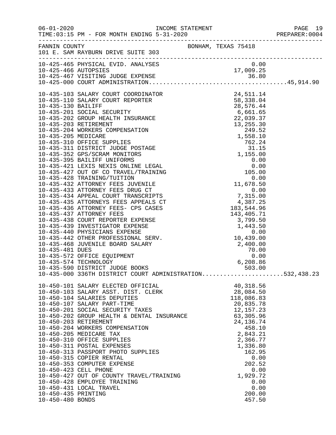|                     |                                                                                                                                                                                                                                                                                                                                                                                                                                                                                                                                                                                                                |                                                                                                                                                                                                                   | PREPARER: 0004 |
|---------------------|----------------------------------------------------------------------------------------------------------------------------------------------------------------------------------------------------------------------------------------------------------------------------------------------------------------------------------------------------------------------------------------------------------------------------------------------------------------------------------------------------------------------------------------------------------------------------------------------------------------|-------------------------------------------------------------------------------------------------------------------------------------------------------------------------------------------------------------------|----------------|
|                     | FANNIN COUNTY<br>101 E. SAM RAYBURN DRIVE SUITE 303                                                                                                                                                                                                                                                                                                                                                                                                                                                                                                                                                            | BONHAM, TEXAS 75418                                                                                                                                                                                               |                |
|                     |                                                                                                                                                                                                                                                                                                                                                                                                                                                                                                                                                                                                                |                                                                                                                                                                                                                   |                |
|                     |                                                                                                                                                                                                                                                                                                                                                                                                                                                                                                                                                                                                                |                                                                                                                                                                                                                   |                |
|                     | 10-435-000 336TH DISTRICT COURT ADMINISTRATION532,438.23                                                                                                                                                                                                                                                                                                                                                                                                                                                                                                                                                       |                                                                                                                                                                                                                   |                |
| 10-450-435 PRINTING | 10-450-101 SALARY ELECTED OFFICIAL<br>10-450-103 SALARY ASST. DIST. CLERK<br>10-450-104 SALARIES DEPUTIES<br>10-450-107 SALARY PART-TIME<br>10-450-201 SOCIAL SECURITY TAXES<br>10-450-202 GROUP HEALTH & DENTAL INSURANCE<br>10-450-203 RETIREMENT<br>10-450-204 WORKERS COMPENSATION<br>10-450-205 MEDICARE TAX<br>10-450-310 OFFICE SUPPLIES<br>10-450-311 POSTAL EXPENSES<br>10-450-313 PASSPORT PHOTO SUPPLIES<br>10-450-315 COPIER RENTAL<br>10-450-353 COMPUTER EXPENSE<br>10-450-423 CELL PHONE<br>10-450-427 OUT OF COUNTY TRAVEL/TRAINING<br>10-450-428 EMPLOYEE TRAINING<br>10-450-431 LOCAL TRAVEL | 40,318.56<br>28,084.50<br>118,086.83<br>20,835.78<br>12,157.23<br>63,305.96<br>24, 136.74<br>458.10<br>2,843.21<br>2,366.77<br>1,336.80<br>162.95<br>0.00<br>202.52<br>0.00<br>1,929.72<br>0.00<br>0.00<br>200.00 |                |
| 10-450-480 BONDS    |                                                                                                                                                                                                                                                                                                                                                                                                                                                                                                                                                                                                                | 457.50                                                                                                                                                                                                            |                |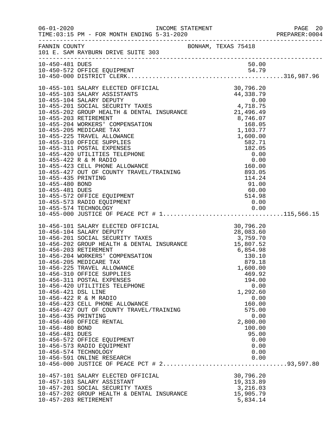|                     |                                                                                                                                                                                                                                                                                                                                                                          |  |                | PREPARER: 0004 |
|---------------------|--------------------------------------------------------------------------------------------------------------------------------------------------------------------------------------------------------------------------------------------------------------------------------------------------------------------------------------------------------------------------|--|----------------|----------------|
|                     | FANNIN COUNTY BONHAM, TEXAS 75418<br>101 E. SAM RAYBURN DRIVE SUITE 303                                                                                                                                                                                                                                                                                                  |  |                |                |
|                     |                                                                                                                                                                                                                                                                                                                                                                          |  |                |                |
| 10-450-481 DUES     |                                                                                                                                                                                                                                                                                                                                                                          |  | 50.00          |                |
|                     |                                                                                                                                                                                                                                                                                                                                                                          |  |                |                |
|                     |                                                                                                                                                                                                                                                                                                                                                                          |  |                |                |
|                     |                                                                                                                                                                                                                                                                                                                                                                          |  |                |                |
|                     |                                                                                                                                                                                                                                                                                                                                                                          |  |                |                |
|                     |                                                                                                                                                                                                                                                                                                                                                                          |  |                |                |
|                     |                                                                                                                                                                                                                                                                                                                                                                          |  |                |                |
|                     | 10-455-101 SALARY ELECTED OFFICIAL 30,796.20<br>10-455-103 SALARY ASSISTANTS 44,338.79<br>10-455-201 SOCIAL SECURITY TAXES 4,718.75<br>10-455-202 GROUP HEALTH & DENTAL INSURANCE 21,496.49                                                                                                                                                                              |  |                |                |
|                     |                                                                                                                                                                                                                                                                                                                                                                          |  |                |                |
|                     |                                                                                                                                                                                                                                                                                                                                                                          |  |                |                |
|                     |                                                                                                                                                                                                                                                                                                                                                                          |  |                |                |
|                     |                                                                                                                                                                                                                                                                                                                                                                          |  |                |                |
|                     |                                                                                                                                                                                                                                                                                                                                                                          |  |                |                |
|                     |                                                                                                                                                                                                                                                                                                                                                                          |  |                |                |
|                     |                                                                                                                                                                                                                                                                                                                                                                          |  |                |                |
|                     |                                                                                                                                                                                                                                                                                                                                                                          |  |                |                |
|                     |                                                                                                                                                                                                                                                                                                                                                                          |  |                |                |
|                     |                                                                                                                                                                                                                                                                                                                                                                          |  |                |                |
|                     |                                                                                                                                                                                                                                                                                                                                                                          |  |                |                |
|                     |                                                                                                                                                                                                                                                                                                                                                                          |  |                |                |
|                     |                                                                                                                                                                                                                                                                                                                                                                          |  |                |                |
|                     |                                                                                                                                                                                                                                                                                                                                                                          |  |                |                |
|                     |                                                                                                                                                                                                                                                                                                                                                                          |  |                |                |
|                     |                                                                                                                                                                                                                                                                                                                                                                          |  |                |                |
|                     | $\begin{tabular}{lllllllllllllllllllll} 10-456-101 & \texttt{SALARY ELECTED OFFICIAL} & & & & & & 30,796.20 \\ 10-456-104 & \texttt{SALARY DEPUTY} & & & & & 30,796.20 \\ 10-456-201 & \texttt{SOCIAL SECURITY TAXES} & & & 28,083.60 \\ 10-456-202 & \texttt{GROUP HEALTH & \texttt{DENTAL INSURANCE} & & 3,759.70 \\ 10-456-203 & \texttt{RETIREMENT} & & & 15,807.52$ |  |                |                |
|                     |                                                                                                                                                                                                                                                                                                                                                                          |  |                |                |
|                     |                                                                                                                                                                                                                                                                                                                                                                          |  |                |                |
|                     |                                                                                                                                                                                                                                                                                                                                                                          |  |                |                |
|                     |                                                                                                                                                                                                                                                                                                                                                                          |  |                |                |
|                     |                                                                                                                                                                                                                                                                                                                                                                          |  |                |                |
|                     |                                                                                                                                                                                                                                                                                                                                                                          |  |                |                |
|                     | 10-456-225 TRAVEL ALLOWANCE                                                                                                                                                                                                                                                                                                                                              |  | 1,600.00       |                |
|                     | 10-456-310 OFFICE SUPPLIES                                                                                                                                                                                                                                                                                                                                               |  | 469.92         |                |
|                     | 10-456-311 POSTAL EXPENSES                                                                                                                                                                                                                                                                                                                                               |  | 194.00         |                |
|                     | 10-456-420 UTILITIES TELEPHONE                                                                                                                                                                                                                                                                                                                                           |  | 0.00           |                |
| 10-456-421 DSL LINE |                                                                                                                                                                                                                                                                                                                                                                          |  | 1,292.60       |                |
|                     | 10-456-422 R & M RADIO<br>10-456-423 CELL PHONE ALLOWANCE                                                                                                                                                                                                                                                                                                                |  | 0.00<br>160.00 |                |
|                     | 10-456-427 OUT OF COUNTY TRAVEL/TRAINING                                                                                                                                                                                                                                                                                                                                 |  | 575.00         |                |
| 10-456-435 PRINTING |                                                                                                                                                                                                                                                                                                                                                                          |  | 0.00           |                |
|                     | 10-456-460 OFFICE RENTAL                                                                                                                                                                                                                                                                                                                                                 |  | 2,800.00       |                |
| 10-456-480 BOND     |                                                                                                                                                                                                                                                                                                                                                                          |  | 100.00         |                |
| 10-456-481 DUES     |                                                                                                                                                                                                                                                                                                                                                                          |  | 95.00          |                |
|                     | 10-456-572 OFFICE EQUIPMENT                                                                                                                                                                                                                                                                                                                                              |  | 0.00           |                |
|                     | 10-456-573 RADIO EQUIPMENT                                                                                                                                                                                                                                                                                                                                               |  | 0.00           |                |
|                     | 10-456-574 TECHNOLOGY                                                                                                                                                                                                                                                                                                                                                    |  | 0.00           |                |
|                     | 10-456-591 ONLINE RESEARCH                                                                                                                                                                                                                                                                                                                                               |  | 0.00           |                |
|                     |                                                                                                                                                                                                                                                                                                                                                                          |  |                |                |
|                     | 10-457-101 SALARY ELECTED OFFICIAL                                                                                                                                                                                                                                                                                                                                       |  | 30,796.20      |                |
|                     | 10-457-103 SALARY ASSISTANT                                                                                                                                                                                                                                                                                                                                              |  | 19,313.89      |                |
|                     | 10-457-201 SOCIAL SECURITY TAXES                                                                                                                                                                                                                                                                                                                                         |  | 3,216.03       |                |
|                     | 10-457-202 GROUP HEALTH & DENTAL INSURANCE                                                                                                                                                                                                                                                                                                                               |  | 15,905.79      |                |
|                     | 10-457-203 RETIREMENT                                                                                                                                                                                                                                                                                                                                                    |  | 5,834.14       |                |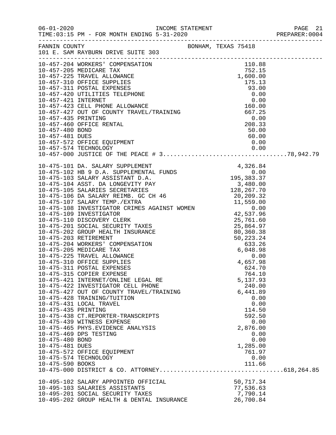|                                    |                                                                                                                                                                                                                                                                  |                                                 | PREPARER:0004 |
|------------------------------------|------------------------------------------------------------------------------------------------------------------------------------------------------------------------------------------------------------------------------------------------------------------|-------------------------------------------------|---------------|
|                                    | BONHAM, TEXAS 75418<br>101 E. SAM RAYBURN DRIVE SUITE 303                                                                                                                                                                                                        |                                                 |               |
|                                    |                                                                                                                                                                                                                                                                  |                                                 |               |
|                                    |                                                                                                                                                                                                                                                                  |                                                 |               |
|                                    |                                                                                                                                                                                                                                                                  |                                                 |               |
|                                    | $10-475-100 \t\t\t\t 010-175-102 \t\t\t 010-275-104 \t\t\t 010-475-106 \t\t 010-475-107 \t\t 0100 \t\t 010-475-108 \t\t 010-475-106 \t\t 010-475-106 \t\t 010-475-106 \t\t 010-475-106 \t\t 010-475-106 \t\t 010-475-106 \t\t 010-475-106 \t\t 010-475-106 \t\t$ |                                                 |               |
|                                    |                                                                                                                                                                                                                                                                  |                                                 |               |
|                                    |                                                                                                                                                                                                                                                                  |                                                 |               |
|                                    | 10-475-315 COPIER EXPENSE<br>10-475-421 INTERNET/ONLINE LEGAL RE<br>10-475-422 INVESTIGATOR CELL PHONE                                                                                                                                                           | 764.10<br>5,137.93<br>240.00                    |               |
| 10-475-435 PRINTING                | 10-475-427 OUT OF COUNTY TRAVEL/TRAINING<br>10-475-428 TRAINING/TUITION<br>10-475-431 LOCAL TRAVEL<br>10-475-438 CT.REPORTER-TRANSCRIPTS                                                                                                                         | 6,441.89<br>0.00<br>0.00<br>114.50<br>592.50    |               |
| 10-475-480 BOND<br>10-475-481 DUES | 10-475-439 WITNESS EXPENSE<br>10-475-465 PHYS.EVIDENCE ANALYSIS<br>10-475-469 DPS TESTING                                                                                                                                                                        | 0.00<br>2,876.00<br>0.00<br>0.00<br>1,285.00    |               |
| 10-475-590 BOOKS                   | 10-475-572 OFFICE EQUIPMENT<br>10-475-574 TECHNOLOGY                                                                                                                                                                                                             | 761.97<br>0.00<br>111.66                        |               |
|                                    | 10-495-102 SALARY APPOINTED OFFICIAL<br>10-495-103 SALARIES ASSISTANTS<br>10-495-201 SOCIAL SECURITY TAXES<br>10-495-202 GROUP HEALTH & DENTAL INSURANCE                                                                                                         | 50,717.34<br>77,536.63<br>7,790.14<br>26,700.84 |               |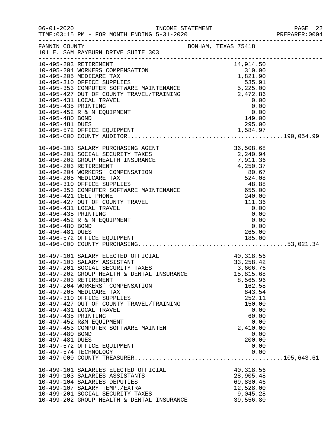|                                                           |                                                                                                                                                                                                                                                                                                                                                                                                                                                                              |                                                                                                                                                                                    | PREPARER: 0004 |
|-----------------------------------------------------------|------------------------------------------------------------------------------------------------------------------------------------------------------------------------------------------------------------------------------------------------------------------------------------------------------------------------------------------------------------------------------------------------------------------------------------------------------------------------------|------------------------------------------------------------------------------------------------------------------------------------------------------------------------------------|----------------|
|                                                           | FANNIN COUNTY BONHAM, TEXAS 75418<br>101 E. SAM RAYBURN DRIVE SUITE 303                                                                                                                                                                                                                                                                                                                                                                                                      |                                                                                                                                                                                    |                |
|                                                           | 10-495-203 RETIREMENT<br>10-495-203 RETIREMENT (1914.50)<br>10-495-204 WORKERS COMPENSATION<br>10-495-205 MEDICARE TAX<br>10-495-310 OFFICE SUPPLIES<br>10-495-310 OFFICE SUPPLIES<br>10-495-353 COMPUTER SOFTWARE MAINTENANCE<br>10-495-427                                                                                                                                                                                                                                 |                                                                                                                                                                                    |                |
| 10-496-435 PRINTING<br>10-496-480 BOND<br>10-496-481 DUES | 10-496-431 LOCAL TRAVEL<br>10-496-452 R & M EQUIPMENT<br>10-496-572 OFFICE EQUIPMENT                                                                                                                                                                                                                                                                                                                                                                                         | 0.00<br>0.00<br>$0.00$<br>$0.00$<br>265.00<br>$265.00$<br>185.00                                                                                                                   |                |
| 10-497-435 PRINTING<br>10-497-480 BOND<br>10-497-481 DUES | 10-497-101 SALARY ELECTED OFFICIAL<br>10-497-103 SALARY ASSISTANT<br>10-497-201 SOCIAL SECURITY TAXES<br>10-497-202 GROUP HEALTH & DENTAL INSURANCE<br>10-497-203 RETIREMENT<br>10-497-204 WORKERS' COMPENSATION<br>10-497-205 MEDICARE TAX<br>10-497-310 OFFICE SUPPLIES<br>10-497-427 OUT OF COUNTY TRAVEL/TRAINING<br>10-497-431 LOCAL TRAVEL<br>10-497-452 R&M EQUIPMENT<br>10-497-453 COMPUTER SOFTWARE MAINTEN<br>10-497-572 OFFICE EQUIPMENT<br>10-497-574 TECHNOLOGY | CIAL 40,318.56<br>ES 33,258.42<br>3,606.76<br>15,815.68<br>8,565.96<br>162.58<br>843.54<br>252.11<br>150.00<br>0.00<br>60.00<br>0.00<br>2,410.00<br>0.00<br>200.00<br>0.00<br>0.00 |                |
|                                                           | 10-499-101 SALARIES ELECTED OFFICIAL<br>10-499-103 SALARIES ASSISTANTS<br>10-499-104 SALARIES DEPUTIES<br>10-499-107 SALARY TEMP./EXTRA<br>10-499-201 SOCIAL SECURITY TAXES<br>10-499-202 GROUP HEALTH & DENTAL INSURANCE                                                                                                                                                                                                                                                    | 40,318.56<br>28,905.48<br>69,830.46<br>12,528.00<br>9,045.28<br>39,556.80                                                                                                          |                |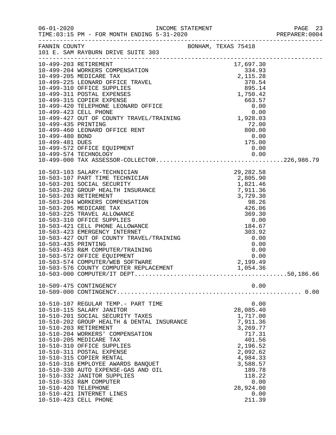|                      |                                                                                      |  |                              |              | PAGE 23<br>PREPARER: 0004 |
|----------------------|--------------------------------------------------------------------------------------|--|------------------------------|--------------|---------------------------|
|                      | FANNIN COUNTY BONHAM, TEXAS 75418<br>101 E. SAM RAYBURN DRIVE SUITE 303              |  |                              |              |                           |
|                      |                                                                                      |  |                              |              |                           |
|                      |                                                                                      |  |                              |              |                           |
|                      |                                                                                      |  |                              |              |                           |
|                      |                                                                                      |  |                              |              |                           |
|                      |                                                                                      |  |                              |              |                           |
|                      |                                                                                      |  |                              |              |                           |
|                      | 10-499-574 TECHNOLOGY 0.00<br>10-499-000 TAX ASSESSOR-COLLECTOR226,986.79            |  |                              |              |                           |
|                      |                                                                                      |  |                              |              |                           |
|                      |                                                                                      |  |                              |              |                           |
|                      |                                                                                      |  |                              |              |                           |
|                      |                                                                                      |  |                              |              |                           |
|                      |                                                                                      |  |                              |              |                           |
|                      |                                                                                      |  |                              |              |                           |
|                      |                                                                                      |  |                              |              |                           |
|                      |                                                                                      |  |                              |              |                           |
|                      |                                                                                      |  |                              |              |                           |
|                      | 10-509-475 CONTINGENCY                                                               |  |                              | 0.00         |                           |
|                      | 10-510-107 REGULAR TEMP.- PART TIME<br>10-510-115 SALARY JANITOR                     |  | 28,085.40                    | 0.00         |                           |
|                      | 10-510-201 SOCIAL SECURITY TAXES<br>10-510-202 GROUP HEALTH & DENTAL INSURANCE       |  | 1,717.00<br>7,911.36         |              |                           |
|                      | 10-510-203 RETIREMENT<br>10-510-204 WORKERS' COMPENSATION<br>10-510-205 MEDICARE TAX |  | 3,269.77<br>717.31<br>401.56 |              |                           |
|                      | 10-510-310 OFFICE SUPPLIES<br>10-510-311 POSTAL EXPENSE                              |  | 2,196.52<br>2,092.62         |              |                           |
|                      | 10-510-315 COPIER RENTAL<br>10-510-316 EMPLOYEE AWARDS BANQUET                       |  | 4,984.33<br>3,588.57         |              |                           |
|                      | 10-510-330 AUTO EXPENSE-GAS AND OIL<br>10-510-332 JANITOR SUPPLIES                   |  | 189.78<br>118.22             |              |                           |
| 10-510-420 TELEPHONE | 10-510-353 R&M COMPUTER<br>10-510-421 INTERNET LINES                                 |  | 28,924.00                    | 0.00<br>0.00 |                           |
|                      | 10-510-423 CELL PHONE                                                                |  | 211.39                       |              |                           |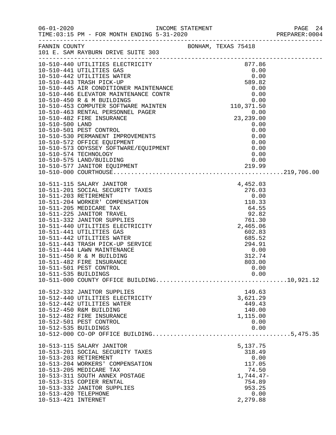|                                             | 101 E. SAM RAYBURN DRIVE SUITE 303<br>101 E. SAM RAYBURN DRIVE SUITE 303                                                                                                                                                                           |  |                                                                                                      |  |
|---------------------------------------------|----------------------------------------------------------------------------------------------------------------------------------------------------------------------------------------------------------------------------------------------------|--|------------------------------------------------------------------------------------------------------|--|
|                                             |                                                                                                                                                                                                                                                    |  |                                                                                                      |  |
|                                             |                                                                                                                                                                                                                                                    |  |                                                                                                      |  |
|                                             | 10-510-440 DTLITTES BLECTRICITY<br>10-510-441 UTILITTES BLECTRICITY<br>10-510-4441 UTILITTES BLECTRICITY<br>10-510-4442 UTILITTES WATER<br>10-510-4442 UTILITTES WATER<br>10-510-4442 NITLITTES WATER<br>10-510-4445 RER POK-UD MINITENANC         |  |                                                                                                      |  |
|                                             |                                                                                                                                                                                                                                                    |  |                                                                                                      |  |
| 10-511-535 BUILDINGS                        | 10-512-332 JANITOR SUPPLIES<br>10-512-440 UTILITIES ELECTRICITY                                                                                                                                                                                    |  | 0.00<br>149.63<br>3,621.29                                                                           |  |
| 10-512-535 BUILDINGS                        | 10-512-442 UTILITIES WATER<br>10-512-450 R&M BUILDING<br>10-512-482 FIRE INSURANCE<br>10-512-501 PEST CONTROL                                                                                                                                      |  | 449.43<br>140.00<br>1,115.00<br>0.00<br>0.00                                                         |  |
| 10-513-420 TELEPHONE<br>10-513-421 INTERNET | 10-513-115 SALARY JANITOR<br>10-513-201 SOCIAL SECURITY TAXES<br>10-513-203 RETIREMENT<br>10-513-204 WORKERS' COMPENSATION<br>10-513-205 MEDICARE TAX<br>10-513-311 SOUTH ANNEX POSTAGE<br>10-513-315 COPIER RENTAL<br>10-513-332 JANITOR SUPPLIES |  | 5,137.75<br>318.49<br>0.00<br>117.05<br>74.50<br>$1,744.47-$<br>754.89<br>953.25<br>0.00<br>2,279.88 |  |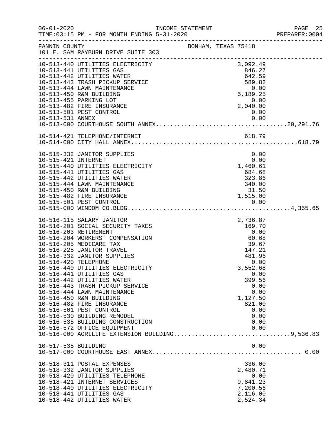|                      |                                                                                                                                                                                                                                                |                                                                      |  |                                        | PREPARER: 0004 |
|----------------------|------------------------------------------------------------------------------------------------------------------------------------------------------------------------------------------------------------------------------------------------|----------------------------------------------------------------------|--|----------------------------------------|----------------|
|                      | FANNIN COUNTY BONHAM, TEXAS 75418<br>101 E. SAM RAYBURN DRIVE SUITE 303                                                                                                                                                                        |                                                                      |  |                                        |                |
|                      |                                                                                                                                                                                                                                                |                                                                      |  | 3,092.49<br>846.27<br>846.27<br>642.59 |                |
|                      |                                                                                                                                                                                                                                                |                                                                      |  | 589.82<br>0.00                         |                |
|                      | 10-513-455 PARKING LOT<br>10-513-482 FIRE INSURANCE                                                                                                                                                                                            |                                                                      |  | 5,189.25<br>$0.00$<br>0.00<br>2,040.00 |                |
| 10-513-531 ANNEX     | 10-513-501 PEST CONTROL                                                                                                                                                                                                                        |                                                                      |  | 0.00<br>0.00                           |                |
|                      |                                                                                                                                                                                                                                                |                                                                      |  |                                        |                |
|                      |                                                                                                                                                                                                                                                |                                                                      |  |                                        |                |
| 10-515-421 INTERNET  | 10-515-332 JANITOR SUPPLIES                                                                                                                                                                                                                    |                                                                      |  | 0.00<br>0.00                           |                |
|                      | 10-515-440 UTILITIES ELECTRICITY<br>10-515-441 UTILITIES GAS                                                                                                                                                                                   | 1,460.61                                                             |  | 684.68                                 |                |
|                      | 10-515-442 UTILITIES WATER<br>10-515-444 LAWN MAINTENANCE<br>10-515-450 R&M BUILDING<br>10-515-450 R&M BUILDING<br>10-515-482 FIRE INSURANCE<br>10-515-501 PEST CONTROL<br>10-515-501 PEST CONTROL<br>10-515-501 PEST CONTROL<br>10-515-000 WI |                                                                      |  |                                        |                |
|                      |                                                                                                                                                                                                                                                |                                                                      |  |                                        |                |
|                      |                                                                                                                                                                                                                                                |                                                                      |  |                                        |                |
|                      | 10-516-115 SALARY JANITOR<br>10-516-201 SOCIAL SECURITY TAXES<br>10-516-203 RETIREMENT                                                                                                                                                         |                                                                      |  |                                        |                |
|                      | 10-516-204 WORKERS' COMPENSATION<br>10-516-205 MEDICARE TAX                                                                                                                                                                                    | $2,736.87$<br>$169.70$<br>0.00<br>60.68<br>39.67<br>147.21<br>481 96 |  |                                        |                |
| 10-516-420 TELEPHONE | 10-516-225 JANITOR TRAVEL<br>10-516-332 JANITOR SUPPLIES                                                                                                                                                                                       |                                                                      |  | 0.00                                   |                |
|                      | 10-516-440 UTILITIES ELECTRICITY<br>10-516-441 UTILITIES GAS                                                                                                                                                                                   |                                                                      |  | 3,552.68<br>0.00                       |                |
|                      | 10-516-442 UTILITIES WATER<br>10-516-443 TRASH PICKUP SERVICE<br>10-516-444 LAWN MAINTENANCE                                                                                                                                                   |                                                                      |  | 399.56<br>0.00<br>0.00                 |                |
|                      | 10-516-450 R&M BUILDING<br>10-516-482 FIRE INSURANCE                                                                                                                                                                                           |                                                                      |  | 1,127.50<br>821.00                     |                |
|                      | 10-516-501 PEST CONTROL<br>10-516-530 BUILDING REMODEL                                                                                                                                                                                         |                                                                      |  | 0.00<br>0.00                           |                |
|                      | 10-516-535 BUILDING CONSTRUCTION<br>10-516-572 OFFICE EQUIPMENT<br>10-516-000 AGRILIFE EXTENSION BUILDING9,536.83                                                                                                                              |                                                                      |  | 0.00<br>0.00                           |                |
| 10-517-535 BUILDING  |                                                                                                                                                                                                                                                |                                                                      |  | 0.00                                   |                |
|                      |                                                                                                                                                                                                                                                |                                                                      |  |                                        |                |
|                      | 10-518-311 POSTAL EXPENSES<br>10-518-332 JANITOR SUPPLIES                                                                                                                                                                                      |                                                                      |  | 336.00<br>2,480.71                     |                |
|                      | 10-518-420 UTILITIES TELEPHONE<br>10-518-421 INTERNET SERVICES<br>10-518-440 UTILITIES ELECTRICITY                                                                                                                                             |                                                                      |  | 0.00<br>9,841.23<br>7,200.56           |                |
|                      | 10-518-441 UTILITIES GAS<br>10-518-442 UTILITIES WATER                                                                                                                                                                                         |                                                                      |  | 2,116.00<br>2,524.34                   |                |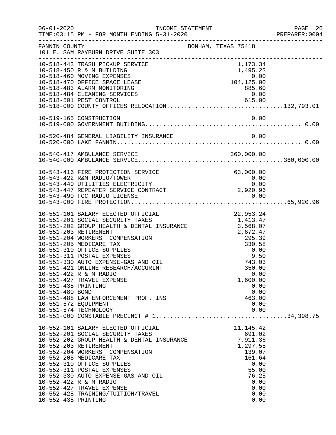| $06 - 01 - 2020$                                               | INCOME STATEMENT<br>TIME: 03:15 PM - FOR MONTH ENDING 5-31-2020                                                                                                                                                                                                                                                                                                                                                                                                                   |                                                                                                                                                            | PAGE 26<br>PREPARER:0004 |
|----------------------------------------------------------------|-----------------------------------------------------------------------------------------------------------------------------------------------------------------------------------------------------------------------------------------------------------------------------------------------------------------------------------------------------------------------------------------------------------------------------------------------------------------------------------|------------------------------------------------------------------------------------------------------------------------------------------------------------|--------------------------|
| FANNIN COUNTY                                                  | 101 E. SAM RAYBURN DRIVE SUITE 303                                                                                                                                                                                                                                                                                                                                                                                                                                                | BONHAM, TEXAS 75418                                                                                                                                        |                          |
|                                                                | 10-518-443 TRASH PICKUP SERVICE<br>10-518-450 R & M BUILDING<br>10-518-460 MOVING EXPENSES<br>10-518-470 OFFICE SPACE LEASE<br>10-518-483 ALARM MONITORING<br>10-518-484 CLEANING SERVICES<br>10-518-484 CLEANING SERVICES 615.00<br>10-518-501 PEST CONTROL 615.00<br>10-518-000 COUNTY OFFICES RELOCATION132,793.01<br>10-519-165 CONSTRUCTION                                                                                                                                  | 1,173.34<br>1,495.23<br>0.00<br>0.00<br>104,125.00<br>885.60<br>0.00<br>0.00                                                                               |                          |
|                                                                | 10-543-416 FIRE PROTECTION SERVICE<br>10-543-422 R&M RADIO/TOWER<br>10-543-440 UTILITIES ELECTRICITY<br>10-543-447 REPEATER SERVICE CONTRACT                                                                                                                                                                                                                                                                                                                                      | 63,000.00<br>$0.00$<br>0.00<br>2,920.96                                                                                                                    |                          |
| 10-551-435 PRINTING<br>10-551-480 BOND<br>10-551-572 EQUIPMENT | 10-551-101 SALARY ELECTED OFFICIAL<br>10-551-202 GROUP HEALTH & DENTAL INSURANCE 1,413.47<br>10-551-202 GROUP HEALTH & DENTAL INSURANCE 3,568.07<br>10-551-204 WORKERS' COMPENSATION<br>10-551-205 MEDICARE TAX<br>10-551-310 OFFICE SUPPLIES<br>10-551-311 POSTAL EXPENSES<br>10-551-330 AUTO EXPENSE-GAS AND OIL<br>10-551-421 ONLINE RESEARCH/ACCURINT<br>10-551-422 R & M RADIO<br>10-551-427 TRAVEL EXPENSE<br>10-551-488 LAW ENFORCEMENT PROF. INS<br>10-551-574 TECHNOLOGY | 22,953.24<br>2,672.47<br>2, $672.77$<br>295.39<br>330.58<br>0.00<br>9.50<br>743.03<br>350.00<br>0.00<br>1,600.00<br>0.00<br>0.00<br>463.00<br>0.00<br>0.00 |                          |
| 10-552-435 PRINTING                                            | 10-552-101 SALARY ELECTED OFFICIAL<br>10-552-201 SOCIAL SECURITY TAXES<br>10-552-202 GROUP HEALTH & DENTAL INSURANCE<br>10-552-203 RETIREMENT<br>10-552-204 WORKERS' COMPENSATION<br>10-552-205 MEDICARE TAX<br>10-552-310 OFFICE SUPPLIES<br>10-552-311 POSTAL EXPENSES<br>10-552-330 AUTO EXPENSE-GAS AND OIL<br>10-552-422 R & M RADIO<br>10-552-427 TRAVEL EXPENSE<br>10-552-428 TRAINING/TUITION/TRAVEL                                                                      | 11, 145. 42<br>691.02<br>7,911.36<br>1,297.55<br>139.07<br>161.64<br>0.00<br>55.00<br>76.25<br>0.00<br>0.00<br>0.00<br>0.00                                |                          |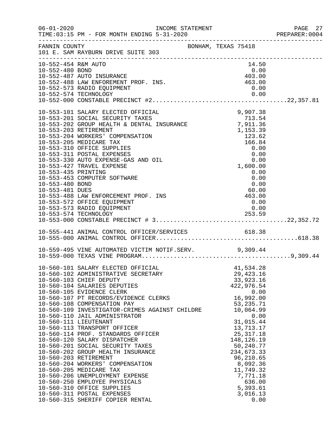| $06 - 01 - 2020$                                          | INCOME STATEMENT<br>TIME: 03:15 PM - FOR MONTH ENDING 5-31-2020                                                                                                                                                                                                                                                                                                                                                                                                                                                                                                                                                                                                                                                                                                                                  |                                                                                                               |                                      |                                                                                                                                                                                                                                                                      |                      | PAGE 27<br>PREPARER: 0004 |
|-----------------------------------------------------------|--------------------------------------------------------------------------------------------------------------------------------------------------------------------------------------------------------------------------------------------------------------------------------------------------------------------------------------------------------------------------------------------------------------------------------------------------------------------------------------------------------------------------------------------------------------------------------------------------------------------------------------------------------------------------------------------------------------------------------------------------------------------------------------------------|---------------------------------------------------------------------------------------------------------------|--------------------------------------|----------------------------------------------------------------------------------------------------------------------------------------------------------------------------------------------------------------------------------------------------------------------|----------------------|---------------------------|
| FANNIN COUNTY                                             | 101 E. SAM RAYBURN DRIVE SUITE 303                                                                                                                                                                                                                                                                                                                                                                                                                                                                                                                                                                                                                                                                                                                                                               | BONHAM, TEXAS 75418                                                                                           |                                      |                                                                                                                                                                                                                                                                      |                      |                           |
| 10-552-454 R&M AUTO<br>10-552-480 BOND                    | 10-552-487 AUTO INSURANCE<br>10-552-488 LAW ENFOREMENT PROF. INS.<br>10-552-573 RADIO EQUIPMENT                                                                                                                                                                                                                                                                                                                                                                                                                                                                                                                                                                                                                                                                                                  | 0.00<br>403.00<br>463.00 463.00                                                                               |                                      | 14.50<br>0.00<br>0.00                                                                                                                                                                                                                                                |                      |                           |
| 10-553-435 PRINTING<br>10-553-480 BOND<br>10-553-481 DUES | 10-553-101 SALARY ELECTED OFFICIAL<br>10-553-201 SOCIAL SECURITY TAXES<br>10-553-202 GROUP HEALTH & DENTAL INSURANCE 7,911.36<br>10-553-203 RETIREMENT<br>10-553-204 WORKERS' COMPENSATION<br>10-553-205 MEDICARE TAX<br>10-553-310 OFFICE SUPPLIES<br>10-553-311 POSTAL EXPENSES<br>10-553-330 AUTO EXPENSE-GAS AND OIL<br>10-553-427 TRAVEL EXPENSE<br>10-553-453 COMPUTER SOFTWARE<br>10-553-488 LAW ENFORCEMENT PROF. INS<br>10-553-572 OFFICE EQUIPMENT<br>10-553-573 RADIO EQUIPMENT                                                                                                                                                                                                                                                                                                       | EXAMPLE<br>123.62<br>166.84<br>0.00<br>0.00<br>0.00<br>$\begin{array}{c} 0.00 \\ 60.00 \\ 463.00 \end{array}$ | 9,907.38<br>$166.84$<br>0.00<br>0.00 | 0.00<br>0.00<br>0.00<br>0.00                                                                                                                                                                                                                                         |                      |                           |
|                                                           |                                                                                                                                                                                                                                                                                                                                                                                                                                                                                                                                                                                                                                                                                                                                                                                                  |                                                                                                               |                                      |                                                                                                                                                                                                                                                                      |                      |                           |
|                                                           | 10-559-495 VINE AUTOMATED VICTIM NOTIF.SERV. 9,309.44                                                                                                                                                                                                                                                                                                                                                                                                                                                                                                                                                                                                                                                                                                                                            |                                                                                                               |                                      |                                                                                                                                                                                                                                                                      |                      |                           |
|                                                           | 10-560-101 SALARY ELECTED OFFICIAL<br>10-560-102 ADMINISTRATIVE SECRETARY<br>10-560-103 CHIEF DEPUTY<br>10-560-104 SALARIES DEPUTIES<br>10-560-105 EVIDENCE CLERK<br>10-560-107 PT RECORDS/EVIDENCE CLERKS<br>10-560-108 COMPENSATION PAY<br>10-560-109 INVESTIGATOR-CRIMES AGAINST CHILDRE<br>10-560-110 JAIL ADMINISTRATOR<br>10-560-111 LIEUTENANT<br>10-560-113 TRANSPORT OFFICER<br>10-560-114 PROF. STANDARDS OFFICER<br>10-560-120 SALARY DISPATCHER<br>10-560-201 SOCIAL SECURITY TAXES<br>10-560-202 GROUP HEALTH INSURANCE<br>10-560-203 RETIREMENT<br>10-560-204 WORKERS' COMPENSATION<br>10-560-205 MEDICARE TAX<br>10-560-206 UNEMPLOYMENT EXPENSE<br>10-560-250 EMPLOYEE PHYSICALS<br>10-560-310 OFFICE SUPPLIES<br>10-560-311 POSTAL EXPENSES<br>10-560-315 SHERIFF COPIER RENTAL |                                                                                                               |                                      | 41,534.28<br>29, 423. 16<br>33,923.16<br>422,976.54<br>16,992.00<br>53, 235. 71<br>10,064.99<br>31,015.44<br>13,713.17<br>25, 317. 18<br>148, 126. 19<br>50,240.77<br>234,673.33<br>96,210.65<br>8,092.36<br>11,749.32<br>7,771.18<br>636.00<br>5,393.61<br>3,016.13 | 0.00<br>0.00<br>0.00 |                           |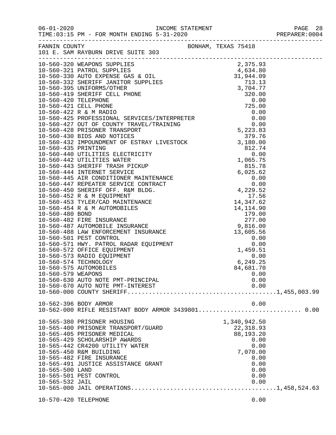| FANNIN COUNTY                      | 101 E. SAM RAYBURN DRIVE SUITE 303                                                                                                                                                                                                                                                                                                                                                        | BONHAM, TEXAS 75418 |                                                                                                             |  |
|------------------------------------|-------------------------------------------------------------------------------------------------------------------------------------------------------------------------------------------------------------------------------------------------------------------------------------------------------------------------------------------------------------------------------------------|---------------------|-------------------------------------------------------------------------------------------------------------|--|
|                                    |                                                                                                                                                                                                                                                                                                                                                                                           |                     |                                                                                                             |  |
| 10-560-579 WEAPONS                 | $\begin{tabular}{l ll} \hline 110 & SAM RAYBUBM D RNUSY SUPPELIES & 50.379 & 50.370 & 50.370 & 50.370 & 50.370 & 50.370 & 50.370 & 50.370 & 50.370 & 50.370 & 50.370 & 50.370 & 50.370 & 50.370 & 50.370 & 50.370 & 50.370 & 50.370 & 50.370 & 50.370 & 50.370 & 50.370 & 50.370 & $<br>10-560-575 AUTOMOBILES<br>10-560-630 AUTO NOTE PMT-PRINCIPAL<br>10-560-670 AUTO NOTE PMT-INTEREST |                     | 84,681.70<br>0.00<br>0.00<br>0.00                                                                           |  |
|                                    | 10-562-396 BODY ARMOR<br>10-562-000 RIFLE RESISTANT BODY ARMOR 3439801 0.00                                                                                                                                                                                                                                                                                                               |                     | 0.00                                                                                                        |  |
| 10-565-500 LAND<br>10-565-532 JAIL | 10-565-380 PRISONER HOUSING<br>10-565-400 PRISONER TRANSPORT/GUARD<br>10-565-405 PRISONER MEDICAL<br>10-565-429 SCHOLARSHIP AWARDS<br>10-565-442 CR4200 UTILITY WATER<br>10-565-450 R&M BUILDING<br>10-565-482 FIRE INSURANCE<br>10-565-491 JUSTICE ASSISTANCE GRANT<br>10-565-501 PEST CONTROL                                                                                           |                     | 1,340,942.50<br>22, 318.93<br>88,193.20<br>0.00<br>0.00<br>7,070.00<br>0.00<br>0.00<br>0.00<br>0.00<br>0.00 |  |
| 10-570-420 TELEPHONE               |                                                                                                                                                                                                                                                                                                                                                                                           |                     | 0.00                                                                                                        |  |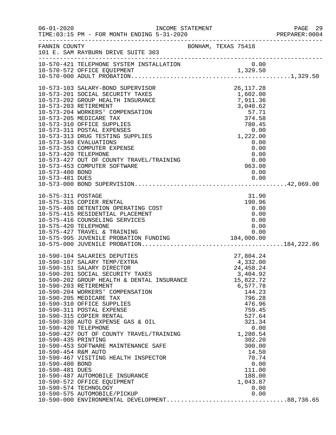|                                                           |                                                                                                                                                                                                                                                                                                                                                                                                                                                                                                                                                                                                                |                                                                                                   |                                                                                                                                                                                                                                                 | PAGE 29<br>PREPARER: 0004 |
|-----------------------------------------------------------|----------------------------------------------------------------------------------------------------------------------------------------------------------------------------------------------------------------------------------------------------------------------------------------------------------------------------------------------------------------------------------------------------------------------------------------------------------------------------------------------------------------------------------------------------------------------------------------------------------------|---------------------------------------------------------------------------------------------------|-------------------------------------------------------------------------------------------------------------------------------------------------------------------------------------------------------------------------------------------------|---------------------------|
|                                                           | FANNIN COUNTY<br>101 E. SAM RAYBURN DRIVE SUITE 303                                                                                                                                                                                                                                                                                                                                                                                                                                                                                                                                                            | BONHAM, TEXAS 75418                                                                               |                                                                                                                                                                                                                                                 |                           |
|                                                           |                                                                                                                                                                                                                                                                                                                                                                                                                                                                                                                                                                                                                |                                                                                                   |                                                                                                                                                                                                                                                 |                           |
| 10-573-203 RETIREMENT<br>10-573-480 BOND                  | 10-573-103 SALARY-BOND SUPERVISOR<br>10-573-201 SOCIAL SECURITY TAXES<br>10-573-202 GROUP HEALTH INSURANCE<br>10-573-204 WORKERS' COMPENSATION<br>10-573-205 MEDICARE TAX<br>10-573-310 OFFICE SUPPLIES<br>10-573-311 POSTAL EXPENSES<br>10-573-313 DRUG TESTING SUPPLIES<br>10-573-340 EVALUATIONS<br>10-573-353 COMPUTER EXPENSE<br>10-573-427 OUT OF COUNTY TRAVEL/TRAINING<br>10-573-453 COMPUTER SOFTWARE                                                                                                                                                                                                 | 1,602.00<br>$3,040.62$<br>57.71<br>374.58<br>780.45<br>780.45<br>0.00<br>1,222.00<br>0.00<br>0.00 | 26, 117. 28<br>0.00                                                                                                                                                                                                                             |                           |
| 10-575-311 POSTAGE<br>10-575-420 TELEPHONE                | 10-575-315 COPIER RENTAL<br>10-575-408 DETENTION OPERATING COST<br>10-575-415 RESIDENTIAL PLACEMENT<br>10-575-416 COUNSELING SERVICES                                                                                                                                                                                                                                                                                                                                                                                                                                                                          |                                                                                                   | 31.90<br>190.96<br>0.00<br>0.00<br>0.00<br>0.00                                                                                                                                                                                                 |                           |
| 10-590-454 R&M AUTO<br>10-590-480 BOND<br>10-590-481 DUES | 10-590-104 SALARIES DEPUTIES<br>10-590-107 SALARY TEMP/EXTRA<br>10-590-151 SALARY DIRECTOR<br>10-590-201 SOCIAL SECURITY TAXES<br>10-590-202 GROUP HEALTH & DENTAL INSURANCE<br>10-590-204 WORKERS' COMPENSATION<br>10-590-205 MEDICARE TAX<br>10-590-310 OFFICE SUPPLIES<br>10-590-311 POSTAL EXPENSE<br>10-590-315 COPIER RENTAL<br>10-590-330 AUTO EXPENSE GAS & OIL<br>10-590-420 TELEPHONE<br>10-590-427 OUT OF COUNTY TRAVEL/<br>10-590-453 SOFTWARE MAINTENANCE SAFE<br>10-590-467 VISITING HEALTH INSPECTOR<br>10-590-487 AUTOMOBILE INSURANCE<br>10-590-572 OFFICE EQUIPMENT<br>10-590-574 TECHNOLOGY |                                                                                                   | 27,804.24<br>4,332.00<br>24, 458. 24<br>3,404.92<br>15,822.72<br>6,577.78<br>144.23<br>796.28<br>476.96<br>759.45<br>527.64<br>321.34<br>0.00<br>1,280.54<br>302.20<br>300.00<br>14.50<br>70.74<br>0.00<br>111.00<br>188.00<br>1,043.87<br>0.00 |                           |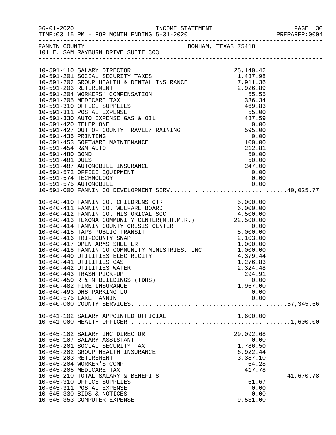| $06 - 01 - 2020$                                                                                                 |                      |
|------------------------------------------------------------------------------------------------------------------|----------------------|
| FANNIN COUNTY<br>101 E. SAM RAYBURN DRIVE SUITE 303                                                              |                      |
|                                                                                                                  |                      |
|                                                                                                                  |                      |
|                                                                                                                  |                      |
|                                                                                                                  |                      |
|                                                                                                                  |                      |
|                                                                                                                  |                      |
|                                                                                                                  |                      |
|                                                                                                                  |                      |
|                                                                                                                  |                      |
|                                                                                                                  |                      |
|                                                                                                                  |                      |
|                                                                                                                  |                      |
|                                                                                                                  |                      |
|                                                                                                                  |                      |
|                                                                                                                  |                      |
|                                                                                                                  |                      |
|                                                                                                                  | 0.00                 |
| 10-591-487 AUTOMOBILE INSURANCE<br>10-591-572 OFFICE EQUIPMENT<br>10-591-574 TECHNOLOGY<br>10-591-575 AUTOMOBILE |                      |
|                                                                                                                  |                      |
|                                                                                                                  |                      |
|                                                                                                                  |                      |
|                                                                                                                  |                      |
|                                                                                                                  |                      |
|                                                                                                                  |                      |
|                                                                                                                  |                      |
|                                                                                                                  |                      |
|                                                                                                                  |                      |
| 10-640-441 UTILITIES GAS                                                                                         |                      |
| 10-640-442 UTILITIES WATER                                                                                       | 1,276.83<br>2,324.48 |
| 10-640-443 TRASH PICK-UP                                                                                         | 294.91               |
| 10-640-450 R & M BUILDINGS (TDHS)                                                                                | 0.00                 |
| 10-640-482 FIRE INSURANCE                                                                                        | 1,967.00             |
| 10-640-493 DHS PARKING LOT                                                                                       | 0.00                 |
| 10-640-575 LAKE FANNIN                                                                                           | 0.00                 |
|                                                                                                                  |                      |
| 10-641-102 SALARY APPOINTED OFFICIAL                                                                             | 1,600.00             |
|                                                                                                                  |                      |
| 10-645-102 SALARY IHC DIRECTOR<br>10-645-107 SALARY ASSISTANT                                                    | 29,092.68<br>0.00    |
| 10-645-201 SOCIAL SECURITY TAX                                                                                   | 1,786.50             |
| 10-645-202 GROUP HEALTH INSURANCE                                                                                | 6,922.44             |
| 10-645-203 RETIREMENT                                                                                            | 3,387.10             |
| 10-645-204 WORKER'S COMP                                                                                         | 64.28                |
| 10-645-205 MEDICARE TAX                                                                                          | 417.78               |
| 10-645-210 TOTAL SALARY & BENEFITS                                                                               | 41,670.78            |
| 10-645-310 OFFICE SUPPLIES                                                                                       | 61.67<br>0.00        |
| 10-645-311 POSTAL EXPENSE<br>10-645-330 BIDS & NOTICES                                                           | 0.00                 |
| 10-645-353 COMPUTER EXPENSE                                                                                      | 9,531.00             |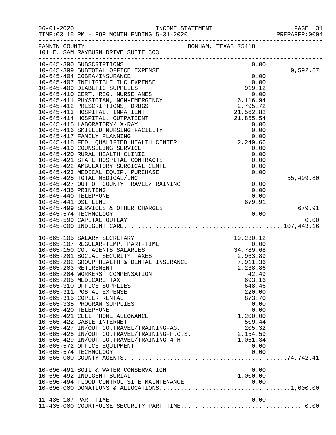|                                             |                                                                                                                                                                                                                                            |                                | PAGE 31<br>PREPARER: 0004 |
|---------------------------------------------|--------------------------------------------------------------------------------------------------------------------------------------------------------------------------------------------------------------------------------------------|--------------------------------|---------------------------|
| FANNIN COUNTY                               | 101 E. SAM RAYBURN DRIVE SUITE 303                                                                                                                                                                                                         | BONHAM, TEXAS 75418            |                           |
|                                             | 10-645-390 SUBSCRIPTIONS                                                                                                                                                                                                                   | 0.00                           |                           |
|                                             | 10-645-399 SUBTOTAL OFFICE EXPENSE<br>10-645-404 COBRA/INSURANCE                                                                                                                                                                           | 0.00                           | 9,592.67                  |
|                                             | THE RESERVING THE RES.<br>10-645-411 PHYSICIAN, NON-EMERGENCY<br>10-645-412 PRESCRIPTIONS, DRUGS<br>10-645-413 HOSPITAL, INPATIENT<br>10-645-414 HOSPITAL, OUTPATIENT<br>10-645-414 HOSPITAL, OUTPATIENT<br>10-645-414 HOSPITAL, OUTPATIEN | 0.00                           |                           |
|                                             |                                                                                                                                                                                                                                            |                                |                           |
|                                             |                                                                                                                                                                                                                                            |                                |                           |
|                                             |                                                                                                                                                                                                                                            |                                |                           |
|                                             |                                                                                                                                                                                                                                            |                                |                           |
|                                             |                                                                                                                                                                                                                                            |                                |                           |
|                                             |                                                                                                                                                                                                                                            |                                |                           |
|                                             |                                                                                                                                                                                                                                            |                                |                           |
|                                             |                                                                                                                                                                                                                                            |                                |                           |
|                                             |                                                                                                                                                                                                                                            |                                |                           |
|                                             |                                                                                                                                                                                                                                            |                                |                           |
|                                             |                                                                                                                                                                                                                                            |                                |                           |
|                                             |                                                                                                                                                                                                                                            |                                |                           |
|                                             |                                                                                                                                                                                                                                            |                                |                           |
|                                             |                                                                                                                                                                                                                                            |                                |                           |
|                                             | 10-645-425 TOTAL MEDICAL/IHC                                                                                                                                                                                                               |                                | 55,499.80                 |
|                                             | 10-645-427 OUT OF COUNTY TRAVEL/TRAINING                                                                                                                                                                                                   | 0.00                           |                           |
| 10-645-435 PRINTING                         |                                                                                                                                                                                                                                            | 0.00                           |                           |
| 10-645-440 TELEPHONE<br>10-645-441 DSL LINE |                                                                                                                                                                                                                                            | 0.00<br>679.91                 |                           |
|                                             | 10-645-499 SERVICES & OTHER CHARGES                                                                                                                                                                                                        |                                | 679.91                    |
|                                             | 10-645-574 TECHNOLOGY                                                                                                                                                                                                                      | 0.00                           |                           |
|                                             | 10-645-599 CAPITAL OUTLAY                                                                                                                                                                                                                  |                                | 0.00                      |
|                                             |                                                                                                                                                                                                                                            |                                |                           |
|                                             | 10-665-105 SALARY SECRETARY                                                                                                                                                                                                                |                                |                           |
|                                             | 10-665-107 REGULAR-TEMP. PART-TIME                                                                                                                                                                                                         |                                |                           |
|                                             |                                                                                                                                                                                                                                            | 19,230.12<br>0.00<br>34,789.68 |                           |
|                                             | 10-665-150 CO. AGENTS SALARIES<br>10-665-201 SOCIAL SECURITY TAXES<br>10-665-202 GROUP HEALTH & DENTAL INSURANCE                                                                                                                           | 2,963.89<br>7,911.36           |                           |
|                                             |                                                                                                                                                                                                                                            |                                |                           |
|                                             | 10-665-203 RETIREMENT                                                                                                                                                                                                                      | 2,238.86                       |                           |
|                                             | 10-665-204 WORKERS' COMPENSATION                                                                                                                                                                                                           | 42.49                          |                           |
|                                             | 10-665-205 MEDICARE TAX                                                                                                                                                                                                                    | 693.16                         |                           |
|                                             | 10-665-310 OFFICE SUPPLIES<br>10-665-311 POSTAL EXPENSE                                                                                                                                                                                    | 648.46<br>220.00               |                           |
|                                             | 10-665-315 COPIER RENTAL                                                                                                                                                                                                                   | 873.70                         |                           |
|                                             | 10-665-335 PROGRAM SUPPLIES                                                                                                                                                                                                                | 0.00                           |                           |
| 10-665-420 TELEPHONE                        |                                                                                                                                                                                                                                            | 0.00                           |                           |
|                                             | 10-665-421 CELL PHONE ALLOWANCE                                                                                                                                                                                                            | 1,200.00                       |                           |
|                                             | 10-665-422 CABLE INTERNET                                                                                                                                                                                                                  | 509.44                         |                           |
|                                             | 10-665-427 IN/OUT CO.TRAVEL/TRAINING-AG.                                                                                                                                                                                                   | 205.32                         |                           |
|                                             | 10-665-428 IN/OUT CO.TRAVEL/TRAINING-F.C.S.                                                                                                                                                                                                | 2,154.59                       |                           |
|                                             | 10-665-429 IN/OUT CO.TRAVEL/TRAINING-4-H                                                                                                                                                                                                   | 1,061.34                       |                           |
|                                             | 10-665-572 OFFICE EQUIPMENT<br>10-665-574 TECHNOLOGY                                                                                                                                                                                       | 0.00<br>0.00                   |                           |
|                                             |                                                                                                                                                                                                                                            |                                |                           |
|                                             |                                                                                                                                                                                                                                            |                                |                           |
|                                             | 10-696-491 SOIL & WATER CONSERVATION                                                                                                                                                                                                       | 0.00                           |                           |
|                                             | 10-696-492 INDIGENT BURIAL                                                                                                                                                                                                                 | 1,000.00                       |                           |
|                                             | 10-696-494 FLOOD CONTROL SITE MAINTENANCE                                                                                                                                                                                                  |                                |                           |
|                                             |                                                                                                                                                                                                                                            |                                |                           |
| 11-435-107 PART TIME                        |                                                                                                                                                                                                                                            | 0.00                           |                           |
|                                             |                                                                                                                                                                                                                                            |                                |                           |
|                                             |                                                                                                                                                                                                                                            |                                |                           |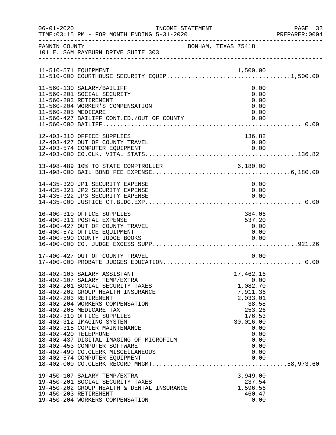| $06 - 01 - 2020$     | INCOME STATEMENT                                                                                                                                                                                                                                                                                                                                                                                                                                                          |                                                                                                                                                 | PAGE 32<br>PREPARER: 0004 |
|----------------------|---------------------------------------------------------------------------------------------------------------------------------------------------------------------------------------------------------------------------------------------------------------------------------------------------------------------------------------------------------------------------------------------------------------------------------------------------------------------------|-------------------------------------------------------------------------------------------------------------------------------------------------|---------------------------|
| FANNIN COUNTY        | 101 E. SAM RAYBURN DRIVE SUITE 303                                                                                                                                                                                                                                                                                                                                                                                                                                        | BONHAM, TEXAS 75418                                                                                                                             |                           |
|                      |                                                                                                                                                                                                                                                                                                                                                                                                                                                                           |                                                                                                                                                 |                           |
| 11-560-205 MEDICARE  | 11-560-130 SALARY/BAILIFF<br>11-560-201 SOCIAL SECURITY<br>11-560-203 RETIREMENT<br>11-560-204 WORKER'S COMPENSATION<br>11-560-427 BAILIFF CONT.ED./OUT OF COUNTY                                                                                                                                                                                                                                                                                                         | 0.00<br>0.00<br>0.00<br>0.00<br>0.00                                                                                                            |                           |
|                      | 12-403-310 OFFICE SUPPLIES<br>12-403-427 OUT OF COUNTY TRAVEL<br>12-403-574 COMPUTER EOUIPMENT                                                                                                                                                                                                                                                                                                                                                                            | 136.82<br>0.00<br>0.00                                                                                                                          |                           |
|                      | 13-498-489 10% TO STATE COMPTROLLER 6,180.00                                                                                                                                                                                                                                                                                                                                                                                                                              |                                                                                                                                                 |                           |
|                      | 14-435-320 JP1 SECURITY EXPENSE<br>14-435-321 JP2 SECURITY EXPENSE<br>14-435-322 JP3 SECURITY EXPENSE                                                                                                                                                                                                                                                                                                                                                                     | 0.00<br>0.00<br>0.00                                                                                                                            |                           |
|                      | 16-400-310 OFFICE SUPPLIES<br>16-400-311 POSTAL EXPENSE<br>16-400-427 OUT OF COUNTY TRAVEL<br>16-400-572 OFFICE EQUIPMENT<br>16-400-590 COUNTY JUDGE BOOKS                                                                                                                                                                                                                                                                                                                | 384.06<br>537.20<br>0.00<br>0.00<br>0.00                                                                                                        |                           |
|                      | 17-400-427 OUT OF COUNTY TRAVEL                                                                                                                                                                                                                                                                                                                                                                                                                                           | 0.00                                                                                                                                            |                           |
| 18-402-420 TELEPHONE | 18-402-103 SALARY ASSISTANT<br>18-402-107 SALARY TEMP/EXTRA<br>18-402-201 SOCIAL SECURITY TAXES<br>18-402-202 GROUP HEALTH INSURANCE<br>18-402-203 RETIREMENT<br>18-402-204 WORKERS COMPENSATION<br>18-402-205 MEDICARE TAX<br>18-402-310 OFFICE SUPPLIES<br>18-402-312 IMAGING SYSTEM<br>18-402-315 COPIER MAINTENANCE<br>18-402-437 DIGITAL IMAGING OF MICROFILM<br>18-402-453 COMPUTER SOFTWARE<br>18-402-490 CO. CLERK MISCELLANEOUS<br>18-402-574 COMPUTER EQUIPMENT | 17,462.16<br>0.00<br>1,082.70<br>7,911.36<br>2,033.01<br>38.58<br>253.26<br>176.53<br>30,016.00<br>0.00<br>0.00<br>0.00<br>0.00<br>0.00<br>0.00 |                           |
|                      | 19-450-107 SALARY TEMP/EXTRA<br>19-450-201 SOCIAL SECURITY TAXES<br>19-450-202 GROUP HEALTH & DENTAL INSURANCE<br>19-450-203 RETIREMENT<br>19-450-204 WORKERS COMPENSATION                                                                                                                                                                                                                                                                                                | 3,949.00<br>237.54<br>1,596.56<br>460.47<br>0.00                                                                                                |                           |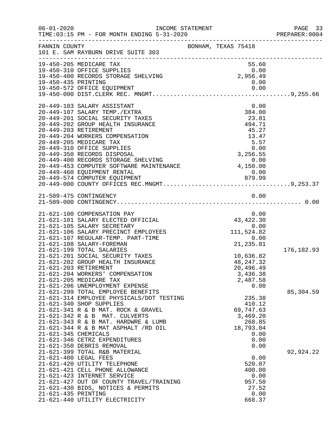| $06 - 01 - 2020$                              | INCOME STATEMENT<br>TIME: 03:15 PM - FOR MONTH ENDING 5-31-2020                                                                                                                                                                                                                                                                                                                                                                                                                                                                                                                                                                                                                                 |                                                     |                                                                                                                                   |                                      | PAGE 33<br>PREPARER:0004 |
|-----------------------------------------------|-------------------------------------------------------------------------------------------------------------------------------------------------------------------------------------------------------------------------------------------------------------------------------------------------------------------------------------------------------------------------------------------------------------------------------------------------------------------------------------------------------------------------------------------------------------------------------------------------------------------------------------------------------------------------------------------------|-----------------------------------------------------|-----------------------------------------------------------------------------------------------------------------------------------|--------------------------------------|--------------------------|
| FANNIN COUNTY                                 | 101 E. SAM RAYBURN DRIVE SUITE 303                                                                                                                                                                                                                                                                                                                                                                                                                                                                                                                                                                                                                                                              | BONHAM, TEXAS 75418                                 |                                                                                                                                   |                                      |                          |
| 19-450-435 PRINTING                           | 19-450-205 MEDICARE TAX<br>19-450-310 OFFICE SUPPLIES<br>19-450-400 RECORDS STORAGE SHELVING                                                                                                                                                                                                                                                                                                                                                                                                                                                                                                                                                                                                    |                                                     | 55.60<br>0.00<br>2,956.49<br>0.00                                                                                                 |                                      |                          |
|                                               | 20-449-103 SALARY ASSISTANT<br>20-449-107 SALARY TEMP./EXTRA<br>20-449-201 SOCIAL SECURITY TAXES<br>20-449-202 GROUP HEALTH INSURANCE<br>20-449-203 RETIREMENT<br>20-449-204 WORKERS COMPENSATION<br>20-449-205 MEDICARE TAX<br>20-449-310 OFFICE SUPPLIES<br>20-449-350 RECORDS DISPOSAL<br>20-449-400 RECORDS STORAGE SHELVING 0.00<br>20-449-453 COMPUTER SOFTWARE MAINTENANCE 4,150.00<br>20-449-460 EQUIPMENT RENTAL<br>20-449-574 COMPUTER EQUIPMENT                                                                                                                                                                                                                                      | 879.99                                              | 384.00<br>23.81<br>494.71<br>45.27<br>13.47<br>5.57<br>0.00<br>3,256.55<br>0.00                                                   | 0.00                                 |                          |
|                                               | 21-509-475 CONTINGENCY                                                                                                                                                                                                                                                                                                                                                                                                                                                                                                                                                                                                                                                                          |                                                     |                                                                                                                                   | 0.00                                 |                          |
| 21-621-203 RETIREMENT<br>21-621-345 CHEMICALS | 21-621-100 COMPENSATION PAY<br>21-621-101 SALARY ELECTED OFFICIAL<br>21-621-105 SALARY SECRETARY<br>21-621-106 SALARY PRECINCT EMPLOYEES<br>21-621-107 REGULAR-TEMP. PART-TIME<br>21-621-108 SALARY-FOREMAN<br>21-621-199 TOTAL SALARIES<br>21-621-201 SOCIAL SECURITY TAXES<br>21-621-202 GROUP HEALTH INSURANCE<br>21-621-204 WORKERS' COMPENSATION<br>21-621-205 MEDICARE TAX<br>21-621-206 UNEMPLOYMENT EXPENSE<br>21-621-299 TOTAL EMPLOYEE BENEFITS<br>21-621-314 EMPLOYEE PHYSICALS/DOT TESTING<br>21-621-340 SHOP SUPPLIES<br>21-621-341 R & B MAT. ROCK & GRAVEL<br>21-621-342 R & B MAT. CULVERTS<br>21-621-343 R & B MAT. HARDWRE & LUMB<br>$21-621-344$ R & B MAT ASPHALT $/RD$ OIL | $0.1$<br>$0.00$<br>$43,422.30$<br>$0.00$<br>$111.5$ | 10,636.82<br>48, 247. 32<br>20,496.49<br>3,436.38<br>2,487.58<br>235.38<br>410.12<br>69,747.63<br>3,469.20<br>268.85<br>18,793.04 | 0.00<br>0.00                         | 176,182.93<br>85,304.59  |
| 21-621-435 PRINTING                           | 21-621-346 CETRZ EXPENDITURES<br>21-621-350 DEBRIS REMOVAL<br>21-621-399 TOTAL R&B MATERIAL<br>21-621-400 LEGAL FEES<br>21-621-420 UTILITY TELEPHONE<br>21-621-421 CELL PHONE ALLOWANCE<br>21-621-423 INTERNET SERVICE<br>21-621-427 OUT OF COUNTY TRAVEL/TRAINING<br>21-621-430 BIDS, NOTICES & PERMITS<br>21-621-440 UTILITY ELECTRICITY                                                                                                                                                                                                                                                                                                                                                      |                                                     | 520.07<br>400.00<br>957.50<br>27.52<br>668.37                                                                                     | 0.00<br>0.00<br>0.00<br>0.00<br>0.00 | 92,924.22                |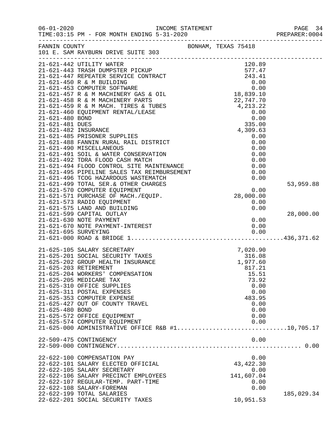| $06 - 01 - 2020$     | INCOME STATEMENT<br>TIME:03:15 PM - FOR MONTH ENDING 5-31-2020                                                                                                                                                                                                                                                                                                                                                                      |                     | PAGE 34<br>PREPARER: 0004 |
|----------------------|-------------------------------------------------------------------------------------------------------------------------------------------------------------------------------------------------------------------------------------------------------------------------------------------------------------------------------------------------------------------------------------------------------------------------------------|---------------------|---------------------------|
|                      | FANNIN COUNTY<br>101 E. SAM RAYBURN DRIVE SUITE 303                                                                                                                                                                                                                                                                                                                                                                                 | BONHAM, TEXAS 75418 |                           |
|                      | 21-621-442 UTILITY WATER                                                                                                                                                                                                                                                                                                                                                                                                            | 120.89              |                           |
|                      |                                                                                                                                                                                                                                                                                                                                                                                                                                     |                     |                           |
|                      |                                                                                                                                                                                                                                                                                                                                                                                                                                     |                     |                           |
|                      |                                                                                                                                                                                                                                                                                                                                                                                                                                     |                     |                           |
|                      | $\begin{tabular}{lllllllllllll} 21-621-443 & \text{TRASH DUMPSTER PICKUP} & 120.89 \\ 21-621-447 & \text{REPEATER SERVICE CONTROL} & 577.47 \\ 21-621-450 & \text{R & M BULLDING} & 0.00 \\ 21-621-453 & \text{COMPUTER SOFTWARE} & 0.00 \\ 21-621-457 & \text{R & M MACHINERV GAS & OIL & 18,839.10 \\ 21-621-458 & \text{R & M MACHINERV PARTS} & 0.73.7.7.7 \\ \end$                                                             |                     |                           |
|                      |                                                                                                                                                                                                                                                                                                                                                                                                                                     |                     |                           |
|                      |                                                                                                                                                                                                                                                                                                                                                                                                                                     |                     |                           |
|                      | 21-621-459 R & M MACH. TIRES & TUBES                                                                                                                                                                                                                                                                                                                                                                                                |                     |                           |
| 21-621-480 BOND      | 21-621-460 EQUIPMENT RENTAL/LEASE                                                                                                                                                                                                                                                                                                                                                                                                   |                     |                           |
| 21-621-481 DUES      |                                                                                                                                                                                                                                                                                                                                                                                                                                     |                     |                           |
| 21-621-482 INSURANCE |                                                                                                                                                                                                                                                                                                                                                                                                                                     |                     |                           |
|                      | 21-621-485 PRISONER SUPPLIES                                                                                                                                                                                                                                                                                                                                                                                                        | 0.00                |                           |
|                      | 21-621-488 FANNIN RURAL RAIL DISTRICT                                                                                                                                                                                                                                                                                                                                                                                               | 0.00                |                           |
|                      | 21-621-490 MISCELLANEOUS                                                                                                                                                                                                                                                                                                                                                                                                            | 0.00                |                           |
|                      | $\begin{tabular}{lllllllllllllllllllll} \multicolumn{2}{c }{\textbf{21-621-490}} & $\textbf{m150-L} \\\hline 21-621-491 & $\text{SOL} $ & $\text{WATER CONSEKVAL} \\\hline 21-621-492 & $\text{TDRA FLOOD CASH MACTCH}$ & & & & & & \\ \multicolumn{2}{c }{\textbf{21-621-494 FLOOD CONTROL SITE MANTENANCE}} & & & & & & \\ \multicolumn{2}{c }{\textbf{21-621-495 PIPELINE SALES TAX REIMBURSEMENT}} & & & & & \\ \multicolumn{2$ |                     |                           |
|                      |                                                                                                                                                                                                                                                                                                                                                                                                                                     |                     |                           |
|                      |                                                                                                                                                                                                                                                                                                                                                                                                                                     |                     |                           |
|                      |                                                                                                                                                                                                                                                                                                                                                                                                                                     |                     |                           |
|                      |                                                                                                                                                                                                                                                                                                                                                                                                                                     |                     |                           |
|                      |                                                                                                                                                                                                                                                                                                                                                                                                                                     |                     | 53,959.88                 |
|                      |                                                                                                                                                                                                                                                                                                                                                                                                                                     |                     |                           |
|                      |                                                                                                                                                                                                                                                                                                                                                                                                                                     |                     |                           |
|                      | 21-621-573 RADIO EQUIPMENT<br>21-621-575 LAND AND BUILDING                                                                                                                                                                                                                                                                                                                                                                          | 0.00<br>0.00        |                           |
|                      | 21-621-599 CAPITAL OUTLAY                                                                                                                                                                                                                                                                                                                                                                                                           |                     | 28,000.00                 |
|                      | 21-621-630 NOTE PAYMENT                                                                                                                                                                                                                                                                                                                                                                                                             | 0.00                |                           |
|                      |                                                                                                                                                                                                                                                                                                                                                                                                                                     |                     |                           |
|                      |                                                                                                                                                                                                                                                                                                                                                                                                                                     |                     |                           |
|                      |                                                                                                                                                                                                                                                                                                                                                                                                                                     |                     |                           |
|                      | 21-625-105 SALARY SECRETARY                                                                                                                                                                                                                                                                                                                                                                                                         | 7,020.90            |                           |
|                      | 21-625-201 SOCIAL SECURITY TAXES                                                                                                                                                                                                                                                                                                                                                                                                    | 316.08              |                           |
|                      | 21-625-202 GROUP HEALTH INSURANCE                                                                                                                                                                                                                                                                                                                                                                                                   | 1,977.60            |                           |
|                      | 21-625-203 RETIREMENT                                                                                                                                                                                                                                                                                                                                                                                                               | 817.21              |                           |
|                      | 21-625-204 WORKERS' COMPENSATION                                                                                                                                                                                                                                                                                                                                                                                                    | 15.51               |                           |
|                      | 21-625-205 MEDICARE TAX                                                                                                                                                                                                                                                                                                                                                                                                             | 73.92               |                           |
|                      | 21-625-310 OFFICE SUPPLIES                                                                                                                                                                                                                                                                                                                                                                                                          | 0.00                |                           |
|                      | 21-625-311 POSTAL EXPENSES                                                                                                                                                                                                                                                                                                                                                                                                          | 0.00                |                           |
|                      | 21-625-353 COMPUTER EXPENSE                                                                                                                                                                                                                                                                                                                                                                                                         | 483.95              |                           |
|                      | 21-625-427 OUT OF COUNTY TRAVEL                                                                                                                                                                                                                                                                                                                                                                                                     | 0.00                |                           |
| 21-625-480 BOND      |                                                                                                                                                                                                                                                                                                                                                                                                                                     | 0.00                |                           |
|                      | 21-625-572 OFFICE EQUIPMENT<br>21-625-574 COMPUTER EQUIPMENT                                                                                                                                                                                                                                                                                                                                                                        | 0.00<br>0.00        |                           |
|                      | 21-625-000 ADMINISTRATIVE OFFICE R&B $#1$ 10,705.17                                                                                                                                                                                                                                                                                                                                                                                 |                     |                           |
|                      |                                                                                                                                                                                                                                                                                                                                                                                                                                     |                     |                           |
|                      | 22-509-475 CONTINGENCY                                                                                                                                                                                                                                                                                                                                                                                                              | 0.00                |                           |
|                      |                                                                                                                                                                                                                                                                                                                                                                                                                                     |                     |                           |
|                      | 22-622-100 COMPENSATION PAY                                                                                                                                                                                                                                                                                                                                                                                                         | 0.00                |                           |
|                      | 22-622-101 SALARY ELECTED OFFICIAL                                                                                                                                                                                                                                                                                                                                                                                                  | 43,422.30           |                           |
|                      | 22-622-105 SALARY SECRETARY                                                                                                                                                                                                                                                                                                                                                                                                         | 0.00                |                           |
|                      | 22-622-106 SALARY PRECINCT EMPLOYEES                                                                                                                                                                                                                                                                                                                                                                                                | 141,607.04          |                           |
|                      | 22-622-107 REGULAR-TEMP. PART-TIME                                                                                                                                                                                                                                                                                                                                                                                                  | 0.00                |                           |
|                      | 22-622-108 SALARY-FOREMAN                                                                                                                                                                                                                                                                                                                                                                                                           | 0.00                |                           |
|                      | 22-622-199 TOTAL SALARIES                                                                                                                                                                                                                                                                                                                                                                                                           |                     | 185,029.34                |
|                      | 22-622-201 SOCIAL SECURITY TAXES                                                                                                                                                                                                                                                                                                                                                                                                    | 10,951.53           |                           |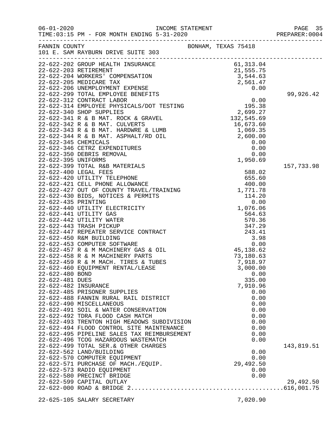| $06 - 01 - 2020$     | TIME:03:15 PM - FOR MONTH ENDING 5-31-2020                                                                                                                                                                                                   | INCOME STATEMENT<br>F. 31, 2020 | PAGE 35<br>PREPARER: 0004 |
|----------------------|----------------------------------------------------------------------------------------------------------------------------------------------------------------------------------------------------------------------------------------------|---------------------------------|---------------------------|
|                      |                                                                                                                                                                                                                                              |                                 |                           |
|                      | 22-622-202 GROUP HEALTH INSURANCE<br>22-622-202 GROUP HEALTH INSURANCE<br>22-622-203 GETIREMENT INSURANCE<br>22-622-205 MEDICARE TAX<br>22-622-205 MEDICARE TAX<br>22-622-205 MEDICARE TAX<br>22-622-205 MEMELOYMENT EXPENSE<br>22-622-312 C |                                 |                           |
|                      |                                                                                                                                                                                                                                              |                                 |                           |
|                      |                                                                                                                                                                                                                                              |                                 |                           |
|                      |                                                                                                                                                                                                                                              |                                 |                           |
|                      |                                                                                                                                                                                                                                              |                                 | 99,926.42                 |
|                      |                                                                                                                                                                                                                                              |                                 |                           |
|                      |                                                                                                                                                                                                                                              |                                 |                           |
|                      |                                                                                                                                                                                                                                              |                                 |                           |
|                      |                                                                                                                                                                                                                                              |                                 |                           |
|                      |                                                                                                                                                                                                                                              |                                 |                           |
|                      |                                                                                                                                                                                                                                              |                                 |                           |
|                      |                                                                                                                                                                                                                                              |                                 |                           |
|                      |                                                                                                                                                                                                                                              |                                 |                           |
|                      |                                                                                                                                                                                                                                              |                                 |                           |
|                      |                                                                                                                                                                                                                                              |                                 |                           |
|                      |                                                                                                                                                                                                                                              | 1,950.69                        |                           |
|                      | 22-622-399 TOTAL R&B MATERIALS                                                                                                                                                                                                               |                                 | 157,733.98                |
|                      |                                                                                                                                                                                                                                              |                                 |                           |
|                      |                                                                                                                                                                                                                                              |                                 |                           |
|                      |                                                                                                                                                                                                                                              |                                 |                           |
|                      |                                                                                                                                                                                                                                              |                                 |                           |
|                      |                                                                                                                                                                                                                                              |                                 |                           |
|                      |                                                                                                                                                                                                                                              |                                 |                           |
|                      |                                                                                                                                                                                                                                              |                                 |                           |
|                      |                                                                                                                                                                                                                                              |                                 |                           |
|                      |                                                                                                                                                                                                                                              |                                 |                           |
|                      |                                                                                                                                                                                                                                              |                                 |                           |
|                      |                                                                                                                                                                                                                                              |                                 |                           |
|                      |                                                                                                                                                                                                                                              |                                 |                           |
|                      |                                                                                                                                                                                                                                              |                                 |                           |
|                      |                                                                                                                                                                                                                                              |                                 |                           |
|                      |                                                                                                                                                                                                                                              |                                 |                           |
|                      |                                                                                                                                                                                                                                              |                                 |                           |
| 22-622-480 BOND      |                                                                                                                                                                                                                                              | 0.00                            |                           |
| 22-622-481 DUES      |                                                                                                                                                                                                                                              | 335.00                          |                           |
| 22-622-482 INSURANCE |                                                                                                                                                                                                                                              | 7,910.96                        |                           |
|                      | 22-622-485 PRISONER SUPPLIES                                                                                                                                                                                                                 | 0.00                            |                           |
|                      | 22-622-488 FANNIN RURAL RAIL DISTRICT                                                                                                                                                                                                        | 0.00                            |                           |
|                      | 22-622-490 MISCELLANEOUS                                                                                                                                                                                                                     | 0.00                            |                           |
|                      | 22-622-491 SOIL & WATER CONSERVATION                                                                                                                                                                                                         | 0.00                            |                           |
|                      | 22-622-492 TDRA FLOOD CASH MATCH                                                                                                                                                                                                             | 0.00                            |                           |
|                      | 22-622-493 TRENTON HIGH MEADOWS SUBDIVISION                                                                                                                                                                                                  | 0.00                            |                           |
|                      | 22-622-494 FLOOD CONTROL SITE MAINTENANCE                                                                                                                                                                                                    | 0.00                            |                           |
|                      | 22-622-495 PIPELINE SALES TAX REIMBURSEMENT                                                                                                                                                                                                  | 0.00                            |                           |
|                      | 22-622-496 TCOG HAZARDOUS WASTEMATCH                                                                                                                                                                                                         | 0.00                            |                           |
|                      | 22-622-499 TOTAL SER.& OTHER CHARGES                                                                                                                                                                                                         |                                 | 143,819.51                |
|                      | 22-622-562 LAND/BUILDING<br>22-622-570 COMPUTER EQUIPMENT                                                                                                                                                                                    | 0.00<br>0.00                    |                           |
|                      | 22-622-571 PURCHASE OF MACH./EQUIP.                                                                                                                                                                                                          | 29,492.50                       |                           |
|                      | 22-622-573 RADIO EQUIPMENT                                                                                                                                                                                                                   | 0.00                            |                           |
|                      | 22-622-580 PRECINCT BRIDGE                                                                                                                                                                                                                   | 0.00                            |                           |
|                      | 22-622-599 CAPITAL OUTLAY                                                                                                                                                                                                                    |                                 | 29,492.50                 |
|                      |                                                                                                                                                                                                                                              |                                 |                           |
|                      |                                                                                                                                                                                                                                              |                                 |                           |
|                      | 22-625-105 SALARY SECRETARY                                                                                                                                                                                                                  | 7,020.90                        |                           |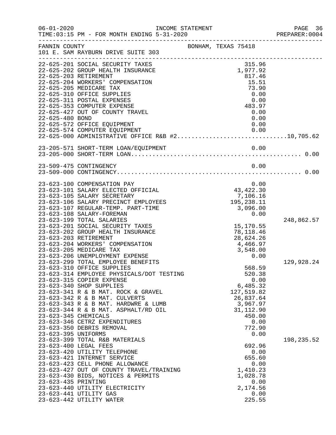| $06 - 01 - 2020$     | INCOME STATEMENT<br>TIME: 03:15 PM - FOR MONTH ENDING 5-31-2020                            |                     |                         |            |      | PAGE 36<br>PREPARER: 0004<br>----------------------------------- |
|----------------------|--------------------------------------------------------------------------------------------|---------------------|-------------------------|------------|------|------------------------------------------------------------------|
| FANNIN COUNTY        | 101 E. SAM RAYBURN DRIVE SUITE 303                                                         | BONHAM, TEXAS 75418 |                         |            |      |                                                                  |
|                      | 22-625-201 SOCIAL SECURITY TAXES                                                           |                     |                         | 315.96     |      |                                                                  |
|                      | 22-625-202 GROUP HEALTH INSURANCE                                                          |                     |                         | 1,977.92   |      |                                                                  |
|                      | 22-625-203 RETIREMENT                                                                      |                     |                         | 817.46     |      |                                                                  |
|                      | 22-625-204 WORKERS' COMPENSATION                                                           |                     |                         | 15.51      |      |                                                                  |
|                      | 22-625-205 MEDICARE TAX                                                                    |                     |                         | 73.90      |      |                                                                  |
|                      | 22-625-310 OFFICE SUPPLIES                                                                 |                     |                         | 0.00       |      |                                                                  |
|                      | 22-625-311 POSTAL EXPENSES                                                                 |                     |                         | 0.00       |      |                                                                  |
|                      | 22-625-353 COMPUTER EXPENSE                                                                |                     |                         | 483.97     |      |                                                                  |
|                      | 22-625-427 OUT OF COUNTY TRAVEL                                                            |                     |                         | 0.00       |      |                                                                  |
| 22-625-480 BOND      |                                                                                            |                     |                         |            | 0.00 |                                                                  |
|                      | 22-625-572 OFFICE EQUIPMENT                                                                |                     |                         |            | 0.00 |                                                                  |
|                      | 22-625-574 COMPUTER EQUIPMENT 0.00<br>22-625-000 ADMINISTRATIVE OFFICE R&B $\#2$ 10,705.62 |                     |                         |            |      |                                                                  |
|                      |                                                                                            |                     |                         |            |      |                                                                  |
|                      |                                                                                            |                     |                         |            |      |                                                                  |
|                      |                                                                                            |                     |                         |            |      |                                                                  |
|                      | 23-509-475 CONTINGENCY                                                                     |                     |                         |            | 0.00 |                                                                  |
|                      |                                                                                            |                     |                         |            |      |                                                                  |
|                      |                                                                                            |                     |                         |            |      |                                                                  |
|                      | 23-623-100 COMPENSATION PAY                                                                |                     | 0.00<br>43,422.30       |            | 0.00 |                                                                  |
|                      | 23-623-101 SALARY ELECTED OFFICIAL                                                         |                     |                         |            |      |                                                                  |
|                      | 23-623-105 SALARY SECRETARY                                                                |                     | 106.16, 7<br>195,238.11 | 7,106.16   |      |                                                                  |
|                      | 23-623-106 SALARY PRECINCT EMPLOYEES                                                       |                     |                         |            |      |                                                                  |
|                      | 23-623-107 REGULAR-TEMP. PART-TIME                                                         |                     |                         | 3,096.00   |      |                                                                  |
|                      | 23-623-108 SALARY-FOREMAN<br>23-623-199 TOTAL SALARIES                                     |                     |                         |            | 0.00 |                                                                  |
|                      | 23-623-201 SOCIAL SECURITY TAXES                                                           |                     |                         | 15,170.55  |      | 248,862.57                                                       |
|                      | 23-623-202 GROUP HEALTH INSURANCE                                                          |                     |                         | 78,118.46  |      |                                                                  |
|                      | 23-623-203 RETIREMENT                                                                      |                     |                         | 28,624.26  |      |                                                                  |
|                      | 23-623-204 WORKERS' COMPENSATION                                                           |                     | 4,466.97                |            |      |                                                                  |
|                      | 23-623-205 MEDICARE TAX                                                                    |                     |                         | 3,548.00   |      |                                                                  |
|                      | 23-623-206 UNEMPLOYMENT EXPENSE                                                            |                     |                         |            | 0.00 |                                                                  |
|                      | 23-623-299 TOTAL EMPLOYEE BENEFITS                                                         |                     |                         |            |      | 129,928.24                                                       |
|                      | 23-623-310 OFFICE SUPPLIES                                                                 |                     |                         | 568.59     |      |                                                                  |
|                      | 23-623-314 EMPLOYEE PHYSICALS/DOT TESTING                                                  |                     |                         | 520.38     |      |                                                                  |
|                      | 23-623-315 COPIER EXPENSE                                                                  |                     |                         |            | 0.00 |                                                                  |
|                      | 23-623-340 SHOP SUPPLIES                                                                   |                     |                         | 6,485.32   |      |                                                                  |
|                      | 23-623-341 R & B MAT. ROCK & GRAVEL                                                        |                     |                         | 127,519.82 |      |                                                                  |
|                      | 23-623-342 R & B MAT. CULVERTS                                                             |                     |                         | 26,837.64  |      |                                                                  |
|                      | 23-623-343 R & B MAT. HARDWRE & LUMB                                                       |                     |                         | 3,967.97   |      |                                                                  |
|                      | 23-623-344 R & B MAT. ASPHALT/RD OIL                                                       |                     |                         | 31, 112.90 |      |                                                                  |
| 23-623-345 CHEMICALS |                                                                                            |                     |                         | 450.00     |      |                                                                  |
|                      | 23-623-346 CETRZ EXPENDITURES                                                              |                     |                         |            | 0.00 |                                                                  |
|                      | 23-623-350 DEBRIS REMOVAL                                                                  |                     |                         | 772.90     |      |                                                                  |
| 23-623-395 UNIFORMS  |                                                                                            |                     |                         |            | 0.00 |                                                                  |
|                      | 23-623-399 TOTAL R&B MATERIALS                                                             |                     |                         |            |      | 198,235.52                                                       |
|                      | 23-623-400 LEGAL FEES                                                                      |                     |                         | 692.96     |      |                                                                  |
|                      | 23-623-420 UTILITY TELEPHONE                                                               |                     |                         |            | 0.00 |                                                                  |
|                      | 23-623-421 INTERNET SERVICE                                                                |                     |                         | 655.60     |      |                                                                  |
|                      | 23-623-423 CELL PHONE ALLOWANCE                                                            |                     |                         |            | 0.00 |                                                                  |
|                      | 23-623-427 OUT OF COUNTY TRAVEL/TRAINING                                                   |                     |                         | 1,410.23   |      |                                                                  |
|                      | 23-623-430 BIDS, NOTICES & PERMITS                                                         |                     |                         | 1,028.78   |      |                                                                  |
| 23-623-435 PRINTING  |                                                                                            |                     |                         |            | 0.00 |                                                                  |
|                      | 23-623-440 UTILITY ELECTRICITY                                                             |                     |                         | 2,174.56   |      |                                                                  |
|                      | 23-623-441 UTILITY GAS                                                                     |                     |                         |            | 0.00 |                                                                  |
|                      | 23-623-442 UTILITY WATER                                                                   |                     |                         | 225.55     |      |                                                                  |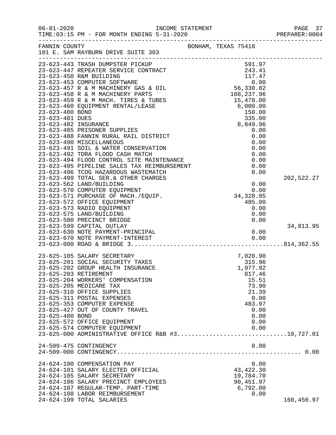| $06 - 01 - 2020$ | TIME:03:15 PM - FOR MONTH ENDING 5-31-2020                                                                                                                                                                                                                                                                                                                                    | INCOME STATEMENT    |                | PAGE 37<br>PREPARER: 0004 |
|------------------|-------------------------------------------------------------------------------------------------------------------------------------------------------------------------------------------------------------------------------------------------------------------------------------------------------------------------------------------------------------------------------|---------------------|----------------|---------------------------|
|                  | FANNIN COUNTY<br>101 E. SAM RAYBURN DRIVE SUITE 303                                                                                                                                                                                                                                                                                                                           | BONHAM, TEXAS 75418 |                |                           |
|                  | 23-623-443 TRASH DUMESTER PICKUP<br>23-623-443 TRASH DUMESTER SERVICE CONTRACT<br>243.41<br>23-623-447 REPEATER SERVICE CONTRACT<br>243.41<br>23-623-450 R&M BUILDING<br>23-623-453 COMPUTER SOFTWARE<br>23-623-453 R & M MACHINERY GAS & OI                                                                                                                                  |                     |                |                           |
|                  |                                                                                                                                                                                                                                                                                                                                                                               |                     |                |                           |
|                  |                                                                                                                                                                                                                                                                                                                                                                               |                     |                |                           |
|                  |                                                                                                                                                                                                                                                                                                                                                                               |                     |                |                           |
|                  |                                                                                                                                                                                                                                                                                                                                                                               |                     |                |                           |
|                  |                                                                                                                                                                                                                                                                                                                                                                               |                     |                |                           |
|                  |                                                                                                                                                                                                                                                                                                                                                                               |                     |                |                           |
|                  |                                                                                                                                                                                                                                                                                                                                                                               |                     |                |                           |
|                  |                                                                                                                                                                                                                                                                                                                                                                               |                     |                |                           |
|                  |                                                                                                                                                                                                                                                                                                                                                                               |                     |                |                           |
|                  | $\begin{array}{ll} & 8\,,8\\ 23\!-\!623\!-\!485\, \text{ PRISONER SUPPLIES}\\ 23\!-\!623\!-\!488\, \text{FANNIN RURAL RAIL DISTRICT}\\ 23\!-\!623\!-\!490\, \text{ MISCELLIANEOUS}\\ 23\!-\!623\!-\!491\, \text{SOLL & WATER CONSERVATION}\\ 23\!-\!623\!-\!492\, \text{TPRA FLOOD CASH MACTCH}\\ 23\!-\!623\!-\!494\, \text{FLOOD CONTROL SITE MANTENANCE}\\ 23\!-\!623\!-\$ |                     | 0.00           |                           |
|                  |                                                                                                                                                                                                                                                                                                                                                                               |                     | 0.00           |                           |
|                  |                                                                                                                                                                                                                                                                                                                                                                               |                     | 0.00           |                           |
|                  |                                                                                                                                                                                                                                                                                                                                                                               |                     | 0.00           |                           |
|                  |                                                                                                                                                                                                                                                                                                                                                                               |                     | 0.00           |                           |
|                  |                                                                                                                                                                                                                                                                                                                                                                               |                     | 0.00           |                           |
|                  |                                                                                                                                                                                                                                                                                                                                                                               |                     | 0.00           |                           |
|                  |                                                                                                                                                                                                                                                                                                                                                                               |                     | 0.00           |                           |
|                  |                                                                                                                                                                                                                                                                                                                                                                               |                     |                | 202,522.27                |
|                  | 23-623-562 LAND/BUILDING                                                                                                                                                                                                                                                                                                                                                      |                     | 0.00           |                           |
|                  | 23-623-570 COMPUTER EQUIPMENT                                                                                                                                                                                                                                                                                                                                                 |                     | 0.00           |                           |
|                  | 23-623-571 PURCHASE OF MACH./EQUIP.                                                                                                                                                                                                                                                                                                                                           |                     | 34, 328.95     |                           |
|                  | 23-623-572 OFFICE EQUIPMENT                                                                                                                                                                                                                                                                                                                                                   |                     | 485.00         |                           |
|                  | 23-623-573 RADIO EQUIPMENT                                                                                                                                                                                                                                                                                                                                                    |                     | 0.00           |                           |
|                  | 23-623-575 LAND/BUILDING                                                                                                                                                                                                                                                                                                                                                      |                     | 0.00           |                           |
|                  | 23-623-580 PRECINCT BRIDGE                                                                                                                                                                                                                                                                                                                                                    |                     | 0.00           |                           |
|                  | 23-623-599 CAPITAL OUTLAY                                                                                                                                                                                                                                                                                                                                                     |                     |                | 34,813.95                 |
|                  |                                                                                                                                                                                                                                                                                                                                                                               |                     |                |                           |
|                  |                                                                                                                                                                                                                                                                                                                                                                               |                     |                |                           |
|                  |                                                                                                                                                                                                                                                                                                                                                                               |                     |                |                           |
|                  | 23-625-105 SALARY SECRETARY                                                                                                                                                                                                                                                                                                                                                   |                     | 7,020.90       |                           |
|                  | 23-625-201 SOCIAL SECURITY TAXES                                                                                                                                                                                                                                                                                                                                              |                     | 315.96         |                           |
|                  | 23-625-202 GROUP HEALTH INSURANCE                                                                                                                                                                                                                                                                                                                                             |                     | 1,977.92       |                           |
|                  | 23-625-203 RETIREMENT                                                                                                                                                                                                                                                                                                                                                         |                     | 817.46         |                           |
|                  | 23-625-204 WORKERS' COMPENSATION                                                                                                                                                                                                                                                                                                                                              |                     | 15.51          |                           |
|                  | 23-625-205 MEDICARE TAX<br>23-625-310 OFFICE SUPPLIES                                                                                                                                                                                                                                                                                                                         |                     | 73.90<br>21.39 |                           |
|                  | 23-625-311 POSTAL EXPENSES                                                                                                                                                                                                                                                                                                                                                    |                     | 0.00           |                           |
|                  | 23-625-353 COMPUTER EXPENSE                                                                                                                                                                                                                                                                                                                                                   |                     | 483.97         |                           |
|                  | 23-625-427 OUT OF COUNTY TRAVEL                                                                                                                                                                                                                                                                                                                                               |                     | 0.00           |                           |
| 23-625-480 BOND  |                                                                                                                                                                                                                                                                                                                                                                               |                     | 0.00           |                           |
|                  | 23-625-572 OFFICE EQUIPMENT                                                                                                                                                                                                                                                                                                                                                   |                     | 0.00           |                           |
|                  | 23-625-574 COMPUTER EQUIPMENT                                                                                                                                                                                                                                                                                                                                                 |                     | 0.00           |                           |
|                  | 23-625-000 ADMINISTRATIVE OFFICE R&B #310,727.01                                                                                                                                                                                                                                                                                                                              |                     |                |                           |
|                  |                                                                                                                                                                                                                                                                                                                                                                               |                     |                |                           |
|                  | 24-509-475 CONTINGENCY                                                                                                                                                                                                                                                                                                                                                        |                     | 0.00           |                           |
|                  |                                                                                                                                                                                                                                                                                                                                                                               |                     |                |                           |
|                  | 24-624-100 COMPENSATION PAY                                                                                                                                                                                                                                                                                                                                                   |                     | 0.00           |                           |
|                  | 24-624-101 SALARY ELECTED OFFICIAL                                                                                                                                                                                                                                                                                                                                            |                     | 43, 422.30     |                           |
|                  | 24-624-105 SALARY SECRETARY                                                                                                                                                                                                                                                                                                                                                   |                     | 19,784.70      |                           |
|                  | 24-624-106 SALARY PRECINCT EMPLOYEES                                                                                                                                                                                                                                                                                                                                          |                     | 90,451.97      |                           |
|                  | 24-624-107 REGULAR-TEMP. PART-TIME                                                                                                                                                                                                                                                                                                                                            |                     | 6,792.00       |                           |
|                  | 24-624-108 LABOR REIMBURSEMENT                                                                                                                                                                                                                                                                                                                                                |                     | 0.00           |                           |
|                  | 24-624-199 TOTAL SALARIES                                                                                                                                                                                                                                                                                                                                                     |                     |                | 160,450.97                |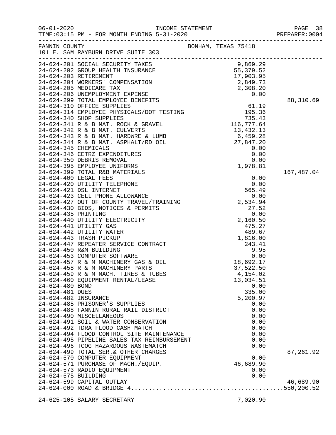| FANNIN COUNTY        | 101 E. SAM RAYBURN DRIVE SUITE 303                                                                                                                                                                                                              |  | BONHAM, TEXAS 75418 |            |
|----------------------|-------------------------------------------------------------------------------------------------------------------------------------------------------------------------------------------------------------------------------------------------|--|---------------------|------------|
|                      | 24-624-201 SOCIAL SECURITY TAXES<br>24-624-202 GROUP HEALTH INSURANCE<br>24-624-203 RETIREMENT<br>24-624-203 NETIREMENT<br>24-624-205 MEDICARE TAX<br>24-624-205 MEDICARE TAX<br>24-624-205 MEDICARE TAX<br>2, 308.20<br>2, 308.20<br>2, 308.20 |  |                     |            |
|                      |                                                                                                                                                                                                                                                 |  |                     |            |
|                      |                                                                                                                                                                                                                                                 |  |                     |            |
|                      | 24-624-299 TOTAL EMPLOYEE BENEFITS<br>24-624-310 OFFICE SUPPLIES<br>24-624-314 EMPLOYEE PHYSICALS/DOT TESTING<br>24-624-341 AMPLOYEE PHYSICALS/DOT TESTING<br>24-624-341 R & B MAT. ROCK & GRAVEL<br>24-624-342 R & B MAT. CULVERTS<br>24-      |  |                     |            |
|                      |                                                                                                                                                                                                                                                 |  |                     | 88,310.69  |
|                      |                                                                                                                                                                                                                                                 |  |                     |            |
|                      |                                                                                                                                                                                                                                                 |  |                     |            |
|                      |                                                                                                                                                                                                                                                 |  |                     |            |
|                      |                                                                                                                                                                                                                                                 |  |                     |            |
|                      | 24-624-342 R & B MAT. CULVERTS<br>24-624-343 R & B MAT. HARDWRE & LUMB<br>24-624-344 R & B MAT. ASPHALT/RD OIL<br>24-624-346 CETRZ EXPENDITURES<br>24-624-350 DEBRIS REMOVAL<br>24-624-350 DEBRIS REMOVAL<br>24-624-395 EMPLOYEE UNIFORMS<br>   |  |                     |            |
|                      |                                                                                                                                                                                                                                                 |  |                     |            |
|                      |                                                                                                                                                                                                                                                 |  |                     |            |
|                      |                                                                                                                                                                                                                                                 |  |                     |            |
|                      |                                                                                                                                                                                                                                                 |  |                     |            |
|                      |                                                                                                                                                                                                                                                 |  | 1,978.81            |            |
|                      |                                                                                                                                                                                                                                                 |  |                     | 167,487.04 |
|                      |                                                                                                                                                                                                                                                 |  |                     |            |
|                      |                                                                                                                                                                                                                                                 |  |                     |            |
|                      |                                                                                                                                                                                                                                                 |  |                     |            |
|                      |                                                                                                                                                                                                                                                 |  |                     |            |
|                      |                                                                                                                                                                                                                                                 |  |                     |            |
|                      |                                                                                                                                                                                                                                                 |  |                     |            |
|                      |                                                                                                                                                                                                                                                 |  |                     |            |
|                      |                                                                                                                                                                                                                                                 |  |                     |            |
|                      |                                                                                                                                                                                                                                                 |  |                     |            |
|                      |                                                                                                                                                                                                                                                 |  |                     |            |
|                      |                                                                                                                                                                                                                                                 |  |                     |            |
|                      |                                                                                                                                                                                                                                                 |  |                     |            |
|                      |                                                                                                                                                                                                                                                 |  |                     |            |
|                      |                                                                                                                                                                                                                                                 |  |                     |            |
|                      |                                                                                                                                                                                                                                                 |  |                     |            |
|                      |                                                                                                                                                                                                                                                 |  |                     |            |
| 24-624-481 DUES      |                                                                                                                                                                                                                                                 |  | 335.00              |            |
| 24-624-482 INSURANCE |                                                                                                                                                                                                                                                 |  | 5,200.97            |            |
|                      | 24-624-485 PRISONER'S SUPPLIES                                                                                                                                                                                                                  |  | 0.00                |            |
|                      | 24-624-488 FANNIN RURAL RAIL DISTRICT                                                                                                                                                                                                           |  | 0.00                |            |
|                      | 24-624-490 MISCELLANEOUS<br>24-624-491 SOIL & WATER CONSERVATION                                                                                                                                                                                |  | 0.00<br>0.00        |            |
|                      | 24-624-492 TDRA FLOOD CASH MATCH                                                                                                                                                                                                                |  | 0.00                |            |
|                      | 24-624-494 FLOOD CONTROL SITE MAINTENANCE                                                                                                                                                                                                       |  | 0.00                |            |
|                      | 24-624-495 PIPELINE SALES TAX REIMBURSEMENT                                                                                                                                                                                                     |  | 0.00                |            |
|                      | 24-624-496 TCOG HAZARDOUS WASTEMATCH                                                                                                                                                                                                            |  | 0.00                |            |
|                      | 24-624-499 TOTAL SER. & OTHER CHARGES                                                                                                                                                                                                           |  |                     | 87,261.92  |
|                      | 24-624-570 COMPUTER EQUIPMENT                                                                                                                                                                                                                   |  | 0.00                |            |
|                      | 24-624-571 PURCHASE OF MACH./EQUIP.                                                                                                                                                                                                             |  | 46,689.90           |            |
| 24-624-575 BUILDING  | 24-624-573 RADIO EQUIPMENT                                                                                                                                                                                                                      |  | 0.00<br>0.00        |            |
|                      | 24-624-599 CAPITAL OUTLAY                                                                                                                                                                                                                       |  |                     | 46,689.90  |
|                      |                                                                                                                                                                                                                                                 |  |                     |            |
|                      |                                                                                                                                                                                                                                                 |  |                     |            |
|                      | 24-625-105 SALARY SECRETARY                                                                                                                                                                                                                     |  | 7,020.90            |            |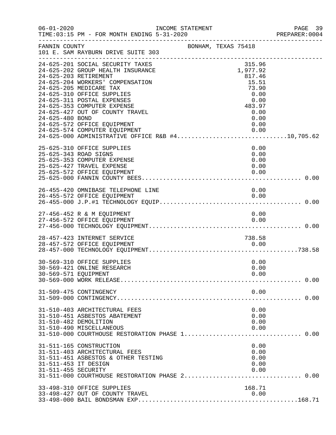| $06 - 01 - 2020$                            | INCOME STATEMENT<br>TIME: 03:15 PM - FOR MONTH ENDING 5-31-2020                                                                                     |                     |                                       | PAGE 39<br>PREPARER: 0004 |
|---------------------------------------------|-----------------------------------------------------------------------------------------------------------------------------------------------------|---------------------|---------------------------------------|---------------------------|
| FANNIN COUNTY                               | 101 E. SAM RAYBURN DRIVE SUITE 303                                                                                                                  | BONHAM, TEXAS 75418 |                                       |                           |
|                                             | 24-625-201 SOCIAL SECURITY TAXES<br>24-625-202 GROUP HEALTH INSURANCE<br>24-625-203 RETIREMENT<br>24-625-204 WORKERS' COMPENSATION                  |                     | 315.96<br>1,977.92<br>817.46<br>15.51 |                           |
|                                             | 24-625-205 MEDICARE TAX<br>24-625-310 OFFICE SUPPLIES<br>24-625-311 POSTAL EXPENSES<br>24-625-353 COMPUTER EXPENSE                                  |                     | 73.90<br>0.00<br>0.00<br>483.97       |                           |
| 24-625-480 BOND                             | 24-625-427 OUT OF COUNTY TRAVEL<br>24-625-572 OFFICE EQUIPMENT<br>24-625-574 COMPUTER EQUIPMENT<br>24-625-000 ADMINISTRATIVE OFFICE R&B #410,705.62 |                     | 0.00<br>0.00<br>0.00                  |                           |
|                                             | 25-625-310 OFFICE SUPPLIES<br>25-625-343 ROAD SIGNS<br>25-625-353 COMPUTER EXPENSE<br>25-625-427 TRAVEL EXPENSE                                     |                     | 0.00<br>0.00<br>0.00<br>0.00          |                           |
|                                             | 25-625-572 OFFICE EQUIPMENT<br>26-455-420 OMNIBASE TELEPHONE LINE                                                                                   |                     | 0.00<br>0.00                          |                           |
|                                             | 26-455-572 OFFICE EQUIPMENT                                                                                                                         |                     | 0.00                                  |                           |
|                                             | 27-456-452 R & M EQUIPMENT<br>27-456-572 OFFICE EQUIPMENT                                                                                           |                     | 0.00<br>0.00                          |                           |
|                                             | 28-457-423 INTERNET SERVICE<br>28-457-572 OFFICE EQUIPMENT                                                                                          |                     | 738.58<br>0.00                        |                           |
| 30-569-571 EQUIPMENT                        | 30-569-310 OFFICE SUPPLIES<br>30-569-421 ONLINE RESEARCH                                                                                            |                     | 0.00<br>0.00<br>0.00                  |                           |
|                                             | 31-509-475 CONTINGENCY                                                                                                                              |                     | 0.00                                  |                           |
|                                             | 31-510-403 ARCHITECTURAL FEES<br>31-510-451 ASBESTOS ABATEMENT<br>31-510-482 DEMOLITION<br>31-510-490 MISCELLANEOUS                                 |                     | 0.00<br>0.00<br>0.00<br>0.00          |                           |
| 31-511-453 IT DESIGN<br>31-511-455 SECURITY | 31-511-165 CONSTRUCTION<br>31-511-403 ARCHITECTURAL FEES<br>31-511-451 ASBESTOS & OTHER TESTING                                                     |                     | 0.00<br>0.00<br>0.00<br>0.00<br>0.00  |                           |
|                                             | 33-498-310 OFFICE SUPPLIES<br>33-498-427 OUT OF COUNTY TRAVEL                                                                                       |                     | 168.71<br>0.00                        |                           |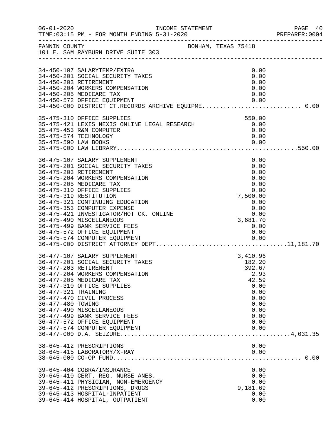| $06 - 01 - 2020$                         |                                                                                                                                                                                                                                                                                                                                                                                                                                                         | INCOME STATEMENT    |                                                                                                                      | PAGE 40<br>PREPARER: 0004 |
|------------------------------------------|---------------------------------------------------------------------------------------------------------------------------------------------------------------------------------------------------------------------------------------------------------------------------------------------------------------------------------------------------------------------------------------------------------------------------------------------------------|---------------------|----------------------------------------------------------------------------------------------------------------------|---------------------------|
|                                          | FANNIN COUNTY<br>101 E. SAM RAYBURN DRIVE SUITE 303                                                                                                                                                                                                                                                                                                                                                                                                     | BONHAM, TEXAS 75418 |                                                                                                                      |                           |
|                                          | 34-450-107 SALARYTEMP/EXTRA<br>34-450-201 SOCIAL SECURITY TAXES<br>34-450-203 RETIREMENT<br>34-450-204 WORKERS COMPENSATION<br>34-450-205 MEDICARE TAX<br>34-450-572 OFFICE EQUIPMENT<br>34-450-000 DISTRICT CT.RECORDS ARCHIVE EQUIPME 0.00                                                                                                                                                                                                            |                     | 0.00<br>0.00<br>0.00<br>0.00<br>0.00<br>0.00                                                                         |                           |
|                                          | 35-475-310 OFFICE SUPPLIES<br>35-475-421 LEXIS NEXIS ONLINE LEGAL RESEARCH<br>35-475-453 R&M COMPUTER<br>35-475-574 TECHNOLOGY                                                                                                                                                                                                                                                                                                                          |                     | 550.00<br>0.00<br>0.00<br>0.00                                                                                       |                           |
|                                          | 36-475-107 SALARY SUPPLEMENT<br>36-475-201 SOCIAL SECURITY TAXES<br>36-475-203 RETIREMENT<br>36-475-204 WORKERS COMPENSATION<br>36-475-205 MEDICARE TAX<br>36-475-310 OFFICE SUPPLIES<br>36-475-319 RESTITUTION<br>36-475-321 CONTINUING EDUCATION<br>36-475-353 COMPUTER EXPENSE<br>36-475-421 INVESTIGATOR/HOT CK. ONLINE<br>36-475-490 MISCELLANEOUS<br>36-475-499 BANK SERVICE FEES<br>36-475-572 OFFICE EQUIPMENT<br>36-475-574 COMPUTER EQUIPMENT |                     | 0.00<br>0.00<br>0.00<br>0.00<br>0.00<br>0.00<br>7,500.00<br>0.00<br>0.00<br>0.00<br>3,681.70<br>0.00<br>0.00<br>0.00 |                           |
| 36-477-321 TRAINING<br>36-477-480 TOWING | 36-477-107 SALARY SUPPLEMENT<br>36-477-201 SOCIAL SECURITY TAXES<br>36-477-203 RETIREMENT<br>36-477-204 WORKERS COMPENSATION<br>36-477-205 MEDICARE TAX<br>36-477-310 OFFICE SUPPLIES<br>36-477-470 CIVIL PROCESS<br>36-477-490 MISCELLANEOUS<br>36-477-499 BANK SERVICE FEES<br>36-477-572 OFFICE EQUIPMENT<br>36-477-574 COMPUTER EQUIPMENT                                                                                                           |                     | 3,410.96<br>182.20<br>392.67<br>2.93<br>42.59<br>0.00<br>0.00<br>0.00<br>0.00<br>0.00<br>0.00<br>0.00<br>0.00        |                           |
|                                          | 38-645-412 PRESCRIPTIONS<br>38-645-415 LABORATORY/X-RAY                                                                                                                                                                                                                                                                                                                                                                                                 |                     | 0.00<br>0.00                                                                                                         |                           |
|                                          | 39-645-404 COBRA/INSURANCE<br>39-645-410 CERT. REG. NURSE ANES.<br>39-645-411 PHYSICIAN, NON-EMERGENCY<br>39-645-412 PRESCRIPTIONS, DRUGS<br>39-645-413 HOSPITAL-INPATIENT<br>39-645-414 HOSPITAL, OUTPATIENT                                                                                                                                                                                                                                           |                     | 0.00<br>0.00<br>0.00<br>9,181.69<br>0.00<br>0.00                                                                     |                           |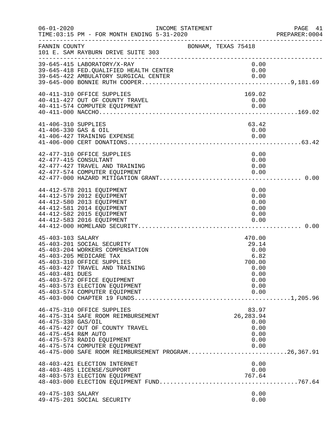| $06 - 01 - 2020$                            | INCOME STATEMENT<br>TIME: 03:15 PM - FOR MONTH ENDING 5-31-2020                                                                                                                                                                                           |                     |                                                                                   | PAGE 41<br>PREPARER:0004 |
|---------------------------------------------|-----------------------------------------------------------------------------------------------------------------------------------------------------------------------------------------------------------------------------------------------------------|---------------------|-----------------------------------------------------------------------------------|--------------------------|
| FANNIN COUNTY                               | 101 E. SAM RAYBURN DRIVE SUITE 303                                                                                                                                                                                                                        | BONHAM, TEXAS 75418 |                                                                                   |                          |
|                                             | 39-645-415 LABORATORY/X-RAY<br>39-645-418 FED.QUALIFIED HEALTH CENTER<br>39-645-422 AMBULATORY SURGICAL CENTER                                                                                                                                            |                     | 0.00<br>0.00<br>0.00                                                              |                          |
|                                             | 40-411-310 OFFICE SUPPLIES<br>40-411-427 OUT OF COUNTY TRAVEL<br>40-411-574 COMPUTER EQUIPMENT                                                                                                                                                            |                     | 169.02<br>0.00<br>0.00                                                            |                          |
| 41-406-310 SUPPLIES<br>41-406-330 GAS & OIL | 41-406-427 TRAINING EXPENSE                                                                                                                                                                                                                               |                     | 63.42<br>0.00<br>0.00                                                             |                          |
|                                             | 42-477-310 OFFICE SUPPLIES<br>42-477-415 CONSULTANT<br>42-477-427 TRAVEL AND TRAINING<br>42-477-574 COMPUTER EQUIPMENT                                                                                                                                    |                     | 0.00<br>0.00<br>0.00<br>0.00                                                      |                          |
|                                             | 44-412-578 2011 EQUIPMENT<br>44-412-579 2012 EQUIPMENT<br>44-412-580 2013 EQUIPMENT<br>44-412-581 2014 EQUIPMENT<br>44-412-582 2015 EQUIPMENT<br>44-412-583 2016 EQUIPMENT                                                                                |                     | 0.00<br>0.00<br>0.00<br>0.00<br>0.00<br>0.00                                      |                          |
| 45-403-103 SALARY<br>45-403-481 DUES        | 45-403-201 SOCIAL SECURITY<br>45-403-204 WORKERS COMPENSATION<br>45-403-205 MEDICARE TAX<br>45-403-310 OFFICE SUPPLIES<br>45-403-427 TRAVEL AND TRAINING<br>45-403-572 OFFICE EQUIPMENT<br>45-403-573 ELECTION EQUIPMENT<br>45-403-574 COMPUTER EQUIPMENT |                     | 470.00<br>29.14<br>0.00<br>6.82<br>700.00<br>0.00<br>0.00<br>0.00<br>0.00<br>0.00 |                          |
| 46-475-330 GAS/OIL<br>46-475-454 R&M AUTO   | 46-475-310 OFFICE SUPPLIES<br>46-475-314 SAFE ROOM REIMBURSEMENT<br>46-475-427 OUT OF COUNTY TRAVEL<br>46-475-573 RADIO EQUIPMENT<br>46-475-574 COMPUTER EQUIPMENT<br>46-475-000 SAFE ROOM REIMBURSEMENT PROGRAM26,367.91                                 |                     | 83.97<br>26, 283.94<br>0.00<br>0.00<br>0.00<br>0.00<br>0.00                       |                          |
|                                             | 48-403-421 ELECTION INTERNET<br>48-403-485 LICENSE/SUPPORT<br>48-403-573 ELECTION EQUIPMENT                                                                                                                                                               |                     | 0.00<br>0.00<br>767.64                                                            |                          |
| 49-475-103 SALARY                           | 49-475-201 SOCIAL SECURITY                                                                                                                                                                                                                                |                     | 0.00<br>0.00                                                                      |                          |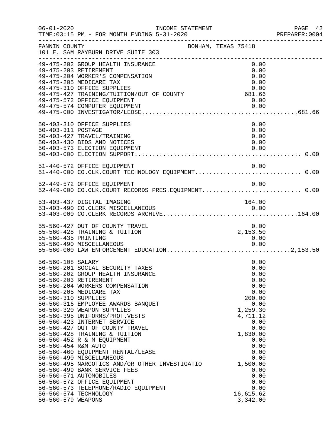|                                                                                       | INCOME STATEMENT<br>TIME:03:15 PM - FOR MONTH ENDING 5-31-2020                                                                                                                                                                                                                                                                                                                                                                                                                                                                                                                                                                                                                   |                     |                                                                                                                                                                                                                         | PREPARER: 0004 |
|---------------------------------------------------------------------------------------|----------------------------------------------------------------------------------------------------------------------------------------------------------------------------------------------------------------------------------------------------------------------------------------------------------------------------------------------------------------------------------------------------------------------------------------------------------------------------------------------------------------------------------------------------------------------------------------------------------------------------------------------------------------------------------|---------------------|-------------------------------------------------------------------------------------------------------------------------------------------------------------------------------------------------------------------------|----------------|
| FANNIN COUNTY                                                                         | 101 E. SAM RAYBURN DRIVE SUITE 303                                                                                                                                                                                                                                                                                                                                                                                                                                                                                                                                                                                                                                               | BONHAM, TEXAS 75418 |                                                                                                                                                                                                                         |                |
|                                                                                       | 49-475-202 GROUP HEALTH INSURANCE<br>49-475-203 RETIREMENT<br>49-475-204 WORKER'S COMPENSATION<br>49-475-205 MEDICARE TAX<br>49-475-310 OFFICE SUPPLIES<br>0.00<br>49-475-427 TRAINING/TUITION/OUT OF COUNTY 681.66<br>49-475-572 OFFICE FOUTINGNER<br>49-475-572 OFFICE EQUIPMENT                                                                                                                                                                                                                                                                                                                                                                                               |                     | 0.00<br>0.00<br>0.00<br>0.00<br>0.00<br>0.00                                                                                                                                                                            |                |
| 50-403-311 POSTAGE                                                                    | 50-403-310 OFFICE SUPPLIES<br>50-403-427 TRAVEL/TRAINING<br>50-403-430 BIDS AND NOTICES<br>50-403-573 ELECTION EQUIPMENT                                                                                                                                                                                                                                                                                                                                                                                                                                                                                                                                                         |                     | 0.00<br>0.00<br>0.00<br>0.00<br>0.00                                                                                                                                                                                    |                |
|                                                                                       | 51-440-572 OFFICE EQUIPMENT<br>51-440-000 CO.CLK.COURT TECHNOLOGY EQUIPMENT 0.00<br>52-449-572 OFFICE EQUIPMENT                                                                                                                                                                                                                                                                                                                                                                                                                                                                                                                                                                  |                     | 0.00<br>0.00                                                                                                                                                                                                            |                |
|                                                                                       | 52-449-000 CO.CLK.COURT RECORDS PRES.EQUIPMENT 0.00<br>53-403-437 DIGITAL IMAGING                                                                                                                                                                                                                                                                                                                                                                                                                                                                                                                                                                                                |                     | 164.00                                                                                                                                                                                                                  |                |
| 55-560-435 PRINTING                                                                   | 55-560-427 OUT OF COUNTY TRAVEL<br>55-560-428 TRAINING & TUITION<br>55-560-490 MISCELLANEOUS                                                                                                                                                                                                                                                                                                                                                                                                                                                                                                                                                                                     |                     | 0.00<br>2,153.50<br>0.00<br>0.00                                                                                                                                                                                        |                |
| 56-560-108 SALARY<br>56-560-310 SUPPLIES<br>56-560-454 R&M AUTO<br>56-560-579 WEAPONS | 56-560-201 SOCIAL SECURITY TAXES<br>56-560-202 GROUP HEALTH INSURANCE<br>56-560-203 RETIREMENT<br>56-560-204 WORKERS COMPENSATION<br>56-560-205 MEDICARE TAX<br>56-560-316 EMPLOYEE AWARDS BANQUET<br>56-560-320 WEAPON SUPPLIES<br>56-560-395 UNIFORMS/PROT.VESTS<br>56-560-423 INTERNET SERVICE<br>56-560-427 OUT OF COUNTY TRAVEL<br>56-560-428 TRAINING & TUITION<br>56-560-452 R & M EQUIPMENT<br>56-560-460 EQUIPMENT RENTAL/LEASE<br>56-560-490 MISCELLANEOUS<br>56-560-495 NARCOTICS AND/OR OTHER INVESTIGATIO<br>56-560-499 BANK SERVICE FEES<br>56-560-571 AUTOMOBILES<br>56-560-572 OFFICE EQUIPMENT<br>56-560-573 TELEPHONE/RADIO EQUIPMENT<br>56-560-574 TECHNOLOGY |                     | 0.00<br>0.00<br>0.00<br>0.00<br>0.00<br>0.00<br>200.00<br>0.00<br>1,259.30<br>4,711.12<br>0.00<br>0.00<br>1,830.00<br>0.00<br>0.00<br>0.00<br>0.00<br>1,500.00<br>0.00<br>0.00<br>0.00<br>0.00<br>16,615.62<br>3,342.00 |                |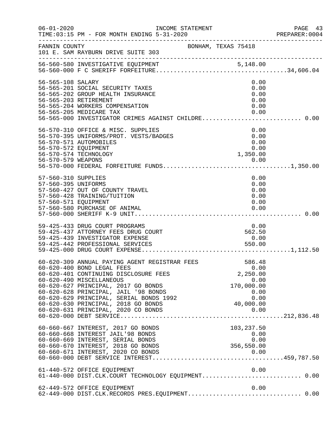| $06 - 01 - 2020$                                                   | INCOME STATEMENT<br>TIME: 03:15 PM - FOR MONTH ENDING 5-31-2020<br>--------------------------------------                                                                                                                                                                                                                                                                                                       |                     |                                                          | PAGE 43<br>PREPARER: 0004 |
|--------------------------------------------------------------------|-----------------------------------------------------------------------------------------------------------------------------------------------------------------------------------------------------------------------------------------------------------------------------------------------------------------------------------------------------------------------------------------------------------------|---------------------|----------------------------------------------------------|---------------------------|
| FANNIN COUNTY                                                      | 101 E. SAM RAYBURN DRIVE SUITE 303                                                                                                                                                                                                                                                                                                                                                                              | BONHAM, TEXAS 75418 |                                                          |                           |
|                                                                    |                                                                                                                                                                                                                                                                                                                                                                                                                 |                     |                                                          |                           |
| 56-565-108 SALARY                                                  | 56-565-201 SOCIAL SECURITY TAXES<br>56-565-202 GROUP HEALTH INSURANCE<br>56-565-203 RETIREMENT<br>56-565-204 WORKERS COMPENSATION<br>56-565-205 MEDICARE TAX                                                                                                                                                                                                                                                    |                     | 0.00<br>0.00<br>0.00<br>0.00<br>0.00<br>0.00             |                           |
| 56-570-572 EQUIPMENT                                               | 56-570-310 OFFICE & MISC. SUPPLIES<br>56-570-395 UNIFORMS/PROT. VESTS/BADGES<br>56-570-571 AUTOMOBILES<br>56-570-574 TECHNOLOGY                                                                                                                                                                                                                                                                                 |                     | 0.00<br>0.00<br>0.00<br>0.00<br>1,350.00                 |                           |
| 57-560-310 SUPPLIES<br>57-560-395 UNIFORMS<br>57-560-571 EQUIPMENT | 57-560-427 OUT OF COUNTY TRAVEL<br>57-560-428 TRAINING/TUITION<br>57-560-580 PURCHASE OF ANIMAL                                                                                                                                                                                                                                                                                                                 |                     | 0.00<br>0.00<br>0.00<br>0.00<br>0.00<br>0.00             |                           |
|                                                                    | 59-425-433 DRUG COURT PROGRAMS<br>59-425-437 ATTORNEY FEES DRUG COURT<br>59-425-439 INVESTIGATOR EXPENSE<br>59-425-442 PROFESSIONAL SERVICES                                                                                                                                                                                                                                                                    |                     | 0.00<br>562.50<br>0.00<br>550.00                         |                           |
|                                                                    | 60-620-309 ANNUAL PAYING AGENT REGISTRAR FEES<br>60-620-400 BOND LEGAL FEES<br>60-620-401 CONTINUING DISCLOSURE FEES<br>60-620-490 MISCELLANEOUS<br>60-620-627 PRINCIPAL, 2017 GO BONDS<br>60-620-628 PRINCIPAL, JAIL '98 BONDS<br>60-620-628 PRINCIPAL, JAIL '98 BONDS<br>60-620-629 PRINCIPAL, SERIAL BONDS 1992 0.00<br>60-620-630 PRINCIPAL, 2018 GO BONDS 40,000.00<br>60-620-631 PRINCIPAL, 2020 CO BONDS |                     | 586.48<br>0.00<br>2,250.00<br>0.00<br>170,000.00<br>0.00 |                           |
|                                                                    | 60-660-667 INTEREST, 2017 GO BONDS<br>60-660-668 INTEREST JAIL'98 BONDS<br>60-660-669 INTEREST, SERIAL BONDS<br>60-660-670 INTEREST, 2018 GO BONDS                                                                                                                                                                                                                                                              |                     | 103,237.50<br>0.00<br>0.00<br>356,550.00                 |                           |
|                                                                    | 61-440-572 OFFICE EQUIPMENT<br>61-440-000 DIST.CLK.COURT TECHNOLOGY EQUIPMENT 0.00                                                                                                                                                                                                                                                                                                                              |                     | 0.00                                                     |                           |
|                                                                    | 62-449-572 OFFICE EQUIPMENT<br>62-449-000 DIST.CLK.RECORDS PRES.EQUIPMENT 0.00                                                                                                                                                                                                                                                                                                                                  |                     | 0.00                                                     |                           |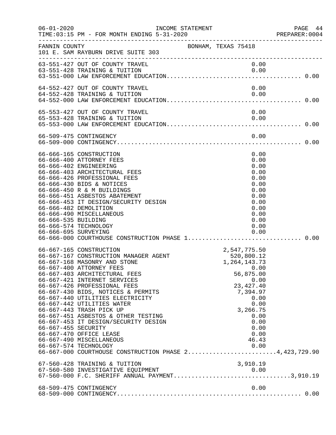| $06 - 01 - 2020$                            | INCOME STATEMENT                                                                                                                                                                                                                                                                                                                                                                                                                                                                                                                                                                           |                            |                                                                             |                                                                                                              | PREPARER:0004 | PAGE 44 |
|---------------------------------------------|--------------------------------------------------------------------------------------------------------------------------------------------------------------------------------------------------------------------------------------------------------------------------------------------------------------------------------------------------------------------------------------------------------------------------------------------------------------------------------------------------------------------------------------------------------------------------------------------|----------------------------|-----------------------------------------------------------------------------|--------------------------------------------------------------------------------------------------------------|---------------|---------|
| FANNIN COUNTY                               | 101 E. SAM RAYBURN DRIVE SUITE 303                                                                                                                                                                                                                                                                                                                                                                                                                                                                                                                                                         | BONHAM, TEXAS 75418        |                                                                             |                                                                                                              |               |         |
|                                             | 63-551-427 OUT OF COUNTY TRAVEL<br>63-551-428 TRAINING & TUITION                                                                                                                                                                                                                                                                                                                                                                                                                                                                                                                           |                            |                                                                             | 0.00<br>0.00                                                                                                 |               |         |
|                                             | 64-552-427 OUT OF COUNTY TRAVEL<br>64-552-428 TRAINING & TUITION                                                                                                                                                                                                                                                                                                                                                                                                                                                                                                                           |                            |                                                                             | 0.00<br>0.00                                                                                                 |               |         |
|                                             | 65-553-427 OUT OF COUNTY TRAVEL<br>65-553-428 TRAINING & TUITION                                                                                                                                                                                                                                                                                                                                                                                                                                                                                                                           |                            |                                                                             | 0.00<br>0.00                                                                                                 |               |         |
|                                             |                                                                                                                                                                                                                                                                                                                                                                                                                                                                                                                                                                                            |                            |                                                                             |                                                                                                              |               |         |
| 66-666-535 BUILDING<br>66-666-695 SURVEYING | 66-666-165 CONSTRUCTION<br>66-666-400 ATTORNEY FEES<br>66-666-402 ENGINEERING<br>66-666-403 ARCHITECTURAL FEES<br>66-666-426 PROFESSIONAL FEES<br>66-666-430 BIDS & NOTICES<br>66-666-450 R & M BUILDINGS<br>66-666-451 ASBESTOS ABATEMENT<br>66-666-453 IT DESIGN/SECURITY DESIGN<br>66-666-482 DEMOLITION<br>66-666-490 MISCELLANEOUS<br>66-666-574 TECHNOLOGY                                                                                                                                                                                                                           |                            |                                                                             | 0.00<br>0.00<br>0.00<br>0.00<br>0.00<br>0.00<br>0.00<br>0.00<br>0.00<br>0.00<br>0.00<br>0.00<br>0.00<br>0.00 |               |         |
| 66-667-455 SECURITY                         | 66-667-165 CONSTRUCTION<br>66-667-167 CONSTRUCTION MANAGER AGENT<br>66-667-168 MASONRY AND STONE<br>66-667-400 ATTORNEY FEES<br>66-667-403 ARCHITECTURAL FEES<br>66-667-421 INTERNET SERVICES<br>66-667-426 PROFESSIONAL FEES<br>66-667-430 BIDS, NOTICES & PERMITS<br>66-667-440 UTILITIES ELECTRICITY<br>66-667-442 UTILITIES WATER<br>66-667-443 TRASH PICK UP<br>66-667-451 ASBESTOS & OTHER TESTING<br>66-667-453 IT DESIGN/SECURITY DESIGN<br>66-667-470 OFFICE LEASE<br>66-667-490 MISCELLANEOUS<br>66-667-574 TECHNOLOGY<br>66-667-000 COURTHOUSE CONSTRUCTION PHASE 24,423,729.90 | 2,547,775.50<br>520,800.12 | 1, 264, 143. 73<br>56,875.00<br>23, 427.40<br>7,394.97<br>3,266.75<br>46.43 | 0.00<br>0.00<br>0.00<br>0.00<br>0.00<br>0.00<br>0.00<br>0.00<br>0.00                                         |               |         |
|                                             | 67-560-428 TRAINING & TUITION<br>67-560-580 INVESTIGATIVE EQUIPMENT<br>67-560-000 F.C. SHERIFF ANNUAL PAYMENT3,910.19                                                                                                                                                                                                                                                                                                                                                                                                                                                                      |                            | 3,910.19                                                                    |                                                                                                              |               |         |
|                                             | 68-509-475 CONTINGENCY                                                                                                                                                                                                                                                                                                                                                                                                                                                                                                                                                                     |                            |                                                                             | 0.00                                                                                                         |               |         |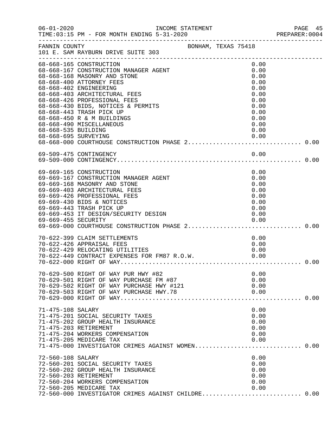| $06 - 01 - 2020$                            | INCOME STATEMENT                                                                                                                                                                                                                                                                                                                                    |                                                                                                      | PAGE 45<br>PREPARER: 0004 |
|---------------------------------------------|-----------------------------------------------------------------------------------------------------------------------------------------------------------------------------------------------------------------------------------------------------------------------------------------------------------------------------------------------------|------------------------------------------------------------------------------------------------------|---------------------------|
| FANNIN COUNTY                               | BONHAM, TEXAS 75418<br>101 E. SAM RAYBURN DRIVE SUITE 303                                                                                                                                                                                                                                                                                           |                                                                                                      |                           |
| 68-668-535 BUILDING<br>68-668-695 SURVEYING | 68-668-165 CONSTRUCTION<br>68-668-167 CONSTRUCTION MANAGER AGENT<br>68-668-168 MASONRY AND STONE<br>68-668-400 ATTORNEY FEES<br>68-668-402 ENGINEERING<br>68-668-403 ARCHITECTURAL FEES<br>68-668-426 PROFESSIONAL FEES<br>68-668-430 BIDS, NOTICES & PERMITS<br>68-668-443 TRASH PICK UP<br>68-668-450 R & M BUILDINGS<br>68-668-490 MISCELLANEOUS | 0.00<br>0.00<br>0.00<br>0.00<br>0.00<br>0.00<br>0.00<br>0.00<br>0.00<br>0.00<br>0.00<br>0.00<br>0.00 |                           |
|                                             |                                                                                                                                                                                                                                                                                                                                                     |                                                                                                      |                           |
|                                             | 69-669-165 CONSTRUCTION<br>69-669-167 CONSTRUCTION MANAGER AGENT<br>69-669-168 MASONRY AND STONE<br>69-669-403 ARCHITECTURAL FEES<br>69-669-426 PROFESSIONAL FEES<br>69-669-430 BIDS & NOTICES<br>69-669-443 TRASH PICK UP<br>69-669-453 IT DESIGN/SECURITY DESIGN                                                                                  | 0.00<br>0.00<br>0.00<br>0.00<br>0.00<br>0.00<br>0.00<br>0.00                                         |                           |
|                                             | 70-622-399 CLAIM SETTLEMENTS<br>70-622-426 APPRAISAL FEES                                                                                                                                                                                                                                                                                           | 0.00<br>0.00                                                                                         | 0.00                      |
|                                             | 70-629-500 RIGHT OF WAY PUR HWY #82<br>70-629-501 RIGHT OF WAY PURCHASE FM #87<br>70-629-502 RIGHT OF WAY PURCHASE HWY #121<br>70-629-503 RIGHT OF WAY PURCHASE HWY.78                                                                                                                                                                              | 0.00<br>0.00<br>0.00<br>0.00                                                                         |                           |
| 71-475-108 SALARY<br>71-475-203 RETIREMENT  | 71-475-201 SOCIAL SECURITY TAXES<br>71-475-202 GROUP HEALTH INSURANCE<br>71-475-204 WORKERS COMPENSATION<br>71-475-205 MEDICARE TAX<br>71-475-000 INVESTIGATOR CRIMES AGAINST WOMEN 0.00                                                                                                                                                            | 0.00<br>0.00<br>0.00<br>0.00<br>0.00<br>0.00                                                         |                           |
| 72-560-108 SALARY<br>72-560-203 RETIREMENT  | 72-560-201 SOCIAL SECURITY TAXES<br>72-560-202 GROUP HEALTH INSURANCE<br>72-560-204 WORKERS COMPENSATION<br>72-560-205 MEDICARE TAX<br>72-560-000 INVESTIGATOR CRIMES AGAINST CHILDRE 0.00                                                                                                                                                          | 0.00<br>0.00<br>0.00<br>0.00<br>0.00<br>0.00                                                         |                           |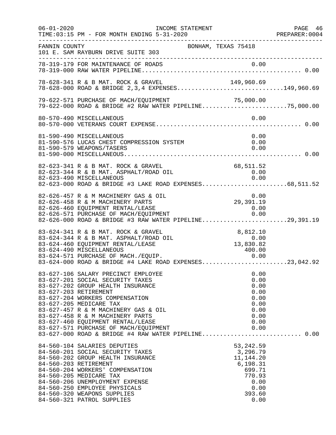| $06 - 01 - 2020$ | INCOME STATEMENT<br>TIME: 03:15 PM - FOR MONTH ENDING 5-31-2020                                                                                                                                                                                                                                                                                                                                                      |                                                                                                         | PAGE 46<br>PREPARER:0004 |
|------------------|----------------------------------------------------------------------------------------------------------------------------------------------------------------------------------------------------------------------------------------------------------------------------------------------------------------------------------------------------------------------------------------------------------------------|---------------------------------------------------------------------------------------------------------|--------------------------|
| FANNIN COUNTY    | 101 E. SAM RAYBURN DRIVE SUITE 303                                                                                                                                                                                                                                                                                                                                                                                   | BONHAM, TEXAS 75418                                                                                     |                          |
|                  |                                                                                                                                                                                                                                                                                                                                                                                                                      |                                                                                                         |                          |
|                  | 78-628-341 R & B MAT. ROCK & GRAVEL<br>78-628-341 R & B MAT. ROCK & GRAVEL 149,960.69<br>78-628-000 ROAD & BRIDGE 2,3,4 EXPENSES149,960.69                                                                                                                                                                                                                                                                           |                                                                                                         |                          |
|                  | 79-622-571 PURCHASE OF MACH/EQUIPMENT<br>79-622-571 PURCHASE OF MACH/EQUIPMENT 71,000.00<br>79-622-000 ROAD & BRIDGE #2 RAW WATER PIPELINE75,000.00                                                                                                                                                                                                                                                                  |                                                                                                         |                          |
|                  | 80-570-490 MISCELLANEOUS                                                                                                                                                                                                                                                                                                                                                                                             | 0.00                                                                                                    |                          |
|                  | 81-590-490 MISCELLANEOUS<br>81-590-576 LUCAS CHEST COMPRESSION SYSTEM<br>81-590-579 WEAPONS/TASERS                                                                                                                                                                                                                                                                                                                   | 0.00<br>0.00<br>0.00                                                                                    |                          |
|                  | 82-623-341 R & B MAT. ROCK & GRAVEL<br>82-623-344 R & B MAT. ASPHALT/ROAD OIL<br>82-623-490 MISCELLANEOUS<br>82-623-000 ROAD & BRIDGE #3 LAKE ROAD EXPENSES68,511.52                                                                                                                                                                                                                                                 | 68,511.52<br>0.00<br>0.00                                                                               |                          |
|                  | 82-626-457 R & M MACHINERY GAS & OIL<br>82-626-458 R & M MACHINERY PARTS<br>82-626-460 EQUIPMENT RENTAL/LEASE<br>82-626-571 PURCHASE OF MACH/EQUIPMENT<br>82-626-000 ROAD & BRIDGE #3 RAW WATER PIPELINE29,391.19                                                                                                                                                                                                    | 0.00<br>29,391.19<br>0.00<br>0.00                                                                       |                          |
|                  | 83-624-341 R & B MAT. ROCK & GRAVEL<br>83-624-344 R & B MAT. ASPHALT/ROAD OIL<br>83-624-460 EQUIPMENT RENTAL/LEASE<br>83-624-490 MISCELLANEOUS<br>83-624-571 PURCHASE OF MACH./EQUIP.<br>83-624-571 PURCHASE OF MACH./EQUIP. 0.00<br>83-624-000 ROAD & BRIDGE #4 LAKE ROAD EXPENSES23,042.92                                                                                                                         | 8,812.10<br>$8\,, 812\,. 10\ -0\,. 00\ 13\,, 830\,. 82$<br>400.00                                       |                          |
|                  | 83-627-106 SALARY PRECINCT EMPLOYEE<br>83-627-201 SOCIAL SECURITY TAXES<br>83-627-202 GROUP HEALTH INSURANCE<br>83-627-203 RETIREMENT<br>83-627-204 WORKERS COMPENSATION<br>83-627-205 MEDICARE TAX<br>83-627-457 R & M MACHINERY GAS & OIL<br>83-627-458 R & M MACHINERY PARTS<br>83-627-460 EQUIPMENT RENTAL/LEASE<br>83-627-571 PURCHASE OF MACH/EQUIPMENT<br>83-627-000 ROAD & BRIDGE #4 RAW WATER PIPELINE 0.00 | 0.00<br>0.00<br>0.00<br>0.00<br>0.00<br>0.00<br>0.00<br>0.00<br>0.00<br>0.00                            |                          |
|                  | 84-560-104 SALARIES DEPUTIES<br>84-560-201 SOCIAL SECURITY TAXES<br>84-560-202 GROUP HEALTH INSURANCE<br>84-560-203 RETIREMENT<br>84-560-204 WORKERS' COMPENSATION<br>84-560-205 MEDICARE TAX<br>84-560-206 UNEMPLOYMENT EXPENSE<br>84-560-250 EMPLOYEE PHYSICALS<br>84-560-320 WEAPONS SUPPLIES<br>84-560-321 PATROL SUPPLIES                                                                                       | 53, 242.59<br>3,296.79<br>11, 144. 20<br>6,198.31<br>699.71<br>770.93<br>0.00<br>0.00<br>393.60<br>0.00 |                          |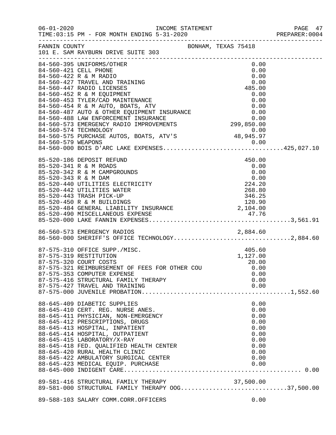|                                                                                                                                                                                                                                                                                                                                                                                                                                                                                                                                                                                                                                                                         |                                                                              | PAGE 47<br>PREPARER: 0004 |
|-------------------------------------------------------------------------------------------------------------------------------------------------------------------------------------------------------------------------------------------------------------------------------------------------------------------------------------------------------------------------------------------------------------------------------------------------------------------------------------------------------------------------------------------------------------------------------------------------------------------------------------------------------------------------|------------------------------------------------------------------------------|---------------------------|
| FANNIN COUNTY<br>101 E. SAM RAYBURN DRIVE SUITE 303                                                                                                                                                                                                                                                                                                                                                                                                                                                                                                                                                                                                                     | BONHAM, TEXAS 75418                                                          |                           |
| 84-560-395 UNIFORMS/OTHER<br>84-560-421 CELL PHONE<br>0.00<br>84-560-427 TRAVEL AND TRAINING<br>84-560-447 RADIO LICENSES<br>84-560-447 RADIO LICENSES<br>84-560-452 R & M EQUIPMENT<br>84-560-453 TYLER/CAD MAINTENANCE<br>84-560-453 TYLER/CAD MAINTENANCE<br>84-560-487 AUTO & OTHER EQUIPMENT<br>$\begin{array}{lll} \texttt{84-560-575} & \texttt{11} & \texttt{12} & \texttt{13} \\ \texttt{84-560-575} & \texttt{PURCHASE AUTOS, BOATS, ATV'S} & \texttt{48,945.97} \\ \texttt{84-560-579} & \texttt{WEAPONS} & \texttt{94-560-579} & \texttt{01,00} \\ \texttt{01,00} & \texttt{02,01} & \texttt{03,00} \\ \texttt{03,00} & \texttt{04-560-579} & \texttt{05,0$ | 0.00<br>0.00                                                                 |                           |
| 85-520-186 DEPOSIT REFUND<br>85-520-341 R & M ROADS<br>85-520-341 R & M ROADS<br>85-520-342 R & M CAMPGROUNDS<br>85-520-343 R & M DAM<br>85-520-440 UTILITIES ELECTRICITY<br>85-520-442 UTILITIES ELECTRICITY<br>85-520-442 UTILITIES WATER<br>85-520-443 TRASH PICK-UP<br>85-520-450 R & M BUILDIN                                                                                                                                                                                                                                                                                                                                                                     | 450.00<br>0.00                                                               |                           |
| 86-560-573 EMERGENCY RADIOS 2,884.60<br>86-560-000 SHERIFF'S OFFICE TECHNOLOGY2,884.60                                                                                                                                                                                                                                                                                                                                                                                                                                                                                                                                                                                  |                                                                              |                           |
| 87-575-310 OFFICE SUPP./MISC.<br>87-575-319 RESTITUTION<br>87-575-319 RESITIONAL<br>87-575-320 COURT COSTS 87-575-321 REIMBURSEMENT OF FEES FOR OTHER COU 6.00<br>87-575-353 COMPUTER EXPENSE<br>87-575-416 STRUCTURAL FAMILY THERAPY<br>87-575-427 TRAVEL AND TRAINING                                                                                                                                                                                                                                                                                                                                                                                                 | 405.60<br>1,127.00<br>0.00<br>0.00<br>0.00                                   |                           |
| 88-645-409 DIABETIC SUPPLIES<br>88-645-410 CERT. REG. NURSE ANES.<br>88-645-411 PHYSICIAN, NON-EMERGENCY<br>88-645-412 PRESCRIPTIONS, DRUGS<br>88-645-413 HOSPITAL, INPATIENT<br>88-645-414 HOSPITAL, OUTPATIENT<br>88-645-415 LABORATORY/X-RAY<br>88-645-418 FED. QUALIFIED HEALTH CENTER<br>88-645-420 RURAL HEALTH CLINIC<br>88-645-422 AMBULATORY SURGICAL CENTER                                                                                                                                                                                                                                                                                                   | 0.00<br>0.00<br>0.00<br>0.00<br>0.00<br>0.00<br>0.00<br>0.00<br>0.00<br>0.00 |                           |
| 89-581-416 STRUCTURAL FAMILY THERAPY<br>89-581-416 STRUCTURAL FAMILY THERAPY 00G37,500.00<br>89-581-000 STRUCTURAL FAMILY THERAPY 00G37,500.00                                                                                                                                                                                                                                                                                                                                                                                                                                                                                                                          |                                                                              |                           |
| 89-588-103 SALARY COMM.CORR.OFFICERS                                                                                                                                                                                                                                                                                                                                                                                                                                                                                                                                                                                                                                    | 0.00                                                                         |                           |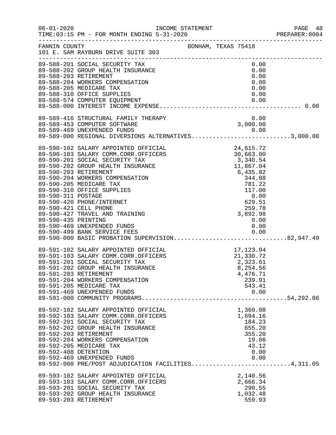|                      |                                                                                                                                                                                           |                              | PAGE 48<br>PREPARER:0004 |
|----------------------|-------------------------------------------------------------------------------------------------------------------------------------------------------------------------------------------|------------------------------|--------------------------|
|                      | FANNIN COUNTY<br>101 E. SAM RAYBURN DRIVE SUITE 303                                                                                                                                       | BONHAM, TEXAS 75418          |                          |
|                      | 89-588-201 SOCIAL SECURITY TAX                                                                                                                                                            | 0.00                         |                          |
|                      |                                                                                                                                                                                           |                              |                          |
|                      |                                                                                                                                                                                           |                              |                          |
|                      |                                                                                                                                                                                           |                              |                          |
|                      | 89-589-469 UNEXPENDED FUNDS<br>89-589-000 REGIONAL DIVERSIONS ALTERNATIVES3,000.00                                                                                                        |                              |                          |
|                      |                                                                                                                                                                                           |                              |                          |
|                      |                                                                                                                                                                                           |                              |                          |
|                      |                                                                                                                                                                                           |                              |                          |
|                      |                                                                                                                                                                                           |                              |                          |
|                      |                                                                                                                                                                                           |                              |                          |
|                      | 89-590-435 PRINTING<br>89-590-469 UNEXPENDED FUNDS 0.00<br>89-590-499 BANK SERVICE FEES 0.00<br>89-590-000 BASIC PROBATION SUPERVISION82,947.49                                           |                              |                          |
|                      |                                                                                                                                                                                           |                              |                          |
|                      | 89-591-102 SALARY APPOINTED OFFICIAL 17,123.94<br>89-591-103 SALARY COMM.CORR.OFFICERS 21,330.72<br>89-591-201 SOCIAL SECURITY TAX 2,323.61<br>89-591-202 GROUP HEALTH INSURANCE 8,254.56 |                              |                          |
|                      | 89-591-203 RETIREMENT<br>89-591-204 WORKERS COMPENSATION<br>89-591-205 MEDICARE TAX                                                                                                       | 4,476.71<br>239.91<br>543.41 |                          |
|                      | 89-591-469 UNEXPENDED FUNDS                                                                                                                                                               | 0.00                         |                          |
|                      | 89-592-102 SALARY APPOINTED OFFICIAL<br>89-592-103 SALARY COMM.CORR.OFFICERS                                                                                                              | 1,360.08<br>1,694.16         |                          |
|                      | 89-592-201 SOCIAL SECURITY TAX<br>89-592-202 GROUP HEALTH INSURANCE<br>89-592-203 RETIREMENT                                                                                              | 184.23<br>655.20<br>355.20   |                          |
| 89-592-408 DETENTION | 89-592-204 WORKERS COMPENSATION<br>89-592-205 MEDICARE TAX                                                                                                                                | 19.06<br>43.12<br>0.00       |                          |
|                      | 89-592-469 UNEXPENDED FUNDS<br>89-592-000 PRE/POST ADJUDICATION FACILITIES4,311.05                                                                                                        | 0.00                         |                          |
|                      | 89-593-102 SALARY APPOINTED OFFICIAL<br>89-593-103 SALARY COMM.CORR.OFFICERS                                                                                                              | 2,140.56<br>2,666.34         |                          |
|                      | 89-593-201 SOCIAL SECURITY TAX<br>89-593-202 GROUP HEALTH INSURANCE<br>89-593-203 RETIREMENT                                                                                              | 290.55<br>1,032.48<br>559.93 |                          |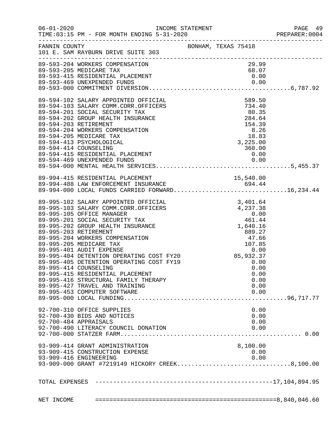|                                                                                                                                    |  |                  | PAGE 49<br>PREPARER: 0004 |
|------------------------------------------------------------------------------------------------------------------------------------|--|------------------|---------------------------|
| FANNIN COUNTY BONHAM, TEXAS 75418<br>101 E. SAM RAYBURN DRIVE SUITE 303                                                            |  |                  |                           |
| 89-593-204 WORKERS COMPENSATION                                                                                                    |  | 29.99            |                           |
|                                                                                                                                    |  |                  |                           |
| 89-594-102 SALARY APPOINTED OFFICIAL<br>89-594-103 SALARY COMM.CORR.OFFICERS                                                       |  |                  |                           |
| 89-594-201 SOCIAL SECURITY TAX<br>89-594-202 GROUP HEALTH INSURANCE                                                                |  |                  |                           |
| 89-594-203 RETIREMENT<br>89-594-204 WORKERS COMPENSATION                                                                           |  |                  |                           |
| 89-594-205 MEDICARE TAX<br>89-594-413 PSYCHOLOGICAL                                                                                |  |                  |                           |
| 89-594-415 RESIDENTIAL PLACEMENT<br>89-594-469 UNEXPENDED FUNDS 0.00<br>89-504-469 UNEXPENDED FUNDS                                |  |                  |                           |
|                                                                                                                                    |  |                  |                           |
| 89-994-415 RESIDENTIAL PLACEMENT<br>89-994-488 LAW ENFORCEMENT INSURANCE 694.44<br>89-994-000 LOCAL FUNDS CARRIED FORWARD16,234.44 |  |                  |                           |
|                                                                                                                                    |  |                  |                           |
|                                                                                                                                    |  |                  |                           |
|                                                                                                                                    |  |                  |                           |
|                                                                                                                                    |  |                  |                           |
|                                                                                                                                    |  |                  |                           |
| 89-995-415 RESIDENTIAL PLACEMENT                                                                                                   |  | 0.00             |                           |
| 89-995-416 STRUCTURAL FAMILY THERAPY<br>89-995-427 TRAVEL AND TRAINING                                                             |  | 0.00<br>0.00     |                           |
| 89-995-453 COMPUTER SOFTWARE                                                                                                       |  | 0.00             |                           |
| 92-700-310 OFFICE SUPPLIES<br>92-700-430 BIDS AND NOTICES                                                                          |  | 0.00<br>0.00     |                           |
| 92-700-484 APPRAISALS<br>92-700-490 LITERACY COUNCIL DONATION                                                                      |  | 0.00<br>0.00     |                           |
|                                                                                                                                    |  |                  |                           |
| 93-909-414 GRANT ADMINISTRATION<br>93-909-415 CONSTRUCTION EXPENSE                                                                 |  | 8,100.00<br>0.00 |                           |
| 93-909-416 ENGINEERING<br>93-909-000 GRANT #7219149 HICKORY CREEK8,100.00                                                          |  | 0.00             |                           |
|                                                                                                                                    |  |                  |                           |
|                                                                                                                                    |  |                  |                           |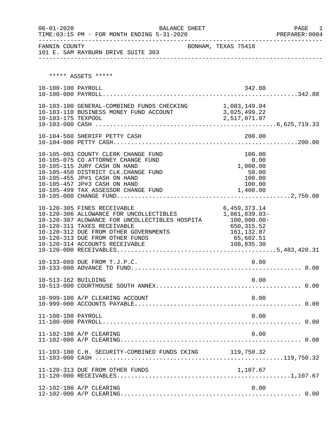| $06 - 01 - 2020$    | BALANCE SHEET                                                                                                                                                                                                                                                         |                                                                                                      | PAGE<br>1 |
|---------------------|-----------------------------------------------------------------------------------------------------------------------------------------------------------------------------------------------------------------------------------------------------------------------|------------------------------------------------------------------------------------------------------|-----------|
|                     |                                                                                                                                                                                                                                                                       |                                                                                                      |           |
|                     | ***** ASSETS *****                                                                                                                                                                                                                                                    |                                                                                                      |           |
| 10-100-100 PAYROLL  |                                                                                                                                                                                                                                                                       | 342.88                                                                                               |           |
| 10-103-175 TEXPOOL  | 10-103-100 GENERAL-COMBINED FUNDS CHECKING 1,083,149.04<br>10-103-110 BUSINESS MONEY FUND ACCOUNT 3,025,499.22                                                                                                                                                        | 2,517,071.07                                                                                         |           |
|                     |                                                                                                                                                                                                                                                                       |                                                                                                      |           |
|                     | 10-105-003 COUNTY CLERK CHANGE FUND<br>10-105-075 CO.ATTORNEY CHANGE FUND<br>10-105-115 JURY CASH ON HAND<br>10-105-450 DISTRICT CLK. CHANGE FUND<br>10-105-455 JP#1 CASH ON HAND<br>10-105-457 JP#3 CASH ON HAND<br>10-105-499 TAX ASSESSOR CHANGE FUND              | 100.00<br>0.00<br>1,000.00<br>50.00<br>100.00<br>100.00<br>1,400.00                                  |           |
|                     | 10-120-305 FINES RECEIVABLE<br>10-120-306 ALLOWANCE FOR UNCOLLECTIBLES<br>10-120-307 ALOWANCE FOR UNCOLLECTIBLES HOSPITA<br>10-120-311 TAXES RECEIVABLE<br>10-120-312 DUE FROM OTHER GOVERNMENTS<br>10-120-313 DUE FROM OTHER FUNDS<br>10-120-314 ACCOUNTS RECEIVABLE | 6,459,373.14<br>1,861,839.03-<br>100,000.00-<br>650,315.52<br>161, 132.87<br>65,602.51<br>108,835.30 |           |
|                     | 10-133-089 DUE FROM T.J.P.C.                                                                                                                                                                                                                                          | 0.00                                                                                                 |           |
| 10-513-162 BUILDING |                                                                                                                                                                                                                                                                       | 0.00                                                                                                 |           |
|                     | 10-999-100 A/P CLEARING ACCOUNT                                                                                                                                                                                                                                       | 0.00                                                                                                 |           |
| 11-100-100 PAYROLL  |                                                                                                                                                                                                                                                                       | 0.00                                                                                                 |           |
|                     | 11-102-100 A/P CLEARING                                                                                                                                                                                                                                               | 0.00                                                                                                 |           |
|                     | 11-103-100 C.H. SECURITY-COMBINED FUNDS CKING 119,750.32                                                                                                                                                                                                              |                                                                                                      |           |
|                     | 11-120-313 DUE FROM OTHER FUNDS                                                                                                                                                                                                                                       | 1,107.67                                                                                             |           |
|                     | 12-102-100 A/P CLEARING                                                                                                                                                                                                                                               | 0.00                                                                                                 |           |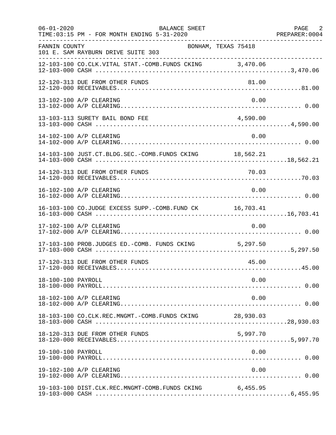| $06 - 01 - 2020$   | BALANCE SHEET<br>TIME: 03:15 PM - FOR MONTH ENDING 5-31-2020 |           | PAGE 2<br>PREPARER: 0004 |
|--------------------|--------------------------------------------------------------|-----------|--------------------------|
| FANNIN COUNTY      | BONHAM, TEXAS 75418<br>101 E. SAM RAYBURN DRIVE SUITE 303    |           |                          |
|                    | 12-103-100 CO.CLK.VITAL STAT.-COMB.FUNDS CKING 3,470.06      |           |                          |
|                    | 12-120-313 DUE FROM OTHER FUNDS                              | 81.00     |                          |
|                    | 13-102-100 A/P CLEARING                                      | 0.00      |                          |
|                    | 13-103-113 SURETY BAIL BOND FEE                              | 4,590.00  |                          |
|                    | 14-102-100 A/P CLEARING                                      | 0.00      |                          |
|                    | 14-103-100 JUST.CT.BLDG.SEC.-COMB.FUNDS CKING 18,562.21      |           |                          |
|                    |                                                              |           |                          |
|                    | 16-102-100 A/P CLEARING                                      | 0.00      |                          |
|                    | 16-103-100 CO.JUDGE EXCESS SUPP.-COMB.FUND CK 16,703.41      |           |                          |
|                    | 17-102-100 A/P CLEARING                                      | 0.00      |                          |
|                    | 17-103-100 PROB.JUDGES ED.-COMB. FUNDS CKING 5,297.50        |           |                          |
|                    | 17-120-313 DUE FROM OTHER FUNDS                              | 45.00     |                          |
| 18-100-100 PAYROLL |                                                              | 0.00      |                          |
|                    | 18-102-100 A/P CLEARING                                      | 0.00      |                          |
|                    | 18-103-100 CO.CLK.REC.MNGMT.-COMB.FUNDS CKING                | 28,930.03 |                          |
|                    | 18-120-313 DUE FROM OTHER FUNDS                              | 5,997.70  |                          |
| 19-100-100 PAYROLL |                                                              | 0.00      |                          |
|                    | 19-102-100 A/P CLEARING                                      | 0.00      |                          |
|                    | 19-103-100 DIST.CLK.REC.MNGMT-COMB.FUNDS CKING 6,455.95      |           |                          |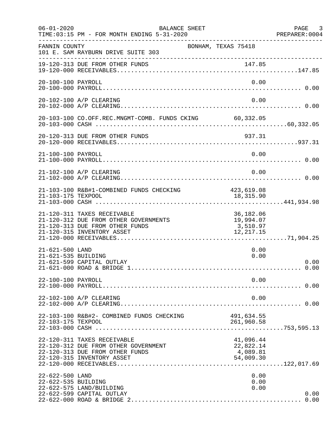| $06 - 01 - 2020$                       | BALANCE SHEET<br>TIME: 03:15 PM - FOR MONTH ENDING 5-31-2020                                                                          |                                                 | PAGE 3<br>PREPARER: 0004 |
|----------------------------------------|---------------------------------------------------------------------------------------------------------------------------------------|-------------------------------------------------|--------------------------|
| FANNIN COUNTY                          | BONHAM, TEXAS 75418<br>101 E. SAM RAYBURN DRIVE SUITE 303                                                                             |                                                 |                          |
|                                        | 19-120-313 DUE FROM OTHER FUNDS                                                                                                       |                                                 |                          |
| 20-100-100 PAYROLL                     |                                                                                                                                       | 0.00                                            |                          |
|                                        | 20-102-100 A/P CLEARING                                                                                                               | 0.00                                            |                          |
|                                        | 20-103-100 CO.OFF.REC.MNGMT-COMB. FUNDS CKING 60,332.05                                                                               |                                                 |                          |
|                                        | 20-120-313 DUE FROM OTHER FUNDS                                                                                                       | 937.31                                          |                          |
| 21-100-100 PAYROLL                     |                                                                                                                                       | 0.00                                            |                          |
|                                        | 21-102-100 A/P CLEARING                                                                                                               | 0.00                                            |                          |
|                                        | 21-103-100 R&B#1-COMBINED FUNDS CHECKING                                                                                              | 423,619.08                                      |                          |
|                                        | 21-120-311 TAXES RECEIVABLE<br>21-120-312 DUE FROM OTHER GOVERNMENTS<br>21-120-313 DUE FROM OTHER FUNDS<br>21-120-315 INVENTORY ASSET | 36,182.06<br>19,994.07<br>3,510.97<br>12,217.15 |                          |
| 21-621-500 LAND<br>21-621-535 BUILDING | 21-621-599 CAPITAL OUTLAY                                                                                                             | 0.00<br>0.00                                    | 0.00                     |
| 22-100-100 PAYROLL                     |                                                                                                                                       | 0.00                                            |                          |
|                                        | 22-102-100 A/P CLEARING                                                                                                               | 0.00                                            |                          |
| 22-103-175 TEXPOOL                     | 22-103-100 R&B#2- COMBINED FUNDS CHECKING                                                                                             | 491,634.55<br>261,960.58                        |                          |
|                                        | 22-120-311 TAXES RECEIVABLE<br>22-120-312 DUE FROM OTHER GOVERNMENT<br>22-120-313 DUE FROM OTHER FUNDS<br>22-120-315 INVENTORY ASSET  | 41,096.44<br>22,822.14<br>4,089.81<br>54,009.30 |                          |
| 22-622-500 LAND<br>22-622-535 BUILDING | 22-622-575 LAND/BUILDING<br>22-622-599 CAPITAL OUTLAY                                                                                 | 0.00<br>0.00<br>0.00                            | 0.00                     |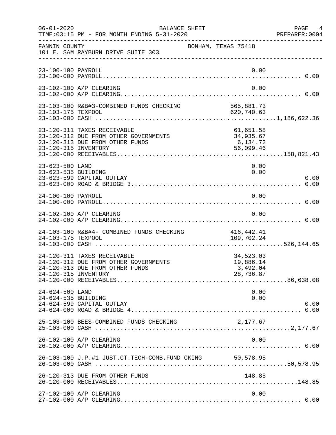| $06 - 01 - 2020$                       | BALANCE SHEET<br>TIME: 03:15 PM - FOR MONTH ENDING 5-31-2020                                            |                                                 | PAGE 4<br>PREPARER:0004 |
|----------------------------------------|---------------------------------------------------------------------------------------------------------|-------------------------------------------------|-------------------------|
| FANNIN COUNTY                          | 101 E. SAM RAYBURN DRIVE SUITE 303                                                                      | BONHAM, TEXAS 75418                             |                         |
| 23-100-100 PAYROLL                     |                                                                                                         |                                                 | 0.00                    |
|                                        | 23-102-100 A/P CLEARING                                                                                 |                                                 | 0.00                    |
|                                        | 23-103-100 R&B#3-COMBINED FUNDS CHECKING 565,881.73                                                     |                                                 |                         |
| 23-120-315 INVENTORY                   | 23-120-311 TAXES RECEIVABLE<br>23-120-312 DUE FROM OTHER GOVERNMENTS<br>23-120-313 DUE FROM OTHER FUNDS | 61,651.58<br>34,935.67<br>6,134.72<br>56,099.46 |                         |
| 23-623-500 LAND<br>23-623-535 BUILDING | 23-623-599 CAPITAL OUTLAY                                                                               |                                                 | 0.00<br>0.00<br>0.00    |
| 24-100-100 PAYROLL                     |                                                                                                         |                                                 | 0.00                    |
|                                        | 24-102-100 A/P CLEARING                                                                                 |                                                 | 0.00                    |
| 24-103-175 TEXPOOL                     | 24-103-100 R&B#4- COMBINED FUNDS CHECKING                                                               | 416,442.41<br>109,702.24                        |                         |
| 24-120-315 INVENTORY                   | 24-120-311 TAXES RECEIVABLE<br>24-120-312 DUE FROM OTHER GOVERNMENTS<br>24-120-313 DUE FROM OTHER FUNDS | 34,523.03<br>19,886.14<br>3,492.04<br>28,736.87 |                         |
| 24-624-500 LAND<br>24-624-535 BUILDING | 24-624-599 CAPITAL OUTLAY                                                                               |                                                 | 0.00<br>0.00<br>0.00    |
|                                        | 25-103-100 BEES-COMBINED FUNDS CHECKING                                                                 | 2,177.67                                        |                         |
|                                        | 26-102-100 A/P CLEARING                                                                                 |                                                 | 0.00                    |
|                                        | 26-103-100 J.P.#1 JUST.CT.TECH-COMB.FUND CKING 50,578.95                                                |                                                 |                         |
|                                        | 26-120-313 DUE FROM OTHER FUNDS                                                                         | 148.85                                          |                         |
|                                        | 27-102-100 A/P CLEARING                                                                                 |                                                 | 0.00                    |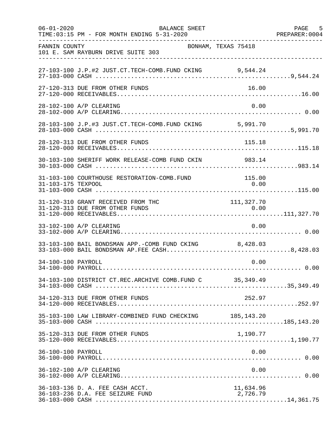| $06 - 01 - 2020$   | BALANCE SHEET<br>TIME: 03:15 PM - FOR MONTH ENDING 5-31-2020                                           |                       | PAGE 5<br>PREPARER: 0004 |
|--------------------|--------------------------------------------------------------------------------------------------------|-----------------------|--------------------------|
| FANNIN COUNTY      | BONHAM, TEXAS 75418<br>101 E. SAM RAYBURN DRIVE SUITE 303                                              |                       |                          |
|                    | 27-103-100 J.P.#2 JUST.CT.TECH-COMB.FUND CKING 9,544.24                                                |                       |                          |
|                    | 27-120-313 DUE FROM OTHER FUNDS                                                                        | 16.00                 |                          |
|                    | 28-102-100 A/P CLEARING                                                                                | 0.00                  |                          |
|                    | 28-103-100 J.P.#3 JUST.CT.TECH-COMB.FUND CKING 5,991.70                                                |                       |                          |
|                    | 28-120-313 DUE FROM OTHER FUNDS                                                                        | 115.18                |                          |
|                    | 30-103-100 SHERIFF WORK RELEASE-COMB FUND CKIN 983.14                                                  |                       |                          |
| 31-103-175 TEXPOOL | 31-103-100 COURTHOUSE RESTORATION-COMB.FUND                                                            | 115.00<br>0.00        |                          |
|                    | 31-120-310 GRANT RECEIVED FROM THC                                                                     | 111, 327.70           |                          |
|                    | 33-102-100 A/P CLEARING                                                                                | 0.00                  |                          |
|                    | 33-103-100 BAIL BONDSMAN APP.-COMB FUND CKING 8,428.03<br>33-103-000 BAIL BONDSMAN AP.FEE CASH8,428.03 |                       |                          |
| 34-100-100 PAYROLL |                                                                                                        | 0.00                  |                          |
|                    | 34-103-100 DISTRICT CT.REC.ARCHIVE COMB.FUND C 35,349.49                                               |                       |                          |
|                    | 34-120-313 DUE FROM OTHER FUNDS                                                                        | 252.97                |                          |
|                    | 35-103-100 LAW LIBRARY-COMBINED FUND CHECKING 185,143.20                                               |                       |                          |
|                    | 35-120-313 DUE FROM OTHER FUNDS                                                                        | 1,190.77              |                          |
| 36-100-100 PAYROLL |                                                                                                        | 0.00                  |                          |
|                    | 36-102-100 A/P CLEARING                                                                                | 0.00                  |                          |
|                    | 36-103-136 D. A. FEE CASH ACCT.<br>36-103-236 D.A. FEE SEIZURE FUND                                    | 11,634.96<br>2,726.79 |                          |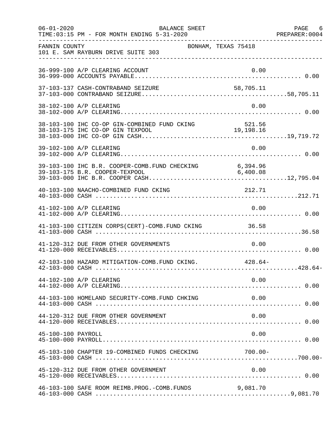| $06 - 01 - 2020$   | BALANCE SHEET<br>TIME: 03:15 PM - FOR MONTH ENDING 5-31-2020 |          | PAGE 6 |
|--------------------|--------------------------------------------------------------|----------|--------|
| FANNIN COUNTY      | BONHAM, TEXAS 75418<br>101 E. SAM RAYBURN DRIVE SUITE 303    |          |        |
|                    | 36-999-100 A/P CLEARING ACCOUNT                              | 0.00     |        |
|                    |                                                              |          |        |
|                    | 38-102-100 A/P CLEARING                                      | 0.00     |        |
|                    |                                                              |          |        |
|                    | 39-102-100 A/P CLEARING                                      | 0.00     |        |
|                    |                                                              |          |        |
|                    | 40-103-100 NAACHO-COMBINED FUND CKING                        | 212.71   |        |
|                    | 41-102-100 A/P CLEARING                                      | 0.00     |        |
|                    | 41-103-100 CITIZEN CORPS(CERT)-COMB. FUND CKING 36.58        |          |        |
|                    | 41-120-312 DUE FROM OTHER GOVERNMENTS                        | 0.00     |        |
|                    | 42-103-100 HAZARD MITIGATION-COMB. FUND CKING. 428.64-       |          |        |
|                    | 44-102-100 A/P CLEARING                                      | 0.00     |        |
|                    | 44-103-100 HOMELAND SECURITY-COMB.FUND CHKING                | 0.00     |        |
|                    | 44-120-312 DUE FROM OTHER GOVERNMENT                         | 0.00     |        |
| 45-100-100 PAYROLL |                                                              | 0.00     |        |
|                    | 45-103-100 CHAPTER 19-COMBINED FUNDS CHECKING 700.00-        |          |        |
|                    | 45-120-312 DUE FROM OTHER GOVERNMENT                         | 0.00     |        |
|                    | 46-103-100 SAFE ROOM REIMB. PROG. - COMB. FUNDS              | 9,081.70 |        |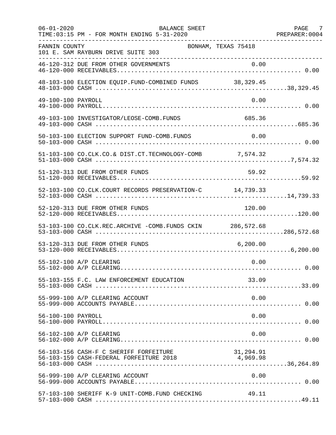| $06 - 01 - 2020$   | BALANCE SHEET<br>TIME: 03:15 PM - FOR MONTH ENDING 5-31-2020 |           | PAGE 7<br>PREPARER: 0004 |
|--------------------|--------------------------------------------------------------|-----------|--------------------------|
| FANNIN COUNTY      | BONHAM, TEXAS 75418<br>101 E. SAM RAYBURN DRIVE SUITE 303    |           |                          |
|                    | 46-120-312 DUE FROM OTHER GOVERNMENTS                        |           |                          |
|                    | 48-103-100 ELECTION EQUIP.FUND-COMBINED FUNDS 38,329.45      |           |                          |
| 49-100-100 PAYROLL |                                                              | 0.00      |                          |
|                    | 49-103-100 INVESTIGATOR/LEOSE-COMB.FUNDS                     | 685.36    |                          |
|                    | 50-103-100 ELECTION SUPPORT FUND-COMB.FUNDS                  | 0.00      |                          |
|                    | 51-103-100 CO.CLK.CO.& DIST.CT.TECHNOLOGY-COMB 7,574.32      |           |                          |
|                    | 51-120-313 DUE FROM OTHER FUNDS                              | 59.92     |                          |
|                    | 52-103-100 CO.CLK.COURT RECORDS PRESERVATION-C 14,739.33     |           |                          |
|                    | 52-120-313 DUE FROM OTHER FUNDS                              | 120.00    |                          |
|                    | 53-103-100 CO.CLK.REC.ARCHIVE -COMB.FUNDS CKIN 286,572.68    |           |                          |
|                    | 53-120-313 DUE FROM OTHER FUNDS                              | 6, 200.00 |                          |
|                    | 55-102-100 A/P CLEARING                                      | 0.00      |                          |
|                    | 55-103-155 F.C. LAW ENFORCEMENT EDUCATION                    | 33.09     |                          |
|                    | 55-999-100 A/P CLEARING ACCOUNT                              | 0.00      |                          |
| 56-100-100 PAYROLL |                                                              | 0.00      |                          |
|                    | 56-102-100 A/P CLEARING                                      | 0.00      |                          |
|                    | 56-103-156 CASH-F C SHERIFF FORFEITURE                       | 31,294.91 |                          |
|                    | 56-999-100 A/P CLEARING ACCOUNT                              | 0.00      |                          |
|                    | 57-103-100 SHERIFF K-9 UNIT-COMB.FUND CHECKING               | 49.11     |                          |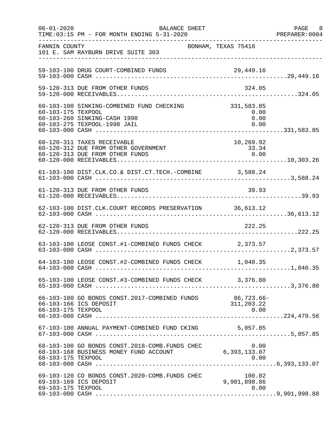| $06 - 01 - 2020$   | BALANCE SHEET<br>TIME: 03:15 PM - FOR MONTH ENDING 5-31-2020                                              |                                    | PAGE 8<br>PREPARER: 0004 |
|--------------------|-----------------------------------------------------------------------------------------------------------|------------------------------------|--------------------------|
| FANNIN COUNTY      | BONHAM, TEXAS 75418<br>101 E. SAM RAYBURN DRIVE SUITE 303                                                 |                                    |                          |
|                    | 59-103-100 DRUG COURT-COMBINED FUNDS                                                                      |                                    |                          |
|                    | 59-120-313 DUE FROM OTHER FUNDS                                                                           | 324.05                             |                          |
| 60-103-175 TEXPOOL | 60-103-100 SINKING-COMBINED FUND CHECKING<br>60-103-260 SINKING-CASH 1998<br>60-103-275 TEXPOOL-1998 JAIL | 331,583.85<br>0.00<br>0.00<br>0.00 |                          |
|                    | 60-120-311 TAXES RECEIVABLE<br>60-120-312 DUE FROM OTHER GOVERNMENT<br>60-120-313 DUE FROM OTHER FUNDS    | 10,269.92<br>33.34<br>0.00         |                          |
|                    |                                                                                                           |                                    |                          |
|                    | 61-120-313 DUE FROM OTHER FUNDS                                                                           | 39.93                              |                          |
|                    | 62-103-100 DIST.CLK.COURT RECORDS PRESERVATION 36,613.12                                                  |                                    |                          |
|                    | 62-120-313 DUE FROM OTHER FUNDS                                                                           | 222.25                             |                          |
|                    | 63-103-100 LEOSE CONST.#1-COMBINED FUNDS CHECK 2,373.57                                                   |                                    |                          |
|                    | 64-103-100 LEOSE CONST.#2-COMBINED FUNDS CHECK 1,040.35                                                   |                                    |                          |
|                    | 65-103-100 LEOSE CONST.#3-COMBINED FUNDS CHECK 3,376.80                                                   |                                    |                          |
| 66-103-175 TEXPOOL | 66-103-100 GO BONDS CONST.2017-COMBINED FUNDS<br>66-103-166 ICS DEPOSIT                                   | 86,723.66-<br>311,203.22<br>0.00   |                          |
|                    | 67-103-100 ANNUAL PAYMENT-COMBINED FUND CKING 5,057.85                                                    |                                    |                          |
| 68-103-175 TEXPOOL | 68-103-100 GO BONDS CONST.2018-COMB.FUNDS CHEC<br>68-103-168 BUSINESS MONEY FUND ACCOUNT                  | 0.00<br>6,393,133.07<br>0.00       |                          |
| 69-103-175 TEXPOOL | 69-103-120 CO BONDS CONST.2020-COMB. FUNDS CHEC<br>69-103-169 ICS DEPOSIT                                 | 100.02<br>9,901,898.86<br>0.00     |                          |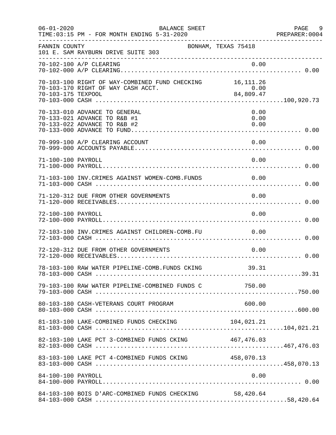| $06 - 01 - 2020$   | BALANCE SHEET<br>TIME: 03:15 PM - FOR MONTH ENDING 5-31-2020                                    |                            | PAGE 9<br>PREPARER: 0004 |
|--------------------|-------------------------------------------------------------------------------------------------|----------------------------|--------------------------|
| FANNIN COUNTY      | 101 E. SAM RAYBURN DRIVE SUITE 303                                                              | BONHAM, TEXAS 75418        |                          |
|                    | 70-102-100 A/P CLEARING                                                                         | 0.00                       |                          |
| 70-103-175 TEXPOOL | 70-103-100 RIGHT OF WAY-COMBINED FUND CHECKING 16, 111.26<br>70-103-170 RIGHT OF WAY CASH ACCT. | $84.800$<br>0.00<br>84.800 |                          |
|                    | 70-133-010 ADVANCE TO GENERAL<br>70-133-021 ADVANCE TO R&B #1<br>70-133-022 ADVANCE TO R&B #2   | 0.00<br>0.00<br>0.00       |                          |
|                    | 70-999-100 A/P CLEARING ACCOUNT                                                                 | 0.00                       |                          |
| 71-100-100 PAYROLL |                                                                                                 | 0.00                       |                          |
|                    | 71-103-100 INV. CRIMES AGAINST WOMEN-COMB. FUNDS 0.00                                           |                            |                          |
|                    | 71-120-312 DUE FROM OTHER GOVERNMENTS                                                           | 0.00                       |                          |
| 72-100-100 PAYROLL |                                                                                                 | 0.00                       |                          |
|                    | 72-103-100 INV. CRIMES AGAINST CHILDREN-COMB. FU                                                | 0.00                       |                          |
|                    | 72-120-312 DUE FROM OTHER GOVERNMENTS                                                           | 0.00                       |                          |
|                    | 78-103-100 RAW WATER PIPELINE-COMB. FUNDS CKING                                                 | 39.31                      |                          |
|                    |                                                                                                 |                            |                          |
|                    | 80-103-180 CASH-VETERANS COURT PROGRAM                                                          | 600.00                     |                          |
|                    | 81-103-100 LAKE-COMBINED FUNDS CHECKING                                                         | 104,021.21                 |                          |
|                    | 82-103-100 LAKE PCT 3-COMBINED FUNDS CKING 467,476.03                                           |                            |                          |
|                    |                                                                                                 |                            |                          |
| 84-100-100 PAYROLL |                                                                                                 | 0.00                       |                          |
|                    | 84-103-100 BOIS D'ARC-COMBINED FUNDS CHECKING                                                   | 58,420.64                  |                          |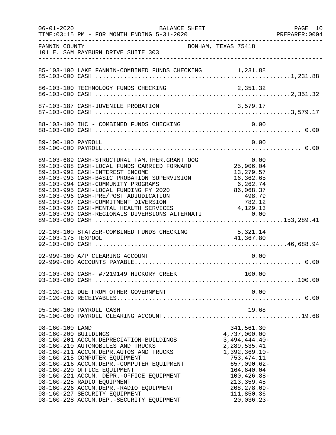| $06 - 01 - 2020$   | BALANCE SHEET                                                                                                                                                                                                                                                                                                                                                                                                                                                                       |                                                                                                                                                                                                                     | PAGE 10<br>PREPARER:0004 |
|--------------------|-------------------------------------------------------------------------------------------------------------------------------------------------------------------------------------------------------------------------------------------------------------------------------------------------------------------------------------------------------------------------------------------------------------------------------------------------------------------------------------|---------------------------------------------------------------------------------------------------------------------------------------------------------------------------------------------------------------------|--------------------------|
| FANNIN COUNTY      | 101 E. SAM RAYBURN DRIVE SUITE 303                                                                                                                                                                                                                                                                                                                                                                                                                                                  | BONHAM, TEXAS 75418                                                                                                                                                                                                 |                          |
|                    |                                                                                                                                                                                                                                                                                                                                                                                                                                                                                     |                                                                                                                                                                                                                     |                          |
|                    |                                                                                                                                                                                                                                                                                                                                                                                                                                                                                     |                                                                                                                                                                                                                     |                          |
|                    |                                                                                                                                                                                                                                                                                                                                                                                                                                                                                     |                                                                                                                                                                                                                     |                          |
|                    |                                                                                                                                                                                                                                                                                                                                                                                                                                                                                     |                                                                                                                                                                                                                     |                          |
| 89-100-100 PAYROLL |                                                                                                                                                                                                                                                                                                                                                                                                                                                                                     | 0.00                                                                                                                                                                                                                |                          |
|                    | 89-103-689 CASH-STRUCTURAL FAM.THER.GRANT OOG<br>89-103-988 CASH-LOCAL FUNDS CARRIED FORWARD<br>89-103-992 CASH-INTEREST INCOME<br>89-103-993 CASH-BASIC PROBATION SUPERVISION<br>89-103-994 CASH-COMMUNITY PROGRAMS<br>89-103-995 CASH-LOCAL FUNDING FY 2020<br>89-103-996 CASH-PRE/POST ADJUDICATION<br>89-103-997 CASH-COMMITMENT DIVERSION<br>89-103-997 CASH-COMMITIMENT DIVERSION<br>89-103-998 CASH-MENTAL HEALTH SERVICES<br>89-103-999 CASH-REGIONALS DIVERSIONS ALTERNATI | $\begin{array}{ccc}\n \text{G} & & & \text{U.}\n \end{array}$<br>25,906.04<br>13,279.57<br>13,279.57<br>6,262.74<br>86,068.37<br>498.79<br>782.12<br>4, 129.13<br>0.00                                              |                          |
|                    |                                                                                                                                                                                                                                                                                                                                                                                                                                                                                     |                                                                                                                                                                                                                     |                          |
|                    | 92-999-100 A/P CLEARING ACCOUNT                                                                                                                                                                                                                                                                                                                                                                                                                                                     | 0.00                                                                                                                                                                                                                |                          |
|                    |                                                                                                                                                                                                                                                                                                                                                                                                                                                                                     |                                                                                                                                                                                                                     |                          |
|                    | 93-120-312 DUE FROM OTHER GOVERNMENT                                                                                                                                                                                                                                                                                                                                                                                                                                                | 0.00                                                                                                                                                                                                                |                          |
|                    | 95-100-100 PAYROLL CASH                                                                                                                                                                                                                                                                                                                                                                                                                                                             | 19.68                                                                                                                                                                                                               |                          |
| 98-160-100 LAND    | 98-160-200 BUILDINGS<br>98-160-201 ACCUM.DEPRECIATION-BUILDINGS<br>98-160-210 AUTOMOBILES AND TRUCKS<br>98-160-211 ACCUM.DEPR.AUTOS AND TRUCKS<br>98-160-215 COMPUTER EQUIPMENT<br>98-160-216 ACCUM.DEPR.-COMPUTER EQUIPMENT<br>98-160-220 OFFICE EQUIPMENT<br>98-160-221 ACCUM. DEPR.-OFFICE EQUIPMENT<br>98-160-225 RADIO EQUIPMENT<br>98-160-226 ACCUM.DEPR.-RADIO EQUIPMENT<br>98-160-227 SECURITY EQUIPMENT<br>98-160-228 ACCUM.DEP.-SECURITY EQUIPMENT                        | 341,561.30<br>4,737,000.00<br>$3,494,444.40-$<br>2, 289, 535.41<br>$1,392,369.10-$<br>753, 474.11<br>$657,090.62-$<br>164,640.04<br>$100, 426.88 -$<br>213, 359.45<br>$208, 278.09 -$<br>111,850.36<br>$20,036.23-$ |                          |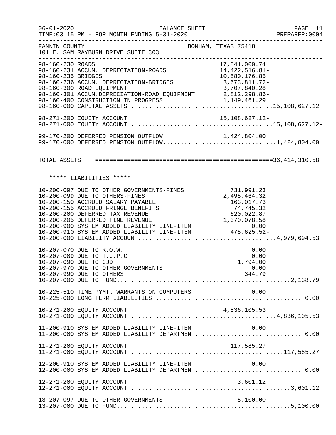| $06 - 01 - 2020$                       | BALANCE SHEET<br>TIME:03:15 PM - FOR MONTH ENDING 5-31-2020                                                                                                                                                                                                                                                                                                         |                                                                 | PAGE 11<br>PREPARER: 0004 |
|----------------------------------------|---------------------------------------------------------------------------------------------------------------------------------------------------------------------------------------------------------------------------------------------------------------------------------------------------------------------------------------------------------------------|-----------------------------------------------------------------|---------------------------|
| FANNIN COUNTY                          | BONHAM, TEXAS 75418<br>101 E. SAM RAYBURN DRIVE SUITE 303                                                                                                                                                                                                                                                                                                           |                                                                 |                           |
| 98-160-230 ROADS<br>98-160-235 BRIDGES | 98-160-231 ACCUM. DEPRECIATION-ROADS 14,422,516.81-<br>98-160-236 ACCUM. DEPRECIATION-BRIDGES<br>98-160-300 ROAD EQUIPMENT                                                                                                                                                                                                                                          | 17,841,000.74<br>10,580,176.85<br>3,673,811.72-<br>3,707,840.28 |                           |
|                                        |                                                                                                                                                                                                                                                                                                                                                                     |                                                                 |                           |
|                                        | 99-170-200 DEFERRED PENSION OUTFLOW 1,424,804.00<br>99-170-000 DEFERRED PENSION OUTFLOW1,424,804.00                                                                                                                                                                                                                                                                 |                                                                 |                           |
|                                        |                                                                                                                                                                                                                                                                                                                                                                     |                                                                 |                           |
|                                        | ***** LIABILITIES *****                                                                                                                                                                                                                                                                                                                                             |                                                                 |                           |
|                                        | 10-200-097 DUE TO OTHER GOVERNMENTS-FINES<br>10-200-099 DUE TO OTHERS-FINES<br>10-200-150 ACCRUED SALARY PAYABLE<br>10-200-155 ACCRUED FRINGE BENEFITS<br>10-200-155 ACCRUED FRINGE BENEFITS 74,745.32<br>10-200-200 DEFERRED TAX REVENUE 620,022.87<br>10-200-900 SYSTEM ADDED LIABILITY LINE-ITEM 0.00<br>10-200-910 SYSTEM ADDED LIABILITY LINE-ITEM 475,625.52- | 731,991.23<br>2,495,464.32<br>163,017.73<br>74,745.32           |                           |
|                                        | 10-207-070 DUE TO R.O.W.<br>10-207-089 DUE TO T.J.P.C.<br>10-207-090 DUE TO CJD<br>10-207-970 DUE TO OTHER GOVERNMENTS<br>10-207-990 DUE TO OTHERS                                                                                                                                                                                                                  | 0.00<br>0.00<br>1,794.00<br>0.00<br>344.79                      |                           |
|                                        | 10-225-510 TIME PYMT. WARRANTS ON COMPUTERS                                                                                                                                                                                                                                                                                                                         | 0.00                                                            |                           |
|                                        | 10-271-200 EQUITY ACCOUNT                                                                                                                                                                                                                                                                                                                                           |                                                                 |                           |
|                                        | 11-200-910 SYSTEM ADDED LIABILITY LINE-ITEM<br>11-200-000 SYSTEM ADDED LIABILITY DEPARTMENT 0.00                                                                                                                                                                                                                                                                    | 0.00                                                            |                           |
|                                        | 11-271-200 EQUITY ACCOUNT                                                                                                                                                                                                                                                                                                                                           | 117,585.27                                                      |                           |
|                                        | 12-200-910 SYSTEM ADDED LIABILITY LINE-ITEM<br>12-200-000 SYSTEM ADDED LIABILITY DEPARTMENT 0.00                                                                                                                                                                                                                                                                    | 0.00                                                            |                           |
|                                        | 12-271-200 EQUITY ACCOUNT                                                                                                                                                                                                                                                                                                                                           | 3,601.12                                                        |                           |
|                                        | 13-207-097 DUE TO OTHER GOVERNMENTS                                                                                                                                                                                                                                                                                                                                 | 5,100.00                                                        |                           |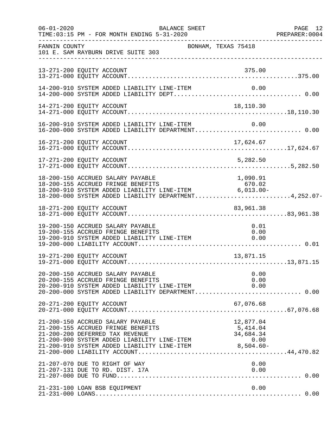| $06 - 01 - 2020$ | TIME: 03:15 PM - FOR MONTH ENDING 5-31-2020                                                                                                                                                                                                                                 | BALANCE SHEET |                     | PAGE 12<br>PREPARER: 0004 |
|------------------|-----------------------------------------------------------------------------------------------------------------------------------------------------------------------------------------------------------------------------------------------------------------------------|---------------|---------------------|---------------------------|
| FANNIN COUNTY    | 101 E. SAM RAYBURN DRIVE SUITE 303                                                                                                                                                                                                                                          |               | BONHAM, TEXAS 75418 |                           |
|                  | 13-271-200 EQUITY ACCOUNT                                                                                                                                                                                                                                                   |               | 375.00              |                           |
|                  | 14-200-910 SYSTEM ADDED LIABILITY LINE-ITEM                                                                                                                                                                                                                                 |               | 0.00                |                           |
|                  | 14-271-200 EQUITY ACCOUNT                                                                                                                                                                                                                                                   |               | 18,110.30           |                           |
|                  | 16-200-910 SYSTEM ADDED LIABILITY LINE-ITEM 0.00<br>16-200-000 SYSTEM ADDED LIABILITY DEPARTMENT0.00                                                                                                                                                                        |               |                     |                           |
|                  |                                                                                                                                                                                                                                                                             |               |                     |                           |
|                  | 17-271-200 EQUITY ACCOUNT                                                                                                                                                                                                                                                   |               | 5,282.50            |                           |
|                  | 18-200-150 ACCRUED SALARY PAYABLE<br>18-200-155 ACCRUED FRINGE BENEFITS 670.02<br>18-200-910 SYSTEM ADDED LIABILITY LINE-ITEM 6,013.00-<br>18-200-000 SYSTEM ADDED LIABILITY DEPARTMENT4,252.07-                                                                            |               | 1,090.91            |                           |
|                  | 18-271-200 EQUITY ACCOUNT                                                                                                                                                                                                                                                   |               | 83,961.38           |                           |
|                  | 19-200-150 ACCRUED SALARY PAYABLE<br>19-200-155 ACCRUED FRINGE BENEFITS<br>19-200-910 SYSTEM ADDED LIABILITY LINE-ITEM $0.00$                                                                                                                                               |               | 0.01                |                           |
|                  | 19-271-200 EQUITY ACCOUNT                                                                                                                                                                                                                                                   |               | 13,871.15           |                           |
|                  | 20-200-150 ACCRUED SALARY PAYABLE<br>20-200-155 ACCRUED FRINGE BENEFITS<br>20-200-910 SYSTEM ADDED LIABILITY LINE-ITEM $0.00$<br>20-200-000 SYSTEM ADDED LIABILITY DEPARTMENT0.00                                                                                           |               | 0.00<br>0.00        |                           |
|                  | 20-271-200 EQUITY ACCOUNT                                                                                                                                                                                                                                                   |               | 67,076.68           |                           |
|                  | 21-200-150 ACCRUED SALARY PAYABLE<br>21-200-155 ACCRUED SABANI FALABLE<br>21-200-155 ACCRUED FRINGE BENEFITS 5,414.04<br>21-200-200 DEFERRED TAX REVENUE 34,684.34<br>21-200-900 SYSTEM ADDED LIABILITY LINE-ITEM 0.00<br>21-200-910 SYSTEM ADDED LIABILITY LINE-ITEM 8,504 |               | 12,877.04           |                           |
|                  | 21-207-070 DUE TO RIGHT OF WAY<br>21-207-131 DUE TO RD. DIST. 17A                                                                                                                                                                                                           |               | 0.00<br>0.00        |                           |
|                  | 21-231-100 LOAN BSB EQUIPMENT                                                                                                                                                                                                                                               |               | 0.00                |                           |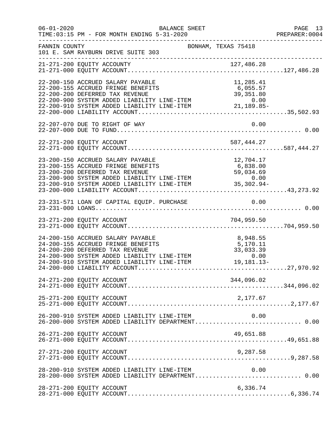| $06 - 01 - 2020$ | BALANCE SHEET<br>TIME: 03:15 PM - FOR MONTH ENDING 5-31-2020                                                                                                                                                                                                                  |                                   | PAGE 13<br>PREPARER:0004 |
|------------------|-------------------------------------------------------------------------------------------------------------------------------------------------------------------------------------------------------------------------------------------------------------------------------|-----------------------------------|--------------------------|
| FANNIN COUNTY    | BONHAM, TEXAS 75418<br>101 E. SAM RAYBURN DRIVE SUITE 303                                                                                                                                                                                                                     |                                   |                          |
|                  |                                                                                                                                                                                                                                                                               |                                   |                          |
|                  | 22-200-150 ACCRUED SALARY PAYABLE<br>22-200-155 ACCRUED FRINGE BENEFITS<br>22-200-200 DEFERRED TAX REVENUE<br>22-200-900 SYSTEM ADDED LIABILITY LINE-ITEM<br>22-200-910 SYSTEM ADDED LIABILITY LINE-ITEM<br>22-200-910 SYSTEM ADDED LIABILITY LINE-ITEM<br>22-200-000 LIABILI | 11,285.41                         |                          |
|                  | 22-207-070 DUE TO RIGHT OF WAY                                                                                                                                                                                                                                                | 0.00                              |                          |
|                  |                                                                                                                                                                                                                                                                               |                                   |                          |
|                  | 23-200-150 ACCRUED SALARY PAYABLE<br>23-200-150 ACCRUED SALARY PAYABLE<br>23-200-155 ACCRUED FRINGE BENEFITS 6,838.00<br>23-200-200 DEFERRED TAX REVENUE 59,034.69<br>23-200-900 SYSTEM ADDED LIABILITY LINE-ITEM 0.00<br>23-200-910 SYSTEM ADDED LIABILITY LINE-ITEM 35,30   | 12,704.17                         |                          |
|                  |                                                                                                                                                                                                                                                                               |                                   |                          |
|                  |                                                                                                                                                                                                                                                                               |                                   |                          |
|                  | 24-200-150 ACCRUED SALARY PAYABLE<br>24-200-155 ACCRUED FRINGE BENEFITS<br>24-200-200 DEFERRED TAX REVENUE<br>24-200-900 SYSTEM ADDED LIABILITY LINE-ITEM 0.00<br>24-200-910 SYSTEM ADDED LIABILITY LINE-ITEM 19,181.13-                                                      | 8,948.55<br>5,170.11<br>33,033.39 |                          |
|                  | 24-271-200 EQUITY ACCOUNT                                                                                                                                                                                                                                                     | 344,096.02                        |                          |
|                  | 25-271-200 EQUITY ACCOUNT                                                                                                                                                                                                                                                     | 2,177.67                          |                          |
|                  | 26-200-910 SYSTEM ADDED LIABILITY LINE-ITEM                                                                                                                                                                                                                                   | 0.00                              |                          |
|                  | 26-271-200 EQUITY ACCOUNT                                                                                                                                                                                                                                                     | 49,651.88                         |                          |
|                  | 27-271-200 EQUITY ACCOUNT                                                                                                                                                                                                                                                     | 9,287.58                          |                          |
|                  | 28-200-910 SYSTEM ADDED LIABILITY LINE-ITEM                                                                                                                                                                                                                                   | 0.00                              |                          |
|                  | 28-271-200 EQUITY ACCOUNT                                                                                                                                                                                                                                                     | 6,336.74                          |                          |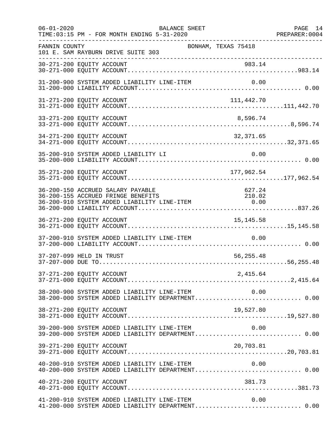| $06 - 01 - 2020$ | <b>BALANCE SHEET</b><br>TIME: 03:15 PM - FOR MONTH ENDING 5-31-2020                                                      |                     | PAGE 14<br>PREPARER: 0004 |
|------------------|--------------------------------------------------------------------------------------------------------------------------|---------------------|---------------------------|
| FANNIN COUNTY    | 101 E. SAM RAYBURN DRIVE SUITE 303<br>----------------------------------                                                 | BONHAM, TEXAS 75418 |                           |
|                  | 30-271-200 EQUITY ACCOUNT                                                                                                | 983.14              |                           |
|                  | 31-200-900 SYSTEM ADDED LIABILITY LINE-ITEM                                                                              |                     |                           |
|                  | 31-271-200 EQUITY ACCOUNT                                                                                                | 111,442.70          |                           |
|                  | 33-271-200 EQUITY ACCOUNT                                                                                                | 8,596.74            |                           |
|                  | 34-271-200 EQUITY ACCOUNT                                                                                                | 32, 371.65          |                           |
|                  | 35-200-910 SYSTEM ADDED LIABILITY LI                                                                                     | 0.00                |                           |
|                  | 35-271-200 EQUITY ACCOUNT                                                                                                | 177,962.54          |                           |
|                  | 36-200-150 ACCRUED SALARY PAYABLE<br>36-200-155 ACCRUED FRINGE BENEFITS 36-200-910 SYSTEM ADDED LIABILITY LINE-ITEM 0.00 | 627.24              |                           |
|                  | 36-271-200 EQUITY ACCOUNT                                                                                                | 15, 145.58          |                           |
|                  | 37-200-910 SYSTEM ADDED LIABILITY LINE-ITEM                                                                              | 0.00                |                           |
|                  | 37-207-099 HELD IN TRUST                                                                                                 | 56,255.48           |                           |
|                  | 37-271-200 EQUITY ACCOUNT                                                                                                | 2,415.64            |                           |
|                  | 38-200-900 SYSTEM ADDED LIABILITY LINE-ITEM 0.00<br>38-200-000 SYSTEM ADDED LIABILITY DEPARTMENT 0.00                    |                     |                           |
|                  | 38-271-200 EQUITY ACCOUNT                                                                                                | 19,527.80           |                           |
|                  | 39-200-900 SYSTEM ADDED LIABILITY LINE-ITEM                                                                              | 0.00                |                           |
|                  | 39-271-200 EQUITY ACCOUNT                                                                                                | 20,703.81           |                           |
|                  | $40-200-910$ SYSTEM ADDED LIABILITY LINE-ITEM $0.00$<br>$40-200-000$ SYSTEM ADDED LIABILITY DEPARTMENT0.00               |                     |                           |
|                  | 40-271-200 EQUITY ACCOUNT                                                                                                | 381.73              |                           |
|                  | 41-200-910 SYSTEM ADDED LIABILITY LINE-ITEM<br>41-200-000 SYSTEM ADDED LIABILITY DEPARTMENT 0.00                         | 0.00                |                           |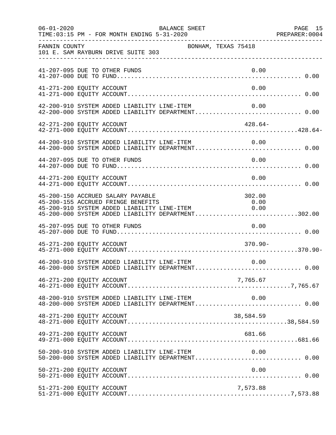| $06 - 01 - 2020$          | TIME: 03:15 PM - FOR MONTH ENDING 5-31-2020                                                                                                                                  | BALANCE SHEET       |                            | PAGE 15 |
|---------------------------|------------------------------------------------------------------------------------------------------------------------------------------------------------------------------|---------------------|----------------------------|---------|
| FANNIN COUNTY             | 101 E. SAM RAYBURN DRIVE SUITE 303                                                                                                                                           | BONHAM, TEXAS 75418 |                            |         |
|                           | 41-207-095 DUE TO OTHER FUNDS                                                                                                                                                |                     | 0.00                       |         |
| 41-271-200 EQUITY ACCOUNT |                                                                                                                                                                              |                     | 0.00                       |         |
|                           | 42-200-910 SYSTEM ADDED LIABILITY LINE-ITEM<br>42-200-000 SYSTEM ADDED LIABILITY DEPARTMENT 0.00                                                                             |                     | 0.00                       |         |
| 42-271-200 EQUITY ACCOUNT |                                                                                                                                                                              |                     | $428.64-$                  |         |
|                           | 44-200-910 SYSTEM ADDED LIABILITY LINE-ITEM 0.00<br>44-200-000 SYSTEM ADDED LIABILITY DEPARTMENT 0.00                                                                        |                     |                            |         |
|                           | 44-207-095 DUE TO OTHER FUNDS                                                                                                                                                |                     | 0.00                       |         |
| 44-271-200 EQUITY ACCOUNT |                                                                                                                                                                              |                     | 0.00                       |         |
|                           | 45-200-150 ACCRUED SALARY PAYABLE<br>45-200-155 ACCRUED FRINGE BENEFITS<br>45-200-910 SYSTEM ADDED LIABILITY LINE-ITEM<br>45-200-000 SYSTEM ADDED LIABILITY DEPARTMENT302.00 |                     | 302.00<br>$0.00$<br>$0.00$ |         |
|                           | 45-207-095 DUE TO OTHER FUNDS                                                                                                                                                |                     | 0.00                       |         |
| 45-271-200 EQUITY ACCOUNT |                                                                                                                                                                              |                     | $370.90 -$                 |         |
|                           |                                                                                                                                                                              |                     |                            |         |
| 46-271-200 EQUITY ACCOUNT |                                                                                                                                                                              |                     | 7,765.67                   |         |
|                           | $48-200-910$ SYSTEM ADDED LIABILITY LINE-ITEM $0.00$<br>$48-200-000$ SYSTEM ADDED LIABILITY DEPARTMENT0.00                                                                   |                     |                            |         |
| 48-271-200 EQUITY ACCOUNT |                                                                                                                                                                              |                     | 38,584.59                  |         |
| 49-271-200 EQUITY ACCOUNT |                                                                                                                                                                              |                     | 681.66                     |         |
|                           | 50-200-910 SYSTEM ADDED LIABILITY LINE-ITEM 0.00<br>50-200-000 SYSTEM ADDED LIABILITY DEPARTMENT 0.00                                                                        |                     |                            |         |
| 50-271-200 EQUITY ACCOUNT |                                                                                                                                                                              |                     | 0.00                       |         |
| 51-271-200 EQUITY ACCOUNT |                                                                                                                                                                              |                     | 7,573.88                   |         |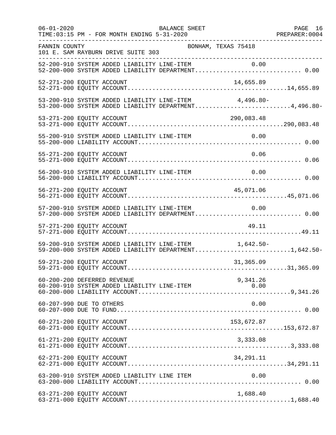| $06 - 01 - 2020$ | BALANCE SHEET<br>TIME: 03:15 PM - FOR MONTH ENDING 5-31-2020                                                   | PAGE 16 |
|------------------|----------------------------------------------------------------------------------------------------------------|---------|
| FANNIN COUNTY    | BONHAM, TEXAS 75418<br>101 E. SAM RAYBURN DRIVE SUITE 303                                                      |         |
|                  | 52-200-910 SYSTEM ADDED LIABILITY LINE-ITEM 0.00<br>52-200-000 SYSTEM ADDED LIABILITY DEPARTMENT 0.00          |         |
|                  | 52-271-200 EQUITY ACCOUNT<br>14,655.89                                                                         |         |
|                  | 53-200-910 SYSTEM ADDED LIABILITY LINE-ITEM 4,496.80-<br>53-200-000 SYSTEM ADDED LIABILITY DEPARTMENT4,496.80- |         |
|                  |                                                                                                                |         |
|                  |                                                                                                                |         |
|                  | 55-271-200 EQUITY ACCOUNT<br>0.06                                                                              |         |
|                  | 56-200-910 SYSTEM ADDED LIABILITY LINE-ITEM<br>0.00                                                            |         |
|                  | 45,071.06<br>56-271-200 EQUITY ACCOUNT                                                                         |         |
|                  | 57-200-910 SYSTEM ADDED LIABILITY LINE-ITEM 0.00<br>57-200-000 SYSTEM ADDED LIABILITY DEPARTMENT 0.00          |         |
|                  | 57-271-200 EQUITY ACCOUNT<br>49.11                                                                             |         |
|                  | 59-200-910 SYSTEM ADDED LIABILITY LINE-ITEM 1,642.50-<br>59-200-000 SYSTEM ADDED LIABILITY DEPARTMENT1,642.50- |         |
|                  | 59-271-200 EQUITY ACCOUNT<br>31,365.09                                                                         |         |
|                  | 60-200-200 DEFERRED REVENUE<br>9,341.26                                                                        |         |
|                  | 60-207-990 DUE TO OTHERS<br>0.00                                                                               |         |
|                  | 60-271-200 EQUITY ACCOUNT<br>153,672.87                                                                        |         |
|                  | 61-271-200 EQUITY ACCOUNT<br>3,333.08                                                                          |         |
|                  | 34, 291. 11<br>62-271-200 EQUITY ACCOUNT                                                                       |         |
|                  | 63-200-910 SYSTEM ADDED LIABILITY LINE ITEM<br>0.00                                                            |         |
|                  | 63-271-200 EQUITY ACCOUNT<br>1,688.40                                                                          |         |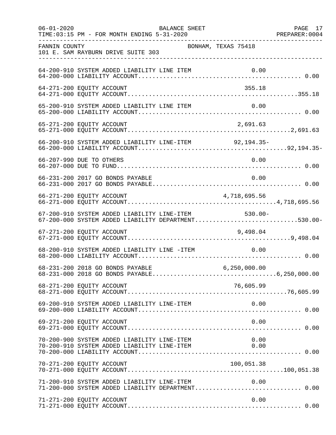| $06 - 01 - 2020$ | BALANCE SHEET<br>TIME: 03:15 PM - FOR MONTH ENDING 5-31-2020                                               |                | PAGE 17 |
|------------------|------------------------------------------------------------------------------------------------------------|----------------|---------|
| FANNIN COUNTY    | BONHAM, TEXAS 75418<br>101 E. SAM RAYBURN DRIVE SUITE 303                                                  |                |         |
|                  | 64-200-910 SYSTEM ADDED LIABILITY LINE ITEM                                                                |                |         |
|                  | 64-271-200 EQUITY ACCOUNT                                                                                  | 355.18         |         |
|                  | 65-200-910 SYSTEM ADDED LIABILITY LINE ITEM                                                                | 0.00           |         |
|                  | 65-271-200 EQUITY ACCOUNT                                                                                  | 2,691.63       |         |
|                  | 66-200-910 SYSTEM ADDED LIABILITY LINE-ITEM 92,194.35-                                                     |                |         |
|                  | 66-207-990 DUE TO OTHERS                                                                                   | 0.00           |         |
|                  | 66-231-200 2017 GO BONDS PAYABLE                                                                           | 0.00           |         |
|                  | 4,718,695.56<br>66-271-200 EQUITY ACCOUNT                                                                  |                |         |
|                  | 67-200-910 SYSTEM ADDED LIABILITY LINE-ITEM 530.00-<br>67-200-000 SYSTEM ADDED LIABILITY DEPARTMENT530.00- |                |         |
|                  | 67-271-200 EQUITY ACCOUNT                                                                                  | 9,498.04       |         |
|                  | 68-200-910 SYSTEM ADDED LIABILITY LINE -ITEM                                                               | 0.00           |         |
|                  | 68-231-200 2018 GO BONDS PAYABLE                                                                           | 6, 250, 000.00 |         |
|                  | 68-271-200 EQUITY ACCOUNT                                                                                  | 76,605.99      |         |
|                  | 69-200-910 SYSTEM ADDED LIABILITY LINE-ITEM                                                                | 0.00           |         |
|                  | 69-271-200 EQUITY ACCOUNT                                                                                  | 0.00           |         |
|                  | 70-200-900 SYSTEM ADDED LIABILITY LINE-ITEM<br>70-200-910 SYSTEM ADDED LIABILITY LINE-ITEM                 | 0.00<br>0.00   |         |
|                  | 70-271-200 EQUITY ACCOUNT                                                                                  | 100,051.38     |         |
|                  | 71-200-910 SYSTEM ADDED LIABILITY LINE-ITEM                                                                | 0.00           |         |
|                  | 71-271-200 EQUITY ACCOUNT                                                                                  | 0.00           |         |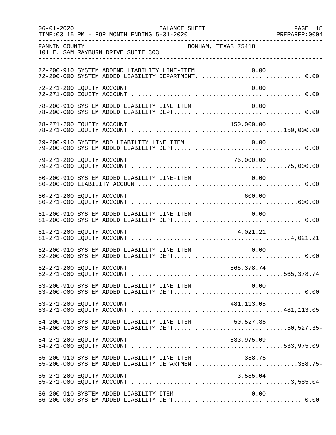| $06 - 01 - 2020$          | TIME: 03:15 PM - FOR MONTH ENDING 5-31-2020                                                                | BALANCE SHEET       |             | PAGE 18 |
|---------------------------|------------------------------------------------------------------------------------------------------------|---------------------|-------------|---------|
| FANNIN COUNTY             | 101 E. SAM RAYBURN DRIVE SUITE 303                                                                         | BONHAM, TEXAS 75418 |             |         |
|                           | 72-200-910 SYSTEM ADDEND LIABILITY LINE-ITEM<br>72-200-000 SYSTEM ADDED LIABILITY DEPARTMENT 0.00          |                     | 0.00        |         |
| 72-271-200 EQUITY ACCOUNT |                                                                                                            |                     | 0.00        |         |
|                           | 78-200-910 SYSTEM ADDED LIABILITY LINE ITEM                                                                |                     | 0.00        |         |
| 78-271-200 EQUITY ACCOUNT |                                                                                                            |                     | 150,000.00  |         |
|                           |                                                                                                            |                     |             |         |
| 79-271-200 EQUITY ACCOUNT |                                                                                                            |                     | 75,000.00   |         |
|                           | 80-200-910 SYSTEM ADDED LIABILITY LINE-ITEM                                                                |                     | 0.00        |         |
| 80-271-200 EQUITY ACCOUNT |                                                                                                            |                     | 600.00      |         |
|                           | 81-200-910 SYSTEM ADDED LIABILITY LINE ITEM                                                                |                     | 0.00        |         |
| 81-271-200 EQUITY ACCOUNT |                                                                                                            |                     | 4,021.21    |         |
|                           | 82-200-910 SYSTEM ADDED LIABILITY LINE ITEM                                                                |                     | 0.00        |         |
| 82-271-200 EQUITY ACCOUNT |                                                                                                            |                     | 565, 378.74 |         |
|                           |                                                                                                            |                     |             |         |
|                           |                                                                                                            |                     |             |         |
|                           | 84-200-910 SYSTEM ADDED LIABILITY LINE ITEM 50,527.35-<br>84-200-000 SYSTEM ADDED LIABILITY DEPT50,527.35- |                     |             |         |
| 84-271-200 EQUITY ACCOUNT |                                                                                                            |                     | 533,975.09  |         |
|                           | 85-200-910 SYSTEM ADDED LIABILITY LINE-ITEM 388.75-<br>85-200-000 SYSTEM ADDED LIABILITY DEPARTMENT388.75- |                     |             |         |
|                           |                                                                                                            |                     |             |         |
|                           | 86-200-910 SYSTEM ADDED LIABILITY ITEM                                                                     |                     | 0.00        |         |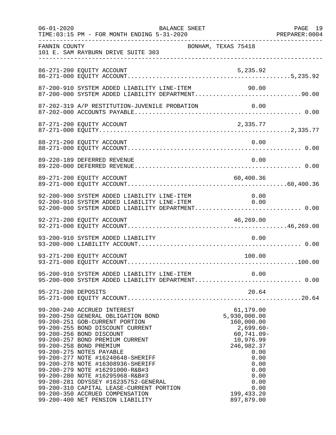| $06 - 01 - 2020$    | BALANCE SHEET<br>TIME: 03:15 PM - FOR MONTH ENDING 5-31-2020                                                                                                                                                                                                                                                                                                                                                                                                                                                                                                             |                                                                                                                                                                                         | PAGE 19 |
|---------------------|--------------------------------------------------------------------------------------------------------------------------------------------------------------------------------------------------------------------------------------------------------------------------------------------------------------------------------------------------------------------------------------------------------------------------------------------------------------------------------------------------------------------------------------------------------------------------|-----------------------------------------------------------------------------------------------------------------------------------------------------------------------------------------|---------|
| FANNIN COUNTY       | 101 E. SAM RAYBURN DRIVE SUITE 303<br>-----------------------------                                                                                                                                                                                                                                                                                                                                                                                                                                                                                                      | BONHAM, TEXAS 75418                                                                                                                                                                     |         |
|                     | 86-271-200 EQUITY ACCOUNT                                                                                                                                                                                                                                                                                                                                                                                                                                                                                                                                                | 5,235.92                                                                                                                                                                                |         |
|                     | 87-200-910 SYSTEM ADDED LIABILITY LINE-ITEM<br>87-200-000 SYSTEM ADDED LIABILITY DEPARTMENT90.00                                                                                                                                                                                                                                                                                                                                                                                                                                                                         | 90.00                                                                                                                                                                                   |         |
|                     | 87-202-319 A/P RESTITUTION-JUVENILE PROBATION                                                                                                                                                                                                                                                                                                                                                                                                                                                                                                                            | 0.00                                                                                                                                                                                    |         |
|                     | 87-271-200 EQUITY ACCOUNT                                                                                                                                                                                                                                                                                                                                                                                                                                                                                                                                                | 2,335.77                                                                                                                                                                                |         |
|                     | 88-271-200 EQUITY ACCOUNT                                                                                                                                                                                                                                                                                                                                                                                                                                                                                                                                                | 0.00                                                                                                                                                                                    |         |
|                     | 89-220-189 DEFERRED REVENUE                                                                                                                                                                                                                                                                                                                                                                                                                                                                                                                                              | 0.00                                                                                                                                                                                    |         |
|                     | 89-271-200 EQUITY ACCOUNT                                                                                                                                                                                                                                                                                                                                                                                                                                                                                                                                                | 60,400.36                                                                                                                                                                               |         |
|                     | 92-200-900 SYSTEM ADDED LIABILITY LINE-ITEM<br>92-200-910 SYSTEM ADDED LIABILITY LINE-ITEM<br>92-200-000 SYSTEM ADDED LIABILITY DEPARTMENT 0.00                                                                                                                                                                                                                                                                                                                                                                                                                          | $\begin{array}{c} 0\,.\,0\,0 \\ 0\,.\,0\,0 \end{array}$                                                                                                                                 |         |
|                     | 92-271-200 EQUITY ACCOUNT                                                                                                                                                                                                                                                                                                                                                                                                                                                                                                                                                | 46, 269.00                                                                                                                                                                              |         |
|                     | 93-200-910 SYSTEM ADDED LIABILITY                                                                                                                                                                                                                                                                                                                                                                                                                                                                                                                                        | 0.00                                                                                                                                                                                    |         |
|                     | 93-271-200 EQUITY ACCOUNT                                                                                                                                                                                                                                                                                                                                                                                                                                                                                                                                                | 100.00                                                                                                                                                                                  |         |
|                     | 95-200-910 SYSTEM ADDED LIABILITY LINE-ITEM 0.00<br>95-200-000 SYSTEM ADDED LIABILITY DEPARTMENT 0.00                                                                                                                                                                                                                                                                                                                                                                                                                                                                    |                                                                                                                                                                                         |         |
| 95-271-200 DEPOSITS |                                                                                                                                                                                                                                                                                                                                                                                                                                                                                                                                                                          | 20.64                                                                                                                                                                                   |         |
|                     | 99-200-240 ACCRUED INTEREST<br>99-200-250 GENERAL OBLIGATION BOND<br>99-200-251 GOB-CURRENT PORTION<br>99-200-255 BOND DISCOUNT CURRENT<br>99-200-256 BOND DISCOUNT<br>99-200-257 BOND PREMIUM CURRENT<br>99-200-258 BOND PREMIUM<br>99-200-275 NOTES PAYABLE<br>99-200-277 NOTE #16240648-SHERIFF<br>99-200-278 NOTE #16308936-SHERIFF<br>99-200-279 NOTE #16291000-R&B#3<br>99-200-280 NOTE #16295968-R&B#3<br>99-200-281 ODYSSEY #16235752-GENERAL<br>99-200-310 CAPITAL LEASE-CURRENT PORTION<br>99-200-350 ACCRUED COMPENSATION<br>99-200-400 NET PENSION LIABILITY | 61,179.00<br>5,930,000.00<br>160,000.00<br>$2,699.60-$<br>$60, 741.09 -$<br>10,976.99<br>246,982.37<br>0.00<br>0.00<br>0.00<br>0.00<br>0.00<br>0.00<br>0.00<br>199,433.20<br>897,879.00 |         |